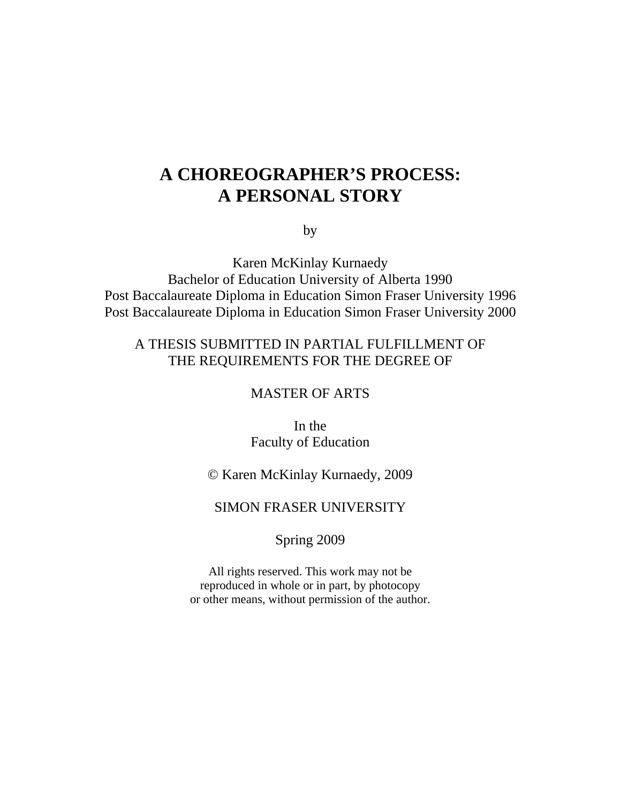## **A CHOREOGRAPHER'S PROCESS: A PERSONAL STORY**

by

Karen McKinlay Kurnaedy Bachelor of Education University of Alberta 1990 Post Baccalaureate Diploma in Education Simon Fraser University 1996 Post Baccalaureate Diploma in Education Simon Fraser University 2000

### A THESIS SUBMITTED IN PARTIAL FULFILLMENT OF THE REQUIREMENTS FOR THE DEGREE OF

### MASTER OF ARTS

In the Faculty of Education

### © Karen McKinlay Kurnaedy, 2009

### SIMON FRASER UNIVERSITY

### Spring 2009

All rights reserved. This work may not be reproduced in whole or in part, by photocopy or other means, without permission of the author.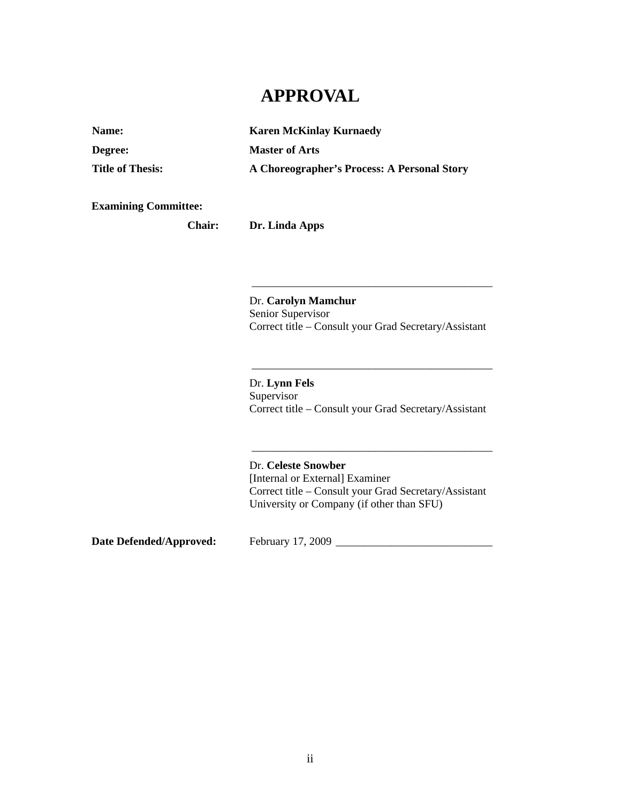## **APPROVAL**

| <b>Name:</b>            | <b>Karen McKinlay Kurnaedy</b>              |
|-------------------------|---------------------------------------------|
| Degree:                 | <b>Master of Arts</b>                       |
| <b>Title of Thesis:</b> | A Choreographer's Process: A Personal Story |

**Examining Committee:**

**Chair: Dr. Linda Apps**

 $\overline{\phantom{a}}$  ,  $\overline{\phantom{a}}$  ,  $\overline{\phantom{a}}$  ,  $\overline{\phantom{a}}$  ,  $\overline{\phantom{a}}$  ,  $\overline{\phantom{a}}$  ,  $\overline{\phantom{a}}$  ,  $\overline{\phantom{a}}$  ,  $\overline{\phantom{a}}$  ,  $\overline{\phantom{a}}$  ,  $\overline{\phantom{a}}$  ,  $\overline{\phantom{a}}$  ,  $\overline{\phantom{a}}$  ,  $\overline{\phantom{a}}$  ,  $\overline{\phantom{a}}$  ,  $\overline{\phantom{a}}$ 

 $\overline{\phantom{a}}$  ,  $\overline{\phantom{a}}$  ,  $\overline{\phantom{a}}$  ,  $\overline{\phantom{a}}$  ,  $\overline{\phantom{a}}$  ,  $\overline{\phantom{a}}$  ,  $\overline{\phantom{a}}$  ,  $\overline{\phantom{a}}$  ,  $\overline{\phantom{a}}$  ,  $\overline{\phantom{a}}$  ,  $\overline{\phantom{a}}$  ,  $\overline{\phantom{a}}$  ,  $\overline{\phantom{a}}$  ,  $\overline{\phantom{a}}$  ,  $\overline{\phantom{a}}$  ,  $\overline{\phantom{a}}$ 

 $\overline{\phantom{a}}$  ,  $\overline{\phantom{a}}$  ,  $\overline{\phantom{a}}$  ,  $\overline{\phantom{a}}$  ,  $\overline{\phantom{a}}$  ,  $\overline{\phantom{a}}$  ,  $\overline{\phantom{a}}$  ,  $\overline{\phantom{a}}$  ,  $\overline{\phantom{a}}$  ,  $\overline{\phantom{a}}$  ,  $\overline{\phantom{a}}$  ,  $\overline{\phantom{a}}$  ,  $\overline{\phantom{a}}$  ,  $\overline{\phantom{a}}$  ,  $\overline{\phantom{a}}$  ,  $\overline{\phantom{a}}$ 

 Dr. **Carolyn Mamchur**  Senior Supervisor Correct title – Consult your Grad Secretary/Assistant

 Dr. **Lynn Fels**  Supervisor Correct title – Consult your Grad Secretary/Assistant

 Dr. **Celeste Snowber**  [Internal or External] Examiner Correct title – Consult your Grad Secretary/Assistant University or Company (if other than SFU)

**Date Defended/Approved:** February 17, 2009 \_\_\_\_\_\_\_\_\_\_\_\_\_\_\_\_\_\_\_\_\_\_\_\_\_\_\_\_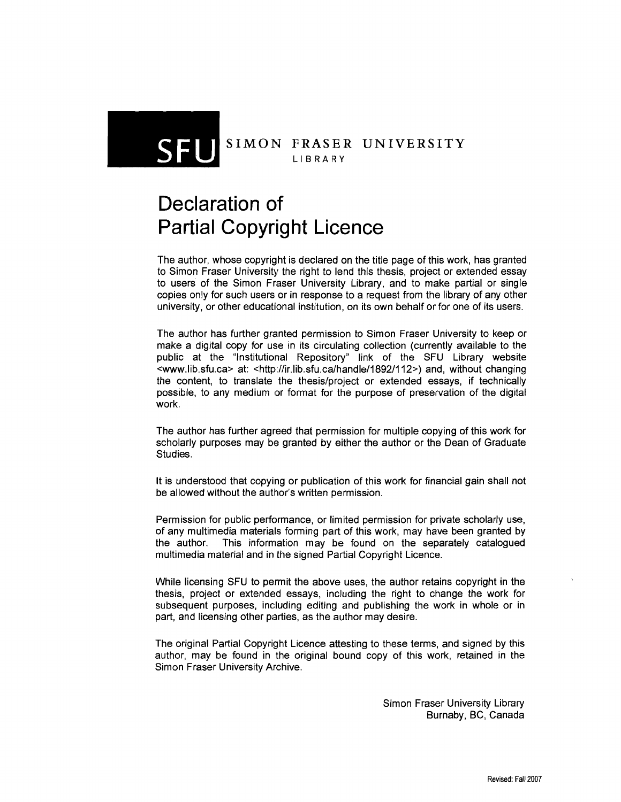### SIMON FRASER UNIVERSITY LIBRARY

# **Declaration of Partial Copyright Licence**

The author, whose copyright is declared on the title page of this work, has granted to Simon Fraser University the right to lend this thesis, project or extended essay to users of the Simon Fraser University Library, and to make partial or single copies only for such users or in response to a request from the library of any other university, or other educational institution, on its own behalf or for one of its users.

The author has further granted permission to Simon Fraser University to keep or make a digital copy for use in its circulating collection (currently available to the public at the "Institutional Repository" link of the SFU Library website <www.lib.sfu.ca> at: <http://ir.lib.sfu.ca/handle/1892/112>) and, without changing the content, to translate the thesis/project or extended essays, if technically possible, to any medium or format for the purpose of preservation of the digital work.

The author has further agreed that permission for multiple copying of this work for scholarly purposes may be granted by either the author or the Dean of Graduate Studies.

It is understood that copying or publication of this work for financial gain shall not be allowed without the author's written permission.

Permission for public performance, or limited permission for private scholarly use, of any multimedia materials forming part of this work, may have been granted by the author. This information may be found on the separately catalogued multimedia material and in the signed Partial Copyright Licence.

While licensing SFU to permit the above uses, the author retains copyright in the thesis, project or extended essays, including the right to change the work for subsequent purposes, including editing and publishing the work in whole or in part, and licensing other parties, as the author may desire.

The original Partial Copyright Licence attesting to these terms, and signed by this author, may be found in the original bound copy of this work, retained in the Simon Fraser University Archive.

> Simon Fraser University Library Burnaby, BC, Canada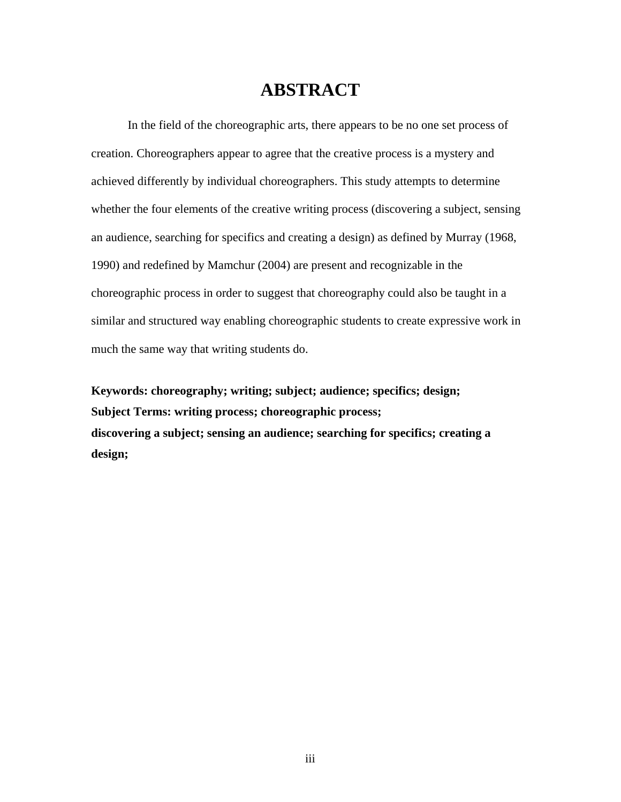### **ABSTRACT**

In the field of the choreographic arts, there appears to be no one set process of creation. Choreographers appear to agree that the creative process is a mystery and achieved differently by individual choreographers. This study attempts to determine whether the four elements of the creative writing process (discovering a subject, sensing an audience, searching for specifics and creating a design) as defined by Murray (1968, 1990) and redefined by Mamchur (2004) are present and recognizable in the choreographic process in order to suggest that choreography could also be taught in a similar and structured way enabling choreographic students to create expressive work in much the same way that writing students do.

**Keywords: choreography; writing; subject; audience; specifics; design; Subject Terms: writing process; choreographic process; discovering a subject; sensing an audience; searching for specifics; creating a design;**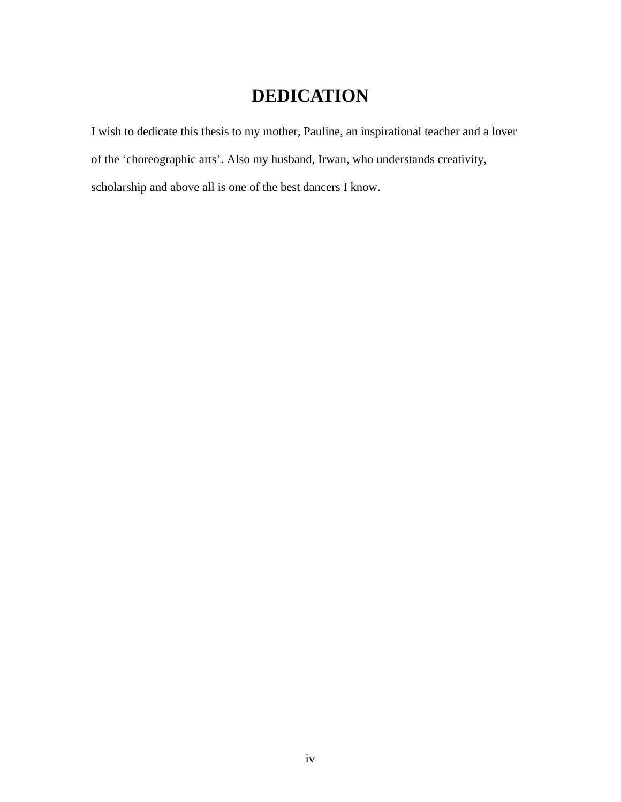# **DEDICATION**

I wish to dedicate this thesis to my mother, Pauline, an inspirational teacher and a lover of the 'choreographic arts'. Also my husband, Irwan, who understands creativity, scholarship and above all is one of the best dancers I know.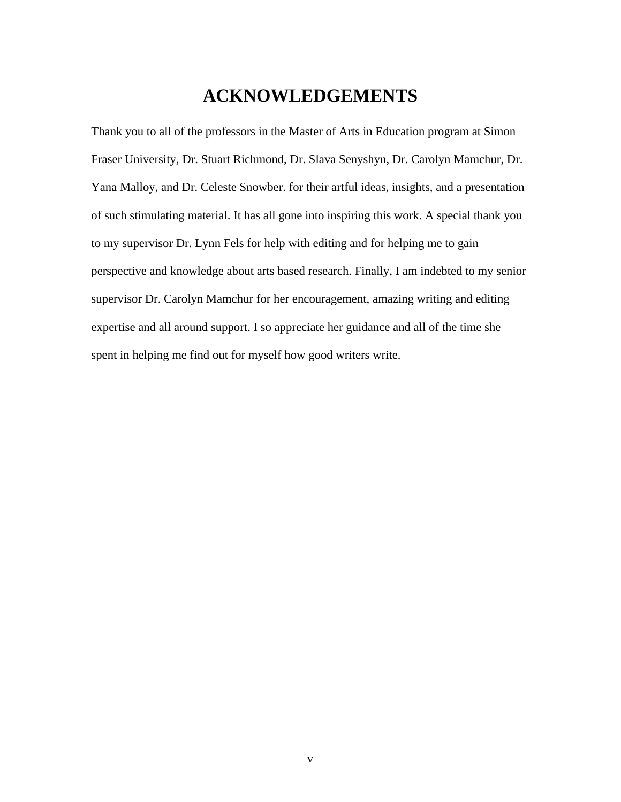## **ACKNOWLEDGEMENTS**

Thank you to all of the professors in the Master of Arts in Education program at Simon Fraser University, Dr. Stuart Richmond, Dr. Slava Senyshyn, Dr. Carolyn Mamchur, Dr. Yana Malloy, and Dr. Celeste Snowber. for their artful ideas, insights, and a presentation of such stimulating material. It has all gone into inspiring this work. A special thank you to my supervisor Dr. Lynn Fels for help with editing and for helping me to gain perspective and knowledge about arts based research. Finally, I am indebted to my senior supervisor Dr. Carolyn Mamchur for her encouragement, amazing writing and editing expertise and all around support. I so appreciate her guidance and all of the time she spent in helping me find out for myself how good writers write.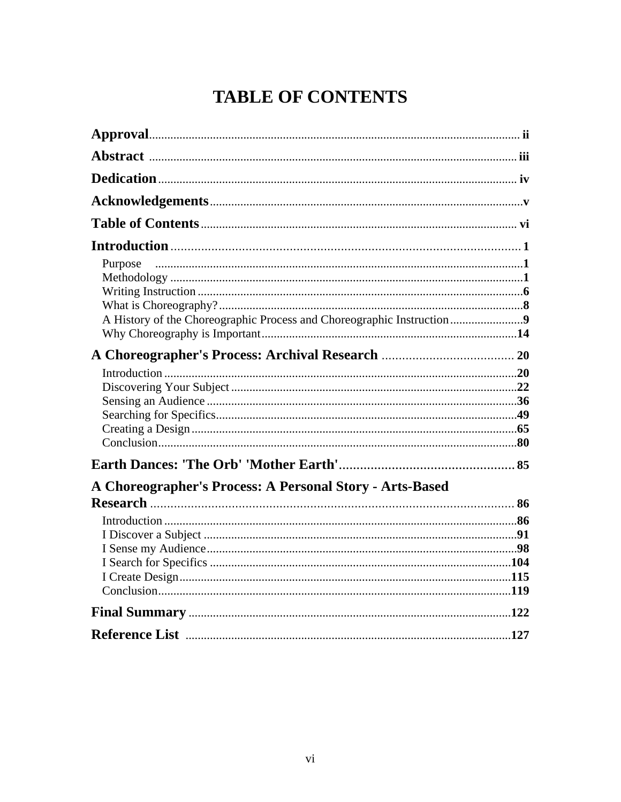# **TABLE OF CONTENTS**

| Purpose                                                               |  |
|-----------------------------------------------------------------------|--|
| A History of the Choreographic Process and Choreographic Instruction9 |  |
|                                                                       |  |
| A Choreographer's Process: A Personal Story - Arts-Based              |  |
|                                                                       |  |
|                                                                       |  |
|                                                                       |  |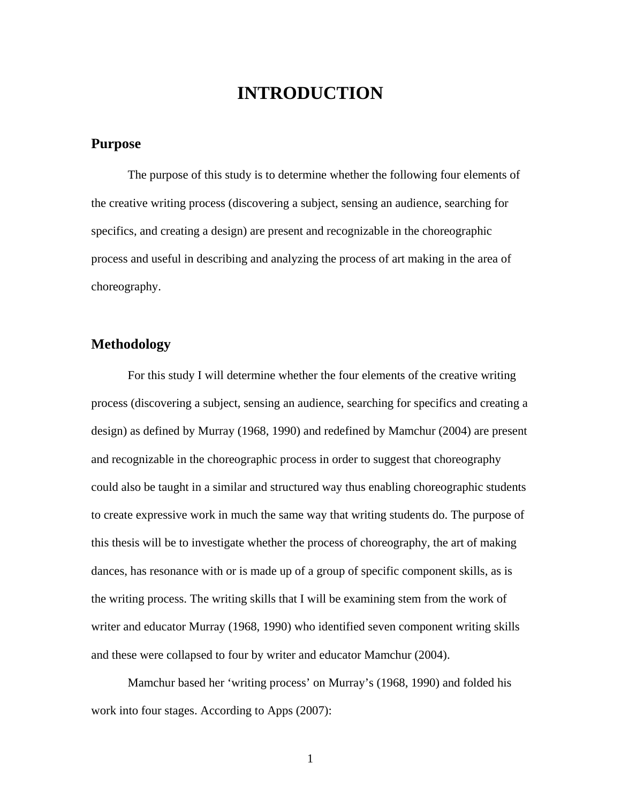## **INTRODUCTION**

### **Purpose**

The purpose of this study is to determine whether the following four elements of the creative writing process (discovering a subject, sensing an audience, searching for specifics, and creating a design) are present and recognizable in the choreographic process and useful in describing and analyzing the process of art making in the area of choreography.

### **Methodology**

For this study I will determine whether the four elements of the creative writing process (discovering a subject, sensing an audience, searching for specifics and creating a design) as defined by Murray (1968, 1990) and redefined by Mamchur (2004) are present and recognizable in the choreographic process in order to suggest that choreography could also be taught in a similar and structured way thus enabling choreographic students to create expressive work in much the same way that writing students do. The purpose of this thesis will be to investigate whether the process of choreography, the art of making dances, has resonance with or is made up of a group of specific component skills, as is the writing process. The writing skills that I will be examining stem from the work of writer and educator Murray (1968, 1990) who identified seven component writing skills and these were collapsed to four by writer and educator Mamchur (2004).

Mamchur based her 'writing process' on Murray's (1968, 1990) and folded his work into four stages. According to Apps (2007):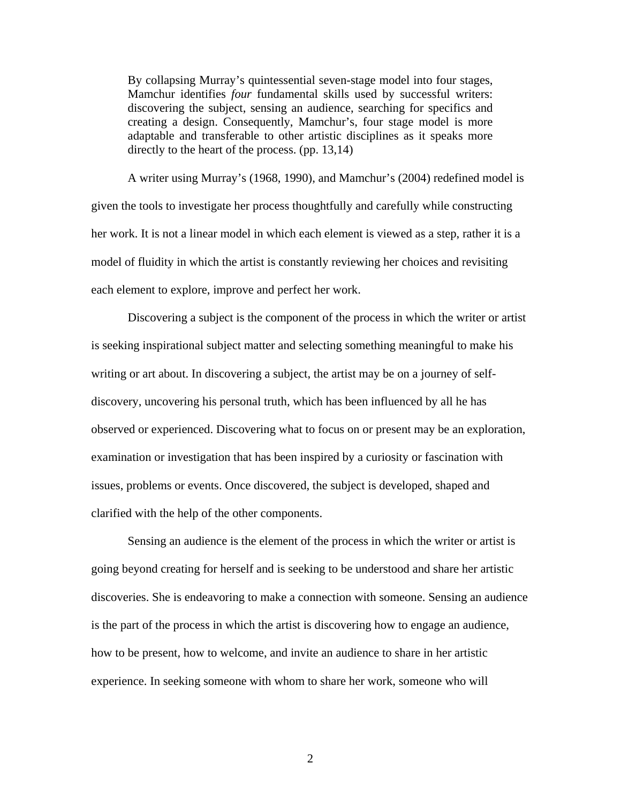By collapsing Murray's quintessential seven-stage model into four stages, Mamchur identifies *four* fundamental skills used by successful writers: discovering the subject, sensing an audience, searching for specifics and creating a design. Consequently, Mamchur's, four stage model is more adaptable and transferable to other artistic disciplines as it speaks more directly to the heart of the process. (pp. 13,14)

A writer using Murray's (1968, 1990), and Mamchur's (2004) redefined model is given the tools to investigate her process thoughtfully and carefully while constructing her work. It is not a linear model in which each element is viewed as a step, rather it is a model of fluidity in which the artist is constantly reviewing her choices and revisiting each element to explore, improve and perfect her work.

Discovering a subject is the component of the process in which the writer or artist is seeking inspirational subject matter and selecting something meaningful to make his writing or art about. In discovering a subject, the artist may be on a journey of selfdiscovery, uncovering his personal truth, which has been influenced by all he has observed or experienced. Discovering what to focus on or present may be an exploration, examination or investigation that has been inspired by a curiosity or fascination with issues, problems or events. Once discovered, the subject is developed, shaped and clarified with the help of the other components.

Sensing an audience is the element of the process in which the writer or artist is going beyond creating for herself and is seeking to be understood and share her artistic discoveries. She is endeavoring to make a connection with someone. Sensing an audience is the part of the process in which the artist is discovering how to engage an audience, how to be present, how to welcome, and invite an audience to share in her artistic experience. In seeking someone with whom to share her work, someone who will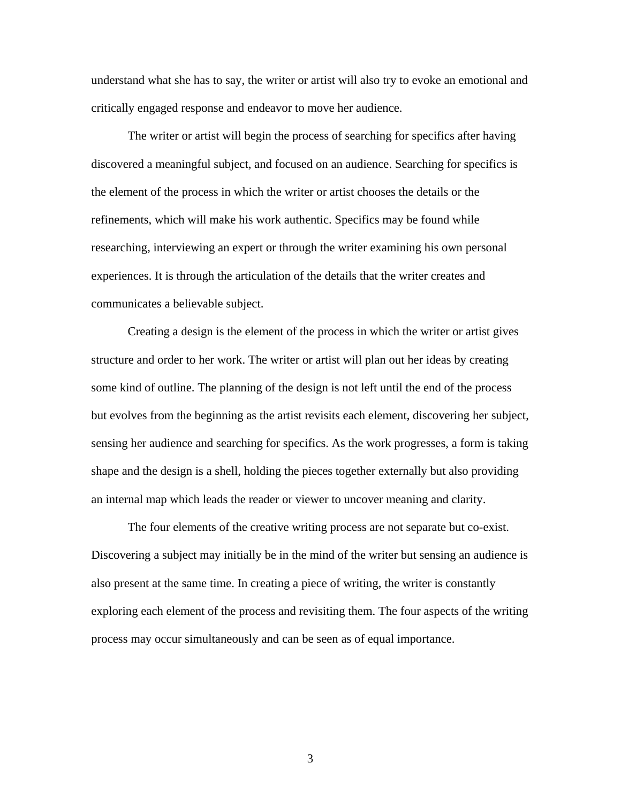understand what she has to say, the writer or artist will also try to evoke an emotional and critically engaged response and endeavor to move her audience.

The writer or artist will begin the process of searching for specifics after having discovered a meaningful subject, and focused on an audience. Searching for specifics is the element of the process in which the writer or artist chooses the details or the refinements, which will make his work authentic. Specifics may be found while researching, interviewing an expert or through the writer examining his own personal experiences. It is through the articulation of the details that the writer creates and communicates a believable subject.

Creating a design is the element of the process in which the writer or artist gives structure and order to her work. The writer or artist will plan out her ideas by creating some kind of outline. The planning of the design is not left until the end of the process but evolves from the beginning as the artist revisits each element, discovering her subject, sensing her audience and searching for specifics. As the work progresses, a form is taking shape and the design is a shell, holding the pieces together externally but also providing an internal map which leads the reader or viewer to uncover meaning and clarity.

The four elements of the creative writing process are not separate but co-exist. Discovering a subject may initially be in the mind of the writer but sensing an audience is also present at the same time. In creating a piece of writing, the writer is constantly exploring each element of the process and revisiting them. The four aspects of the writing process may occur simultaneously and can be seen as of equal importance.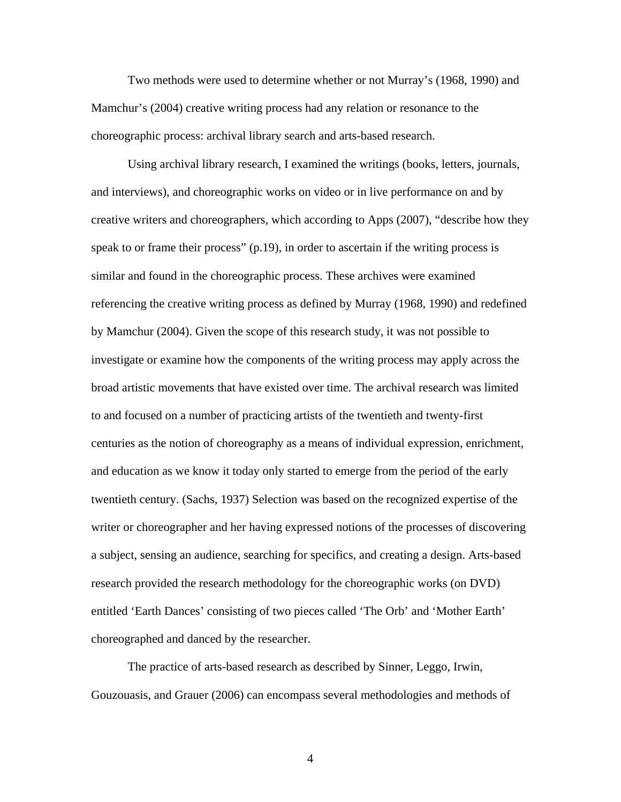Two methods were used to determine whether or not Murray's (1968, 1990) and Mamchur's (2004) creative writing process had any relation or resonance to the choreographic process: archival library search and arts-based research.

Using archival library research, I examined the writings (books, letters, journals, and interviews), and choreographic works on video or in live performance on and by creative writers and choreographers, which according to Apps (2007), "describe how they speak to or frame their process" (p.19), in order to ascertain if the writing process is similar and found in the choreographic process. These archives were examined referencing the creative writing process as defined by Murray (1968, 1990) and redefined by Mamchur (2004). Given the scope of this research study, it was not possible to investigate or examine how the components of the writing process may apply across the broad artistic movements that have existed over time. The archival research was limited to and focused on a number of practicing artists of the twentieth and twenty-first centuries as the notion of choreography as a means of individual expression, enrichment, and education as we know it today only started to emerge from the period of the early twentieth century. (Sachs, 1937) Selection was based on the recognized expertise of the writer or choreographer and her having expressed notions of the processes of discovering a subject, sensing an audience, searching for specifics, and creating a design. Arts-based research provided the research methodology for the choreographic works (on DVD) entitled 'Earth Dances' consisting of two pieces called 'The Orb' and 'Mother Earth' choreographed and danced by the researcher.

The practice of arts-based research as described by Sinner, Leggo, Irwin, Gouzouasis, and Grauer (2006) can encompass several methodologies and methods of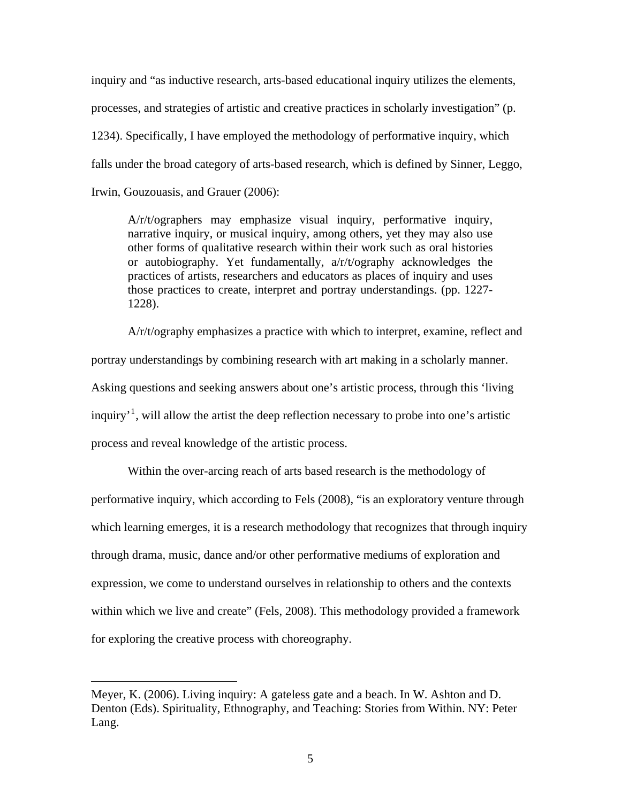inquiry and "as inductive research, arts-based educational inquiry utilizes the elements, processes, and strategies of artistic and creative practices in scholarly investigation" (p. 1234). Specifically, I have employed the methodology of performative inquiry, which falls under the broad category of arts-based research, which is defined by Sinner, Leggo, Irwin, Gouzouasis, and Grauer (2006):

A/r/t/ographers may emphasize visual inquiry, performative inquiry, narrative inquiry, or musical inquiry, among others, yet they may also use other forms of qualitative research within their work such as oral histories or autobiography. Yet fundamentally, a/r/t/ography acknowledges the practices of artists, researchers and educators as places of inquiry and uses those practices to create, interpret and portray understandings. (pp. 1227- 1228).

A/r/t/ography emphasizes a practice with which to interpret, examine, reflect and portray understandings by combining research with art making in a scholarly manner. Asking questions and seeking answers about one's artistic process, through this 'living inquiry<sup>[1](#page-11-0)</sup>, will allow the artist the deep reflection necessary to probe into one's artistic process and reveal knowledge of the artistic process.

Within the over-arcing reach of arts based research is the methodology of performative inquiry, which according to Fels (2008), "is an exploratory venture through which learning emerges, it is a research methodology that recognizes that through inquiry through drama, music, dance and/or other performative mediums of exploration and expression, we come to understand ourselves in relationship to others and the contexts within which we live and create" (Fels, 2008). This methodology provided a framework for exploring the creative process with choreography.

 $\overline{a}$ 

<span id="page-11-0"></span>Meyer, K. (2006). Living inquiry: A gateless gate and a beach. In W. Ashton and D. Denton (Eds). Spirituality, Ethnography, and Teaching: Stories from Within. NY: Peter Lang.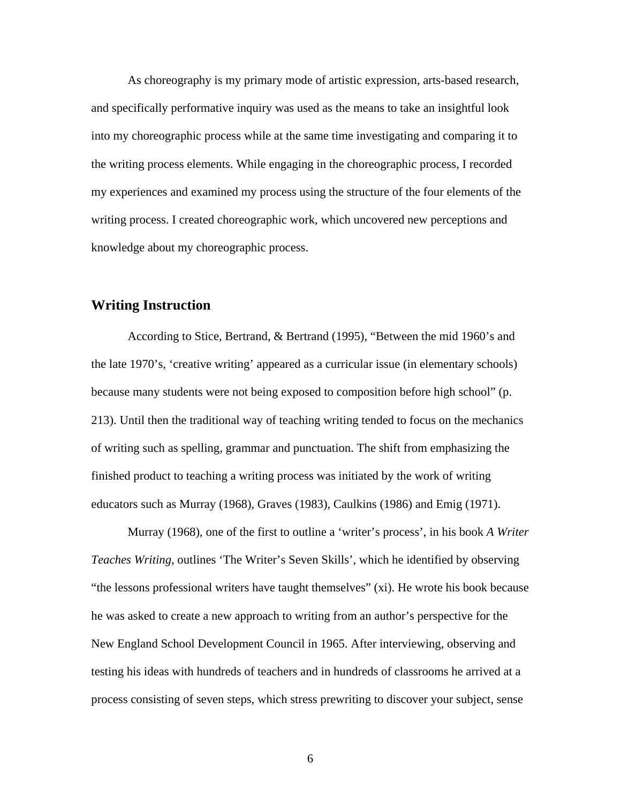As choreography is my primary mode of artistic expression, arts-based research, and specifically performative inquiry was used as the means to take an insightful look into my choreographic process while at the same time investigating and comparing it to the writing process elements. While engaging in the choreographic process, I recorded my experiences and examined my process using the structure of the four elements of the writing process. I created choreographic work, which uncovered new perceptions and knowledge about my choreographic process.

#### **Writing Instruction**

According to Stice, Bertrand, & Bertrand (1995), "Between the mid 1960's and the late 1970's, 'creative writing' appeared as a curricular issue (in elementary schools) because many students were not being exposed to composition before high school" (p. 213). Until then the traditional way of teaching writing tended to focus on the mechanics of writing such as spelling, grammar and punctuation. The shift from emphasizing the finished product to teaching a writing process was initiated by the work of writing educators such as Murray (1968), Graves (1983), Caulkins (1986) and Emig (1971).

 Murray (1968), one of the first to outline a 'writer's process', in his book *A Writer Teaches Writing*, outlines 'The Writer's Seven Skills', which he identified by observing "the lessons professional writers have taught themselves" (xi). He wrote his book because he was asked to create a new approach to writing from an author's perspective for the New England School Development Council in 1965. After interviewing, observing and testing his ideas with hundreds of teachers and in hundreds of classrooms he arrived at a process consisting of seven steps, which stress prewriting to discover your subject, sense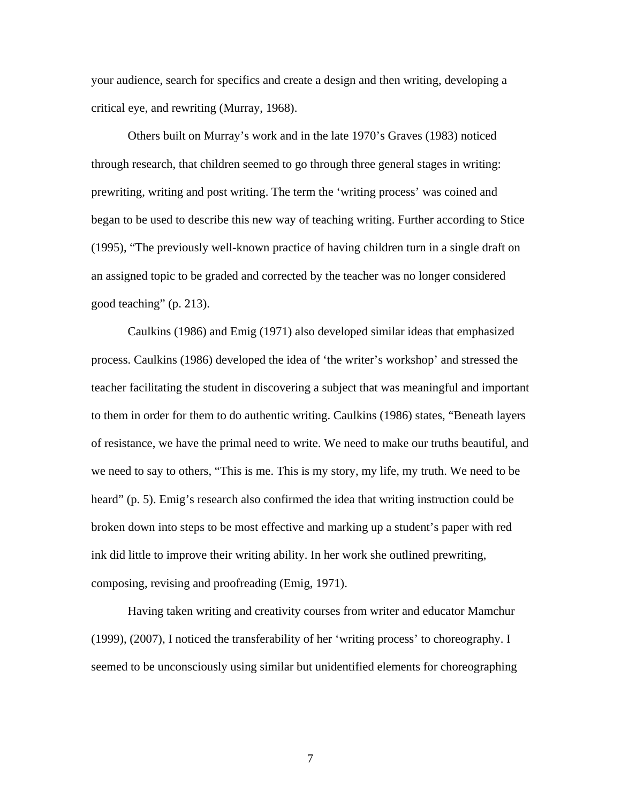your audience, search for specifics and create a design and then writing, developing a critical eye, and rewriting (Murray, 1968).

 Others built on Murray's work and in the late 1970's Graves (1983) noticed through research, that children seemed to go through three general stages in writing: prewriting, writing and post writing. The term the 'writing process' was coined and began to be used to describe this new way of teaching writing. Further according to Stice (1995), "The previously well-known practice of having children turn in a single draft on an assigned topic to be graded and corrected by the teacher was no longer considered good teaching" (p. 213).

Caulkins (1986) and Emig (1971) also developed similar ideas that emphasized process. Caulkins (1986) developed the idea of 'the writer's workshop' and stressed the teacher facilitating the student in discovering a subject that was meaningful and important to them in order for them to do authentic writing. Caulkins (1986) states, "Beneath layers of resistance, we have the primal need to write. We need to make our truths beautiful, and we need to say to others, "This is me. This is my story, my life, my truth. We need to be heard" (p. 5). Emig's research also confirmed the idea that writing instruction could be broken down into steps to be most effective and marking up a student's paper with red ink did little to improve their writing ability. In her work she outlined prewriting, composing, revising and proofreading (Emig, 1971).

Having taken writing and creativity courses from writer and educator Mamchur (1999), (2007), I noticed the transferability of her 'writing process' to choreography. I seemed to be unconsciously using similar but unidentified elements for choreographing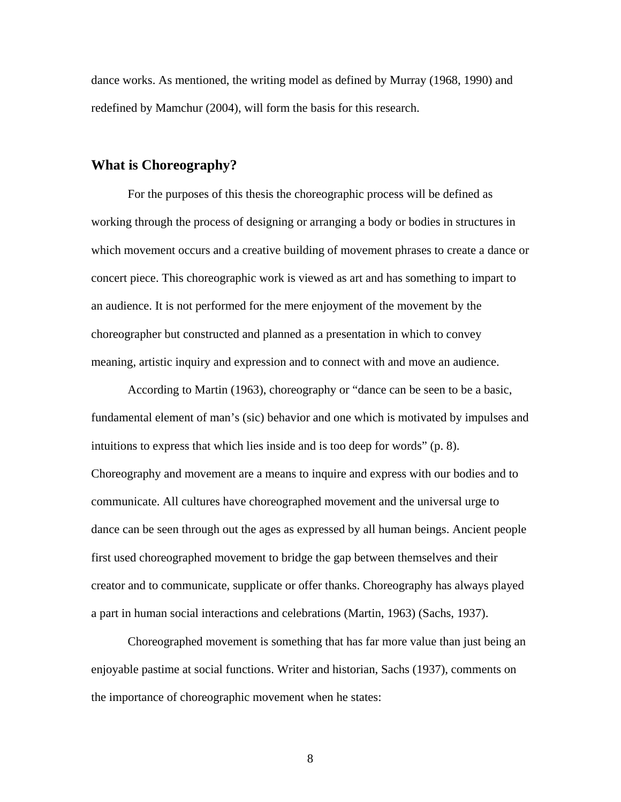dance works. As mentioned, the writing model as defined by Murray (1968, 1990) and redefined by Mamchur (2004), will form the basis for this research.

#### **What is Choreography?**

For the purposes of this thesis the choreographic process will be defined as working through the process of designing or arranging a body or bodies in structures in which movement occurs and a creative building of movement phrases to create a dance or concert piece. This choreographic work is viewed as art and has something to impart to an audience. It is not performed for the mere enjoyment of the movement by the choreographer but constructed and planned as a presentation in which to convey meaning, artistic inquiry and expression and to connect with and move an audience.

According to Martin (1963), choreography or "dance can be seen to be a basic, fundamental element of man's (sic) behavior and one which is motivated by impulses and intuitions to express that which lies inside and is too deep for words" (p. 8). Choreography and movement are a means to inquire and express with our bodies and to communicate. All cultures have choreographed movement and the universal urge to dance can be seen through out the ages as expressed by all human beings. Ancient people first used choreographed movement to bridge the gap between themselves and their creator and to communicate, supplicate or offer thanks. Choreography has always played a part in human social interactions and celebrations (Martin, 1963) (Sachs, 1937).

Choreographed movement is something that has far more value than just being an enjoyable pastime at social functions. Writer and historian, Sachs (1937), comments on the importance of choreographic movement when he states: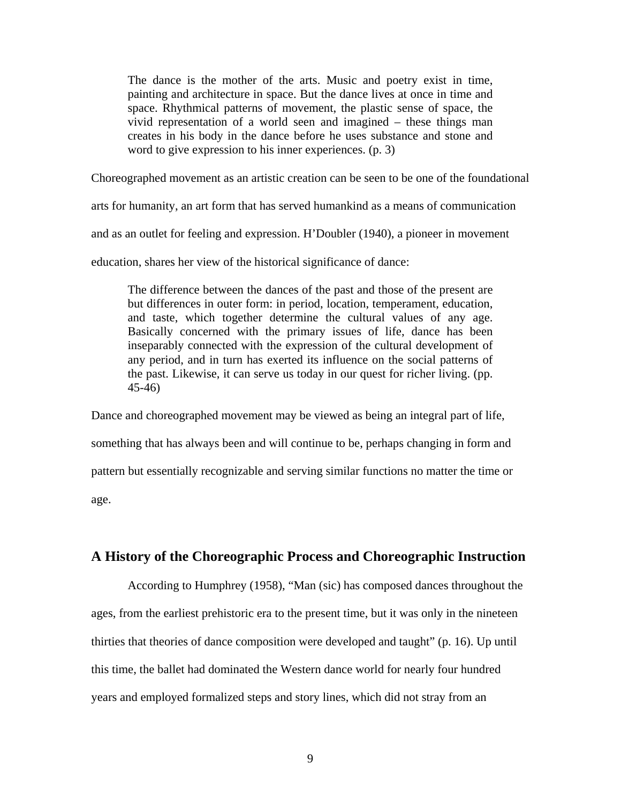The dance is the mother of the arts. Music and poetry exist in time, painting and architecture in space. But the dance lives at once in time and space. Rhythmical patterns of movement, the plastic sense of space, the vivid representation of a world seen and imagined – these things man creates in his body in the dance before he uses substance and stone and word to give expression to his inner experiences. (p. 3)

Choreographed movement as an artistic creation can be seen to be one of the foundational

arts for humanity, an art form that has served humankind as a means of communication

and as an outlet for feeling and expression. H'Doubler (1940), a pioneer in movement

education, shares her view of the historical significance of dance:

The difference between the dances of the past and those of the present are but differences in outer form: in period, location, temperament, education, and taste, which together determine the cultural values of any age. Basically concerned with the primary issues of life, dance has been inseparably connected with the expression of the cultural development of any period, and in turn has exerted its influence on the social patterns of the past. Likewise, it can serve us today in our quest for richer living. (pp. 45-46)

Dance and choreographed movement may be viewed as being an integral part of life, something that has always been and will continue to be, perhaps changing in form and pattern but essentially recognizable and serving similar functions no matter the time or age.

#### **A History of the Choreographic Process and Choreographic Instruction**

According to Humphrey (1958), "Man (sic) has composed dances throughout the ages, from the earliest prehistoric era to the present time, but it was only in the nineteen thirties that theories of dance composition were developed and taught" (p. 16). Up until this time, the ballet had dominated the Western dance world for nearly four hundred years and employed formalized steps and story lines, which did not stray from an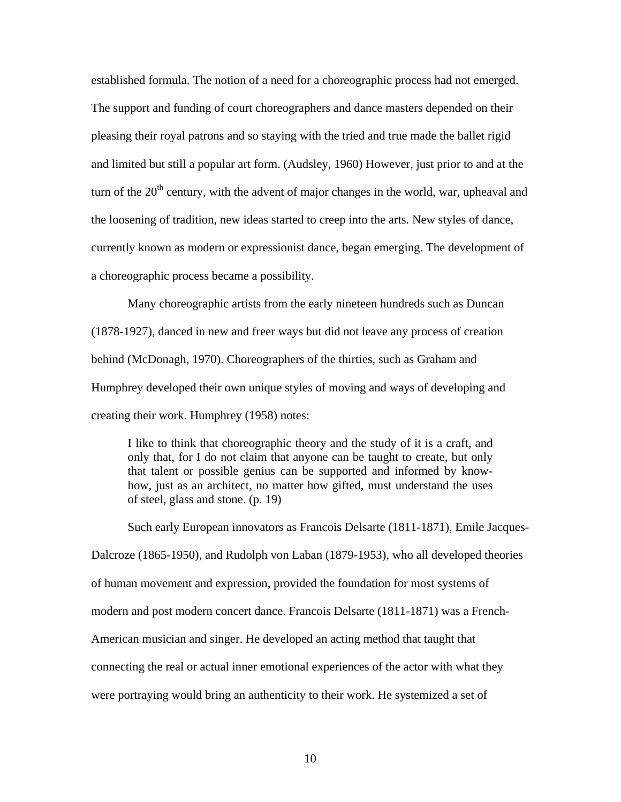established formula. The notion of a need for a choreographic process had not emerged. The support and funding of court choreographers and dance masters depended on their pleasing their royal patrons and so staying with the tried and true made the ballet rigid and limited but still a popular art form. (Audsley, 1960) However, just prior to and at the turn of the  $20<sup>th</sup>$  century, with the advent of major changes in the world, war, upheaval and the loosening of tradition, new ideas started to creep into the arts. New styles of dance, currently known as modern or expressionist dance, began emerging. The development of a choreographic process became a possibility.

Many choreographic artists from the early nineteen hundreds such as Duncan (1878-1927), danced in new and freer ways but did not leave any process of creation behind (McDonagh, 1970). Choreographers of the thirties, such as Graham and Humphrey developed their own unique styles of moving and ways of developing and creating their work. Humphrey (1958) notes:

I like to think that choreographic theory and the study of it is a craft, and only that, for I do not claim that anyone can be taught to create, but only that talent or possible genius can be supported and informed by knowhow, just as an architect, no matter how gifted, must understand the uses of steel, glass and stone. (p. 19)

Such early European innovators as Francois Delsarte (1811-1871), Emile Jacques-Dalcroze (1865-1950), and Rudolph von Laban (1879-1953), who all developed theories of human movement and expression, provided the foundation for most systems of modern and post modern concert dance. Francois Delsarte (1811-1871) was a French-American musician and singer. He developed an acting method that taught that connecting the real or actual inner emotional experiences of the actor with what they were portraying would bring an authenticity to their work. He systemized a set of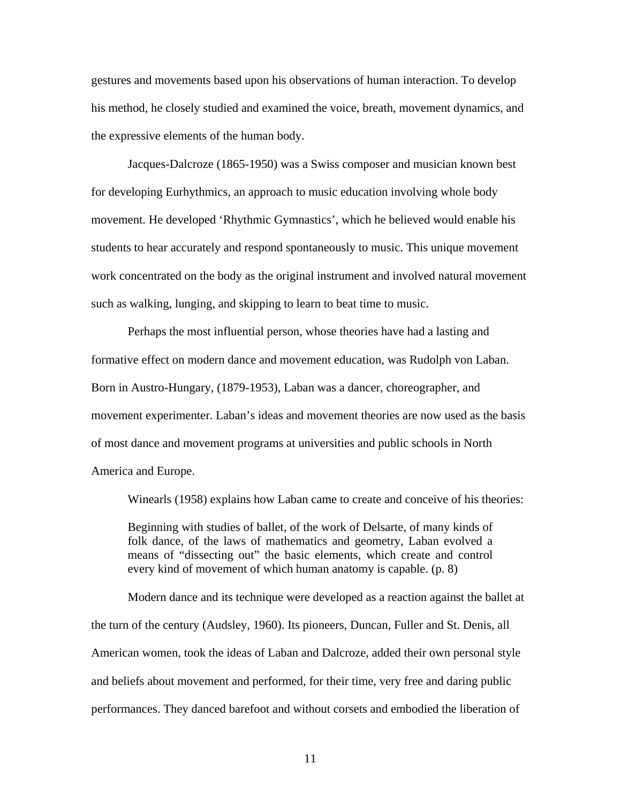gestures and movements based upon his observations of human interaction. To develop his method, he closely studied and examined the voice, breath, movement dynamics, and the expressive elements of the human body.

Jacques-Dalcroze (1865-1950) was a Swiss composer and musician known best for developing Eurhythmics, an approach to music education involving whole body movement. He developed 'Rhythmic Gymnastics', which he believed would enable his students to hear accurately and respond spontaneously to music. This unique movement work concentrated on the body as the original instrument and involved natural movement such as walking, lunging, and skipping to learn to beat time to music.

Perhaps the most influential person, whose theories have had a lasting and formative effect on modern dance and movement education, was Rudolph von Laban. Born in Austro-Hungary, (1879-1953), Laban was a dancer, choreographer, and movement experimenter. Laban's ideas and movement theories are now used as the basis of most dance and movement programs at universities and public schools in North America and Europe.

Winearls (1958) explains how Laban came to create and conceive of his theories:

Beginning with studies of ballet, of the work of Delsarte, of many kinds of folk dance, of the laws of mathematics and geometry, Laban evolved a means of "dissecting out" the basic elements, which create and control every kind of movement of which human anatomy is capable. (p. 8)

Modern dance and its technique were developed as a reaction against the ballet at the turn of the century (Audsley, 1960). Its pioneers, Duncan, Fuller and St. Denis, all American women, took the ideas of Laban and Dalcroze, added their own personal style and beliefs about movement and performed, for their time, very free and daring public performances. They danced barefoot and without corsets and embodied the liberation of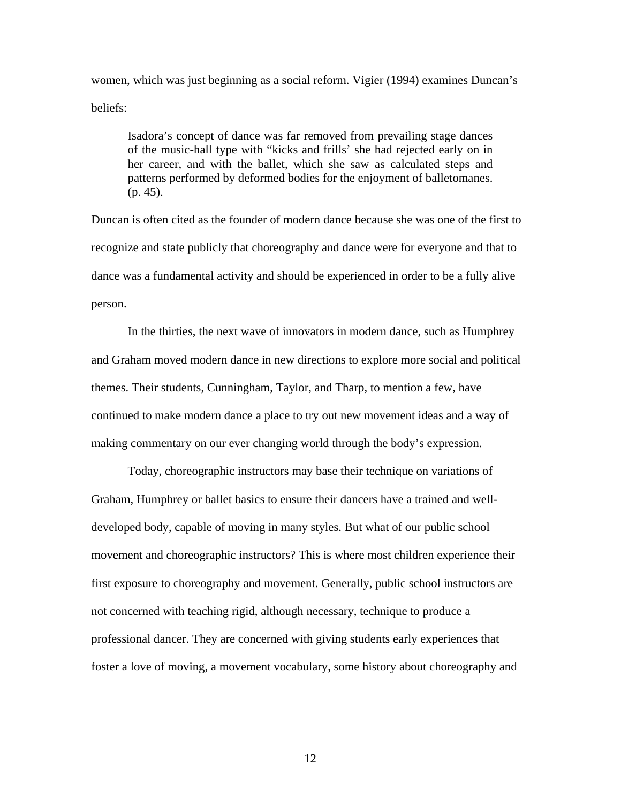women, which was just beginning as a social reform. Vigier (1994) examines Duncan's beliefs:

Isadora's concept of dance was far removed from prevailing stage dances of the music-hall type with "kicks and frills' she had rejected early on in her career, and with the ballet, which she saw as calculated steps and patterns performed by deformed bodies for the enjoyment of balletomanes. (p. 45).

Duncan is often cited as the founder of modern dance because she was one of the first to recognize and state publicly that choreography and dance were for everyone and that to dance was a fundamental activity and should be experienced in order to be a fully alive person.

In the thirties, the next wave of innovators in modern dance, such as Humphrey and Graham moved modern dance in new directions to explore more social and political themes. Their students, Cunningham, Taylor, and Tharp, to mention a few, have continued to make modern dance a place to try out new movement ideas and a way of making commentary on our ever changing world through the body's expression.

Today, choreographic instructors may base their technique on variations of Graham, Humphrey or ballet basics to ensure their dancers have a trained and welldeveloped body, capable of moving in many styles. But what of our public school movement and choreographic instructors? This is where most children experience their first exposure to choreography and movement. Generally, public school instructors are not concerned with teaching rigid, although necessary, technique to produce a professional dancer. They are concerned with giving students early experiences that foster a love of moving, a movement vocabulary, some history about choreography and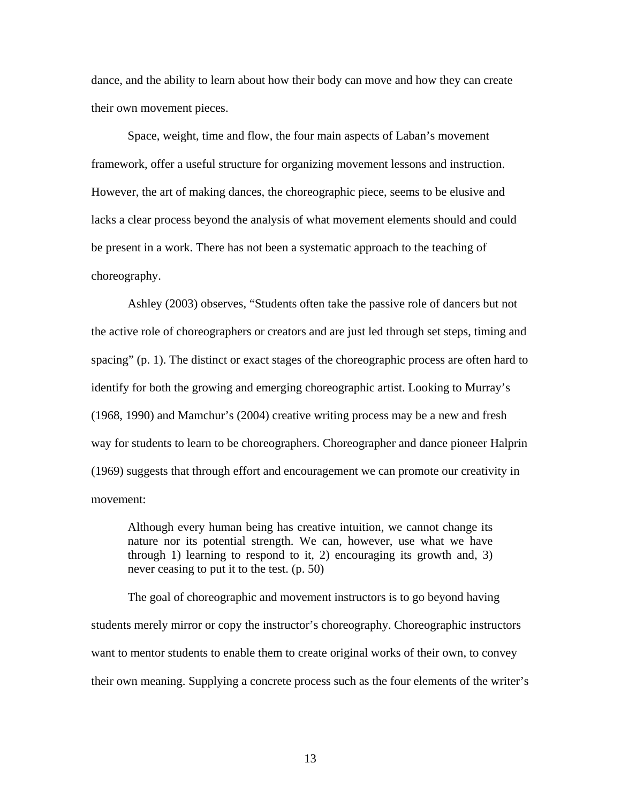dance, and the ability to learn about how their body can move and how they can create their own movement pieces.

Space, weight, time and flow, the four main aspects of Laban's movement framework, offer a useful structure for organizing movement lessons and instruction. However, the art of making dances, the choreographic piece, seems to be elusive and lacks a clear process beyond the analysis of what movement elements should and could be present in a work. There has not been a systematic approach to the teaching of choreography.

Ashley (2003) observes, "Students often take the passive role of dancers but not the active role of choreographers or creators and are just led through set steps, timing and spacing" (p. 1). The distinct or exact stages of the choreographic process are often hard to identify for both the growing and emerging choreographic artist. Looking to Murray's (1968, 1990) and Mamchur's (2004) creative writing process may be a new and fresh way for students to learn to be choreographers. Choreographer and dance pioneer Halprin (1969) suggests that through effort and encouragement we can promote our creativity in movement:

Although every human being has creative intuition, we cannot change its nature nor its potential strength. We can, however, use what we have through 1) learning to respond to it, 2) encouraging its growth and, 3) never ceasing to put it to the test. (p. 50)

The goal of choreographic and movement instructors is to go beyond having students merely mirror or copy the instructor's choreography. Choreographic instructors want to mentor students to enable them to create original works of their own, to convey their own meaning. Supplying a concrete process such as the four elements of the writer's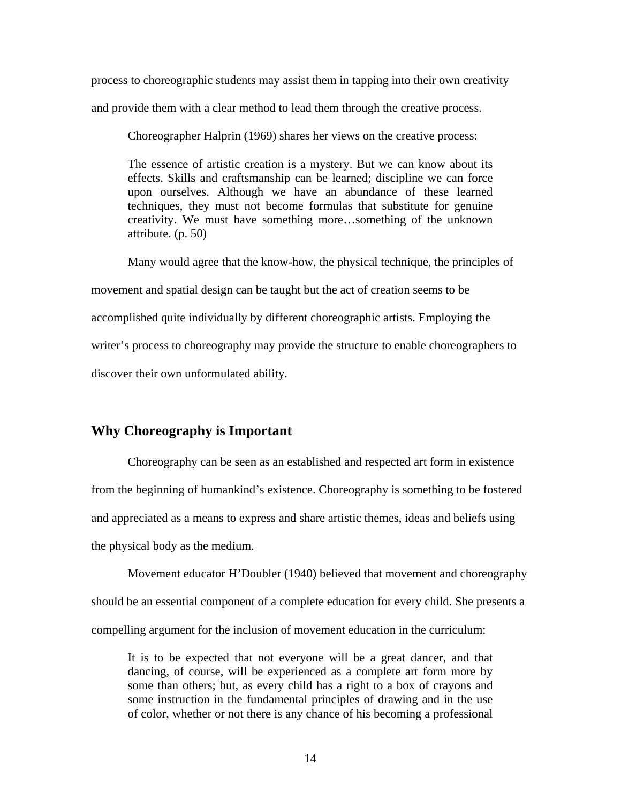process to choreographic students may assist them in tapping into their own creativity and provide them with a clear method to lead them through the creative process.

Choreographer Halprin (1969) shares her views on the creative process:

The essence of artistic creation is a mystery. But we can know about its effects. Skills and craftsmanship can be learned; discipline we can force upon ourselves. Although we have an abundance of these learned techniques, they must not become formulas that substitute for genuine creativity. We must have something more…something of the unknown attribute. (p. 50)

Many would agree that the know-how, the physical technique, the principles of

movement and spatial design can be taught but the act of creation seems to be

accomplished quite individually by different choreographic artists. Employing the

writer's process to choreography may provide the structure to enable choreographers to

discover their own unformulated ability.

### **Why Choreography is Important**

Choreography can be seen as an established and respected art form in existence from the beginning of humankind's existence. Choreography is something to be fostered and appreciated as a means to express and share artistic themes, ideas and beliefs using the physical body as the medium.

Movement educator H'Doubler (1940) believed that movement and choreography should be an essential component of a complete education for every child. She presents a compelling argument for the inclusion of movement education in the curriculum:

It is to be expected that not everyone will be a great dancer, and that dancing, of course, will be experienced as a complete art form more by some than others; but, as every child has a right to a box of crayons and some instruction in the fundamental principles of drawing and in the use of color, whether or not there is any chance of his becoming a professional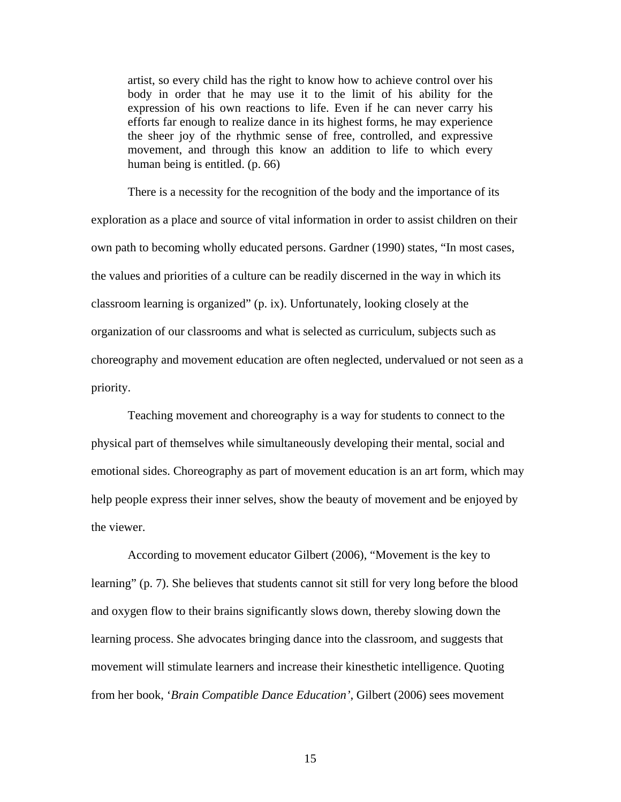artist, so every child has the right to know how to achieve control over his body in order that he may use it to the limit of his ability for the expression of his own reactions to life. Even if he can never carry his efforts far enough to realize dance in its highest forms, he may experience the sheer joy of the rhythmic sense of free, controlled, and expressive movement, and through this know an addition to life to which every human being is entitled. (p. 66)

There is a necessity for the recognition of the body and the importance of its exploration as a place and source of vital information in order to assist children on their own path to becoming wholly educated persons. Gardner (1990) states, "In most cases, the values and priorities of a culture can be readily discerned in the way in which its classroom learning is organized" (p. ix). Unfortunately, looking closely at the organization of our classrooms and what is selected as curriculum, subjects such as choreography and movement education are often neglected, undervalued or not seen as a priority.

Teaching movement and choreography is a way for students to connect to the physical part of themselves while simultaneously developing their mental, social and emotional sides. Choreography as part of movement education is an art form, which may help people express their inner selves, show the beauty of movement and be enjoyed by the viewer.

According to movement educator Gilbert (2006), "Movement is the key to learning" (p. 7). She believes that students cannot sit still for very long before the blood and oxygen flow to their brains significantly slows down, thereby slowing down the learning process. She advocates bringing dance into the classroom, and suggests that movement will stimulate learners and increase their kinesthetic intelligence. Quoting from her book, '*Brain Compatible Dance Education'*, Gilbert (2006) sees movement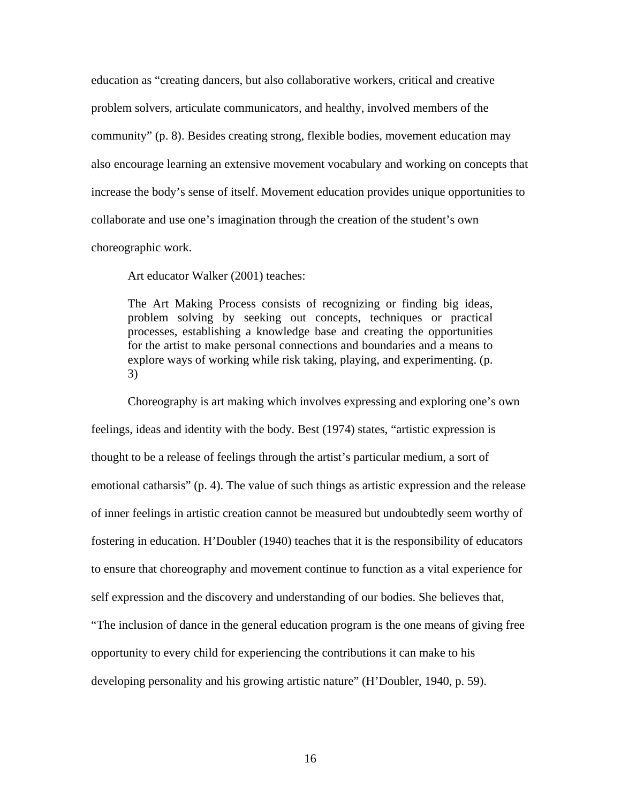education as "creating dancers, but also collaborative workers, critical and creative problem solvers, articulate communicators, and healthy, involved members of the community" (p. 8). Besides creating strong, flexible bodies, movement education may also encourage learning an extensive movement vocabulary and working on concepts that increase the body's sense of itself. Movement education provides unique opportunities to collaborate and use one's imagination through the creation of the student's own

choreographic work.

Art educator Walker (2001) teaches:

The Art Making Process consists of recognizing or finding big ideas, problem solving by seeking out concepts, techniques or practical processes, establishing a knowledge base and creating the opportunities for the artist to make personal connections and boundaries and a means to explore ways of working while risk taking, playing, and experimenting. (p. 3)

Choreography is art making which involves expressing and exploring one's own feelings, ideas and identity with the body. Best (1974) states, "artistic expression is thought to be a release of feelings through the artist's particular medium, a sort of emotional catharsis" (p. 4). The value of such things as artistic expression and the release of inner feelings in artistic creation cannot be measured but undoubtedly seem worthy of fostering in education. H'Doubler (1940) teaches that it is the responsibility of educators to ensure that choreography and movement continue to function as a vital experience for self expression and the discovery and understanding of our bodies. She believes that, "The inclusion of dance in the general education program is the one means of giving free opportunity to every child for experiencing the contributions it can make to his developing personality and his growing artistic nature" (H'Doubler, 1940, p. 59).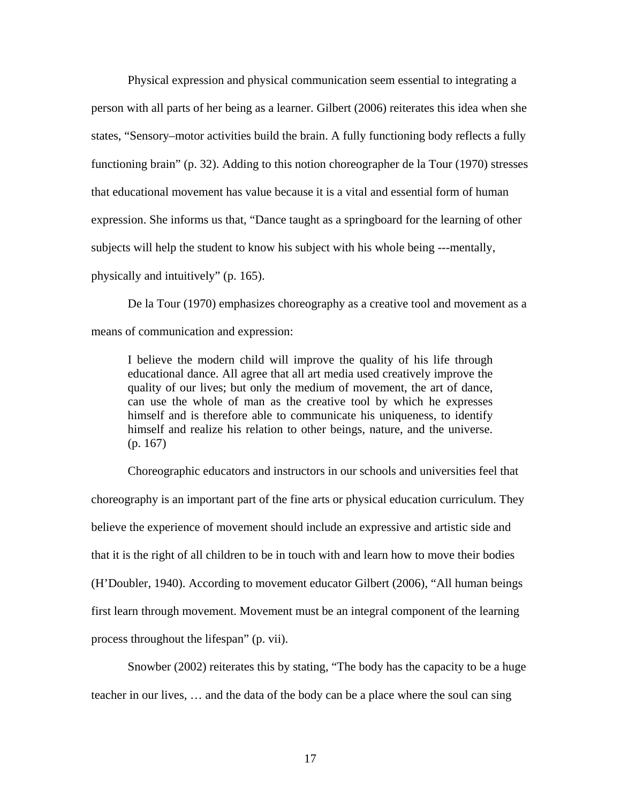Physical expression and physical communication seem essential to integrating a person with all parts of her being as a learner. Gilbert (2006) reiterates this idea when she states, "Sensory–motor activities build the brain. A fully functioning body reflects a fully functioning brain" (p. 32). Adding to this notion choreographer de la Tour (1970) stresses that educational movement has value because it is a vital and essential form of human expression. She informs us that, "Dance taught as a springboard for the learning of other subjects will help the student to know his subject with his whole being ---mentally, physically and intuitively" (p. 165).

De la Tour (1970) emphasizes choreography as a creative tool and movement as a means of communication and expression:

I believe the modern child will improve the quality of his life through educational dance. All agree that all art media used creatively improve the quality of our lives; but only the medium of movement, the art of dance, can use the whole of man as the creative tool by which he expresses himself and is therefore able to communicate his uniqueness, to identify himself and realize his relation to other beings, nature, and the universe. (p. 167)

Choreographic educators and instructors in our schools and universities feel that choreography is an important part of the fine arts or physical education curriculum. They believe the experience of movement should include an expressive and artistic side and that it is the right of all children to be in touch with and learn how to move their bodies (H'Doubler, 1940). According to movement educator Gilbert (2006), "All human beings first learn through movement. Movement must be an integral component of the learning process throughout the lifespan" (p. vii).

Snowber (2002) reiterates this by stating, "The body has the capacity to be a huge teacher in our lives, … and the data of the body can be a place where the soul can sing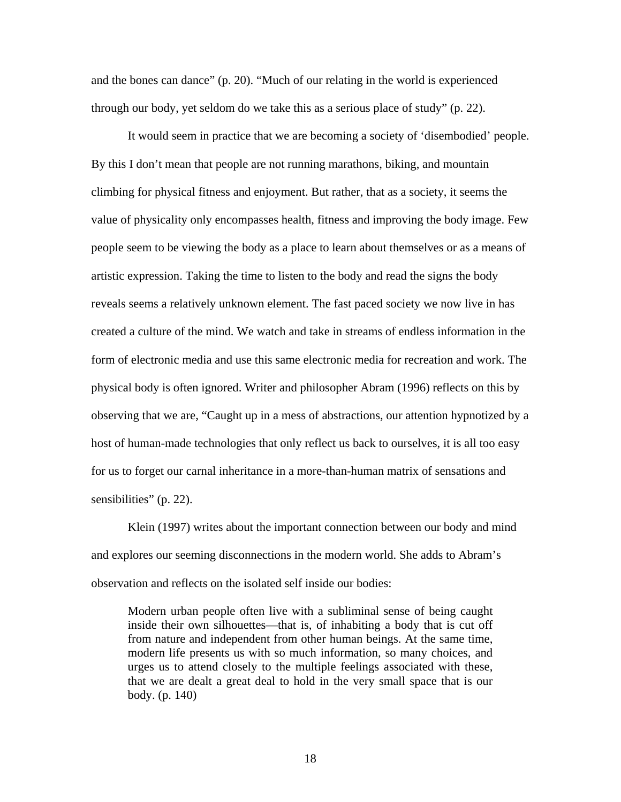and the bones can dance" (p. 20). "Much of our relating in the world is experienced through our body, yet seldom do we take this as a serious place of study" (p. 22).

It would seem in practice that we are becoming a society of 'disembodied' people. By this I don't mean that people are not running marathons, biking, and mountain climbing for physical fitness and enjoyment. But rather, that as a society, it seems the value of physicality only encompasses health, fitness and improving the body image. Few people seem to be viewing the body as a place to learn about themselves or as a means of artistic expression. Taking the time to listen to the body and read the signs the body reveals seems a relatively unknown element. The fast paced society we now live in has created a culture of the mind. We watch and take in streams of endless information in the form of electronic media and use this same electronic media for recreation and work. The physical body is often ignored. Writer and philosopher Abram (1996) reflects on this by observing that we are, "Caught up in a mess of abstractions, our attention hypnotized by a host of human-made technologies that only reflect us back to ourselves, it is all too easy for us to forget our carnal inheritance in a more-than-human matrix of sensations and sensibilities" (p. 22).

Klein (1997) writes about the important connection between our body and mind and explores our seeming disconnections in the modern world. She adds to Abram's observation and reflects on the isolated self inside our bodies:

Modern urban people often live with a subliminal sense of being caught inside their own silhouettes—that is, of inhabiting a body that is cut off from nature and independent from other human beings. At the same time, modern life presents us with so much information, so many choices, and urges us to attend closely to the multiple feelings associated with these, that we are dealt a great deal to hold in the very small space that is our body. (p. 140)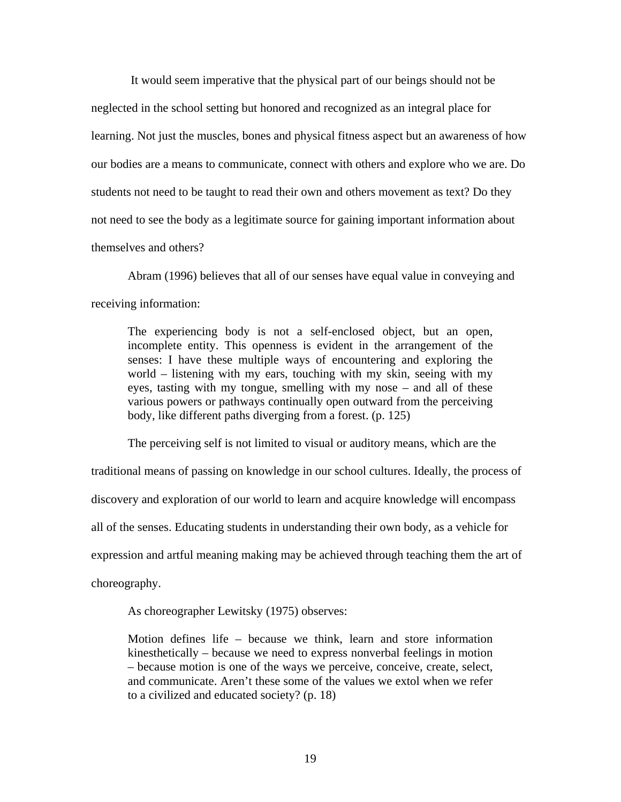It would seem imperative that the physical part of our beings should not be neglected in the school setting but honored and recognized as an integral place for learning. Not just the muscles, bones and physical fitness aspect but an awareness of how our bodies are a means to communicate, connect with others and explore who we are. Do students not need to be taught to read their own and others movement as text? Do they not need to see the body as a legitimate source for gaining important information about themselves and others?

Abram (1996) believes that all of our senses have equal value in conveying and receiving information:

The experiencing body is not a self-enclosed object, but an open, incomplete entity. This openness is evident in the arrangement of the senses: I have these multiple ways of encountering and exploring the world – listening with my ears, touching with my skin, seeing with my eyes, tasting with my tongue, smelling with my nose – and all of these various powers or pathways continually open outward from the perceiving body, like different paths diverging from a forest. (p. 125)

The perceiving self is not limited to visual or auditory means, which are the traditional means of passing on knowledge in our school cultures. Ideally, the process of discovery and exploration of our world to learn and acquire knowledge will encompass all of the senses. Educating students in understanding their own body, as a vehicle for expression and artful meaning making may be achieved through teaching them the art of choreography.

As choreographer Lewitsky (1975) observes:

Motion defines life – because we think, learn and store information kinesthetically – because we need to express nonverbal feelings in motion – because motion is one of the ways we perceive, conceive, create, select, and communicate. Aren't these some of the values we extol when we refer to a civilized and educated society? (p. 18)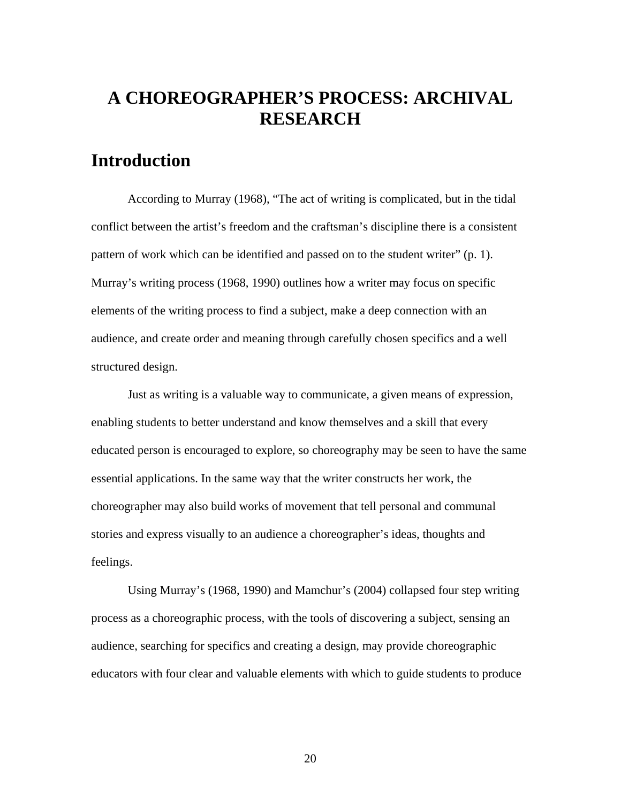## **A CHOREOGRAPHER'S PROCESS: ARCHIVAL RESEARCH**

### **Introduction**

According to Murray (1968), "The act of writing is complicated, but in the tidal conflict between the artist's freedom and the craftsman's discipline there is a consistent pattern of work which can be identified and passed on to the student writer" (p. 1). Murray's writing process (1968, 1990) outlines how a writer may focus on specific elements of the writing process to find a subject, make a deep connection with an audience, and create order and meaning through carefully chosen specifics and a well structured design.

Just as writing is a valuable way to communicate, a given means of expression, enabling students to better understand and know themselves and a skill that every educated person is encouraged to explore, so choreography may be seen to have the same essential applications. In the same way that the writer constructs her work, the choreographer may also build works of movement that tell personal and communal stories and express visually to an audience a choreographer's ideas, thoughts and feelings.

Using Murray's (1968, 1990) and Mamchur's (2004) collapsed four step writing process as a choreographic process, with the tools of discovering a subject, sensing an audience, searching for specifics and creating a design, may provide choreographic educators with four clear and valuable elements with which to guide students to produce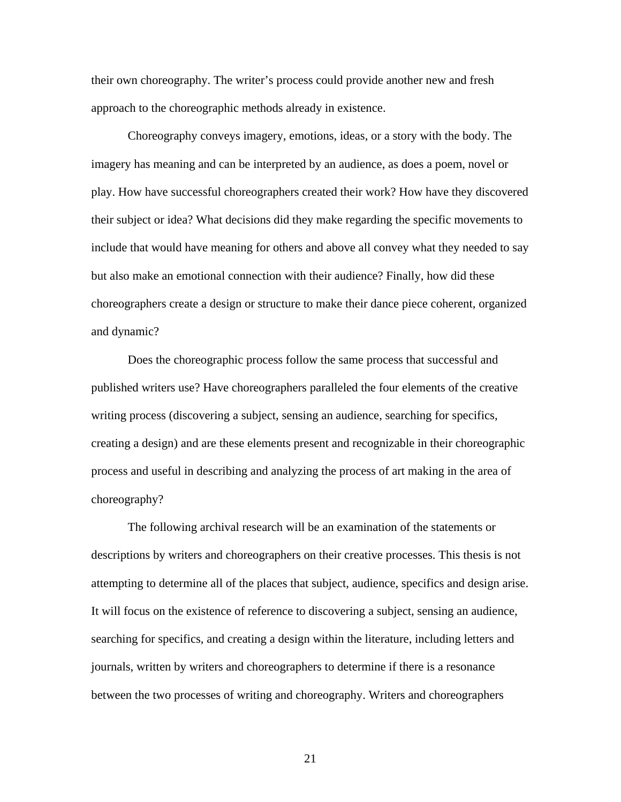their own choreography. The writer's process could provide another new and fresh approach to the choreographic methods already in existence.

Choreography conveys imagery, emotions, ideas, or a story with the body. The imagery has meaning and can be interpreted by an audience, as does a poem, novel or play. How have successful choreographers created their work? How have they discovered their subject or idea? What decisions did they make regarding the specific movements to include that would have meaning for others and above all convey what they needed to say but also make an emotional connection with their audience? Finally, how did these choreographers create a design or structure to make their dance piece coherent, organized and dynamic?

Does the choreographic process follow the same process that successful and published writers use? Have choreographers paralleled the four elements of the creative writing process (discovering a subject, sensing an audience, searching for specifics, creating a design) and are these elements present and recognizable in their choreographic process and useful in describing and analyzing the process of art making in the area of choreography?

The following archival research will be an examination of the statements or descriptions by writers and choreographers on their creative processes. This thesis is not attempting to determine all of the places that subject, audience, specifics and design arise. It will focus on the existence of reference to discovering a subject, sensing an audience, searching for specifics, and creating a design within the literature, including letters and journals, written by writers and choreographers to determine if there is a resonance between the two processes of writing and choreography. Writers and choreographers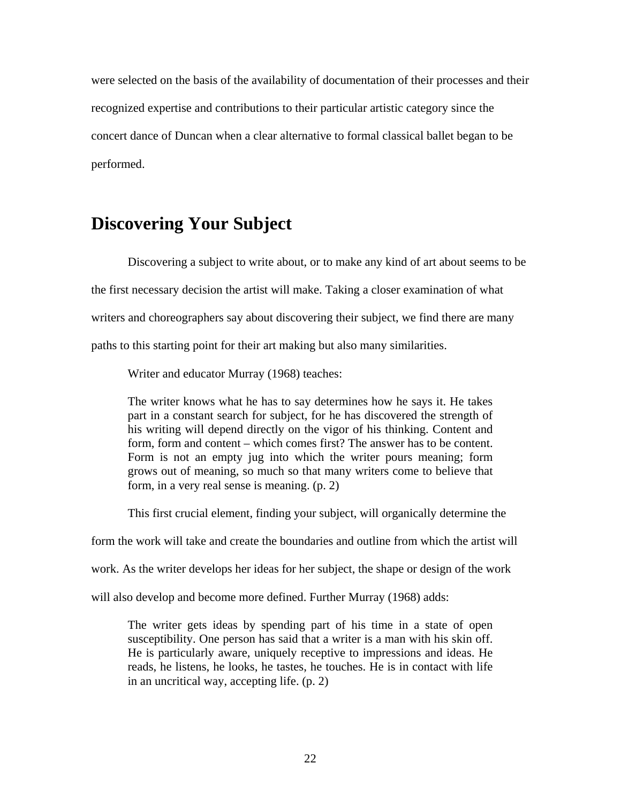were selected on the basis of the availability of documentation of their processes and their recognized expertise and contributions to their particular artistic category since the concert dance of Duncan when a clear alternative to formal classical ballet began to be performed.

### **Discovering Your Subject**

Discovering a subject to write about, or to make any kind of art about seems to be the first necessary decision the artist will make. Taking a closer examination of what writers and choreographers say about discovering their subject, we find there are many paths to this starting point for their art making but also many similarities.

Writer and educator Murray (1968) teaches:

The writer knows what he has to say determines how he says it. He takes part in a constant search for subject, for he has discovered the strength of his writing will depend directly on the vigor of his thinking. Content and form, form and content – which comes first? The answer has to be content. Form is not an empty jug into which the writer pours meaning; form grows out of meaning, so much so that many writers come to believe that form, in a very real sense is meaning. (p. 2)

This first crucial element, finding your subject, will organically determine the

form the work will take and create the boundaries and outline from which the artist will

work. As the writer develops her ideas for her subject, the shape or design of the work

will also develop and become more defined. Further Murray (1968) adds:

The writer gets ideas by spending part of his time in a state of open susceptibility. One person has said that a writer is a man with his skin off. He is particularly aware, uniquely receptive to impressions and ideas. He reads, he listens, he looks, he tastes, he touches. He is in contact with life in an uncritical way, accepting life. (p. 2)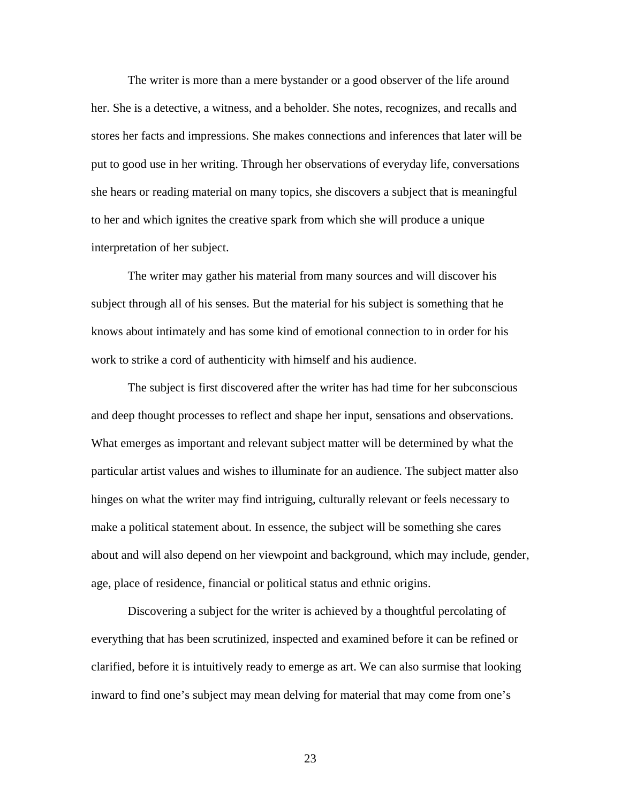The writer is more than a mere bystander or a good observer of the life around her. She is a detective, a witness, and a beholder. She notes, recognizes, and recalls and stores her facts and impressions. She makes connections and inferences that later will be put to good use in her writing. Through her observations of everyday life, conversations she hears or reading material on many topics, she discovers a subject that is meaningful to her and which ignites the creative spark from which she will produce a unique interpretation of her subject.

The writer may gather his material from many sources and will discover his subject through all of his senses. But the material for his subject is something that he knows about intimately and has some kind of emotional connection to in order for his work to strike a cord of authenticity with himself and his audience.

The subject is first discovered after the writer has had time for her subconscious and deep thought processes to reflect and shape her input, sensations and observations. What emerges as important and relevant subject matter will be determined by what the particular artist values and wishes to illuminate for an audience. The subject matter also hinges on what the writer may find intriguing, culturally relevant or feels necessary to make a political statement about. In essence, the subject will be something she cares about and will also depend on her viewpoint and background, which may include, gender, age, place of residence, financial or political status and ethnic origins.

Discovering a subject for the writer is achieved by a thoughtful percolating of everything that has been scrutinized, inspected and examined before it can be refined or clarified, before it is intuitively ready to emerge as art. We can also surmise that looking inward to find one's subject may mean delving for material that may come from one's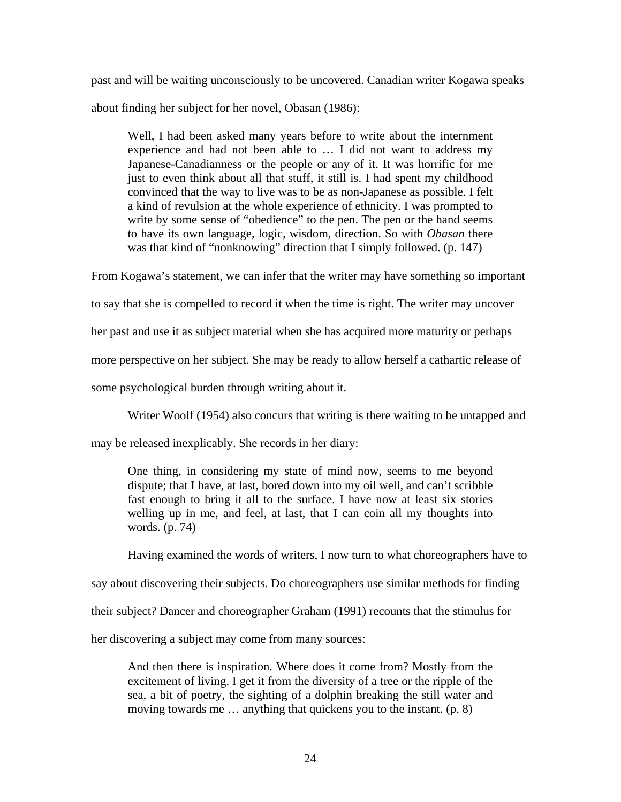past and will be waiting unconsciously to be uncovered. Canadian writer Kogawa speaks about finding her subject for her novel, Obasan (1986):

Well, I had been asked many years before to write about the internment experience and had not been able to … I did not want to address my Japanese-Canadianness or the people or any of it. It was horrific for me just to even think about all that stuff, it still is. I had spent my childhood convinced that the way to live was to be as non-Japanese as possible. I felt a kind of revulsion at the whole experience of ethnicity. I was prompted to write by some sense of "obedience" to the pen. The pen or the hand seems to have its own language, logic, wisdom, direction. So with *Obasan* there was that kind of "nonknowing" direction that I simply followed. (p. 147)

From Kogawa's statement, we can infer that the writer may have something so important

to say that she is compelled to record it when the time is right. The writer may uncover

her past and use it as subject material when she has acquired more maturity or perhaps

more perspective on her subject. She may be ready to allow herself a cathartic release of

some psychological burden through writing about it.

Writer Woolf (1954) also concurs that writing is there waiting to be untapped and

may be released inexplicably. She records in her diary:

One thing, in considering my state of mind now, seems to me beyond dispute; that I have, at last, bored down into my oil well, and can't scribble fast enough to bring it all to the surface. I have now at least six stories welling up in me, and feel, at last, that I can coin all my thoughts into words. (p. 74)

Having examined the words of writers, I now turn to what choreographers have to say about discovering their subjects. Do choreographers use similar methods for finding their subject? Dancer and choreographer Graham (1991) recounts that the stimulus for

her discovering a subject may come from many sources:

And then there is inspiration. Where does it come from? Mostly from the excitement of living. I get it from the diversity of a tree or the ripple of the sea, a bit of poetry, the sighting of a dolphin breaking the still water and moving towards me … anything that quickens you to the instant. (p. 8)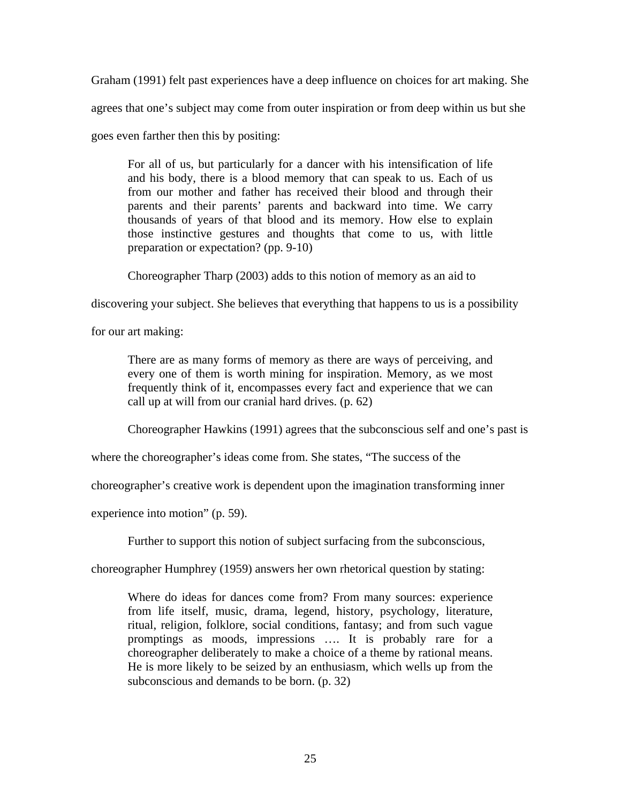Graham (1991) felt past experiences have a deep influence on choices for art making. She agrees that one's subject may come from outer inspiration or from deep within us but she

goes even farther then this by positing:

For all of us, but particularly for a dancer with his intensification of life and his body, there is a blood memory that can speak to us. Each of us from our mother and father has received their blood and through their parents and their parents' parents and backward into time. We carry thousands of years of that blood and its memory. How else to explain those instinctive gestures and thoughts that come to us, with little preparation or expectation? (pp. 9-10)

Choreographer Tharp (2003) adds to this notion of memory as an aid to

discovering your subject. She believes that everything that happens to us is a possibility

for our art making:

There are as many forms of memory as there are ways of perceiving, and every one of them is worth mining for inspiration. Memory, as we most frequently think of it, encompasses every fact and experience that we can call up at will from our cranial hard drives. (p. 62)

Choreographer Hawkins (1991) agrees that the subconscious self and one's past is

where the choreographer's ideas come from. She states, "The success of the

choreographer's creative work is dependent upon the imagination transforming inner

experience into motion" (p. 59).

Further to support this notion of subject surfacing from the subconscious,

choreographer Humphrey (1959) answers her own rhetorical question by stating:

Where do ideas for dances come from? From many sources: experience from life itself, music, drama, legend, history, psychology, literature, ritual, religion, folklore, social conditions, fantasy; and from such vague promptings as moods, impressions …. It is probably rare for a choreographer deliberately to make a choice of a theme by rational means. He is more likely to be seized by an enthusiasm, which wells up from the subconscious and demands to be born. (p. 32)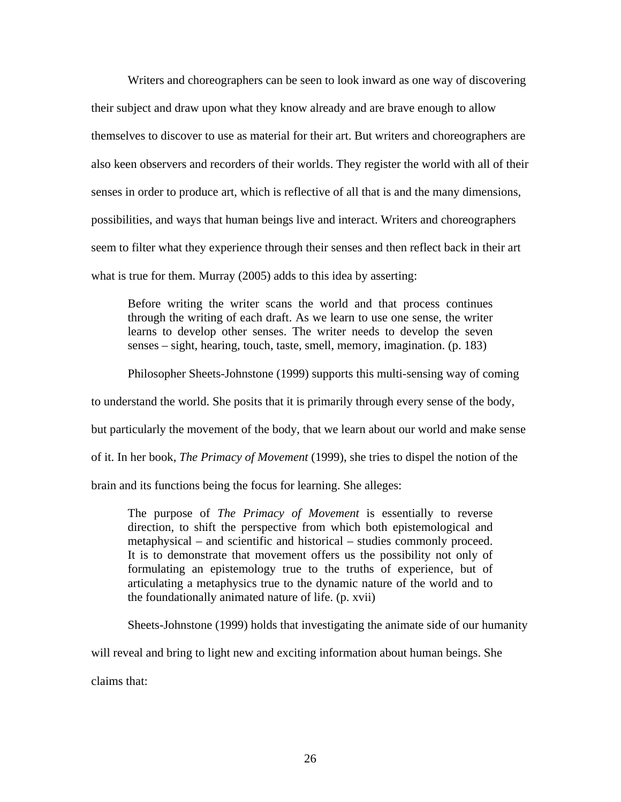Writers and choreographers can be seen to look inward as one way of discovering their subject and draw upon what they know already and are brave enough to allow themselves to discover to use as material for their art. But writers and choreographers are also keen observers and recorders of their worlds. They register the world with all of their senses in order to produce art, which is reflective of all that is and the many dimensions, possibilities, and ways that human beings live and interact. Writers and choreographers seem to filter what they experience through their senses and then reflect back in their art what is true for them. Murray (2005) adds to this idea by asserting:

Before writing the writer scans the world and that process continues through the writing of each draft. As we learn to use one sense, the writer learns to develop other senses. The writer needs to develop the seven senses – sight, hearing, touch, taste, smell, memory, imagination. (p. 183)

Philosopher Sheets-Johnstone (1999) supports this multi-sensing way of coming

to understand the world. She posits that it is primarily through every sense of the body,

but particularly the movement of the body, that we learn about our world and make sense

of it. In her book, *The Primacy of Movement* (1999), she tries to dispel the notion of the

brain and its functions being the focus for learning. She alleges:

The purpose of *The Primacy of Movement* is essentially to reverse direction, to shift the perspective from which both epistemological and metaphysical – and scientific and historical – studies commonly proceed. It is to demonstrate that movement offers us the possibility not only of formulating an epistemology true to the truths of experience, but of articulating a metaphysics true to the dynamic nature of the world and to the foundationally animated nature of life. (p. xvii)

Sheets-Johnstone (1999) holds that investigating the animate side of our humanity

will reveal and bring to light new and exciting information about human beings. She

claims that: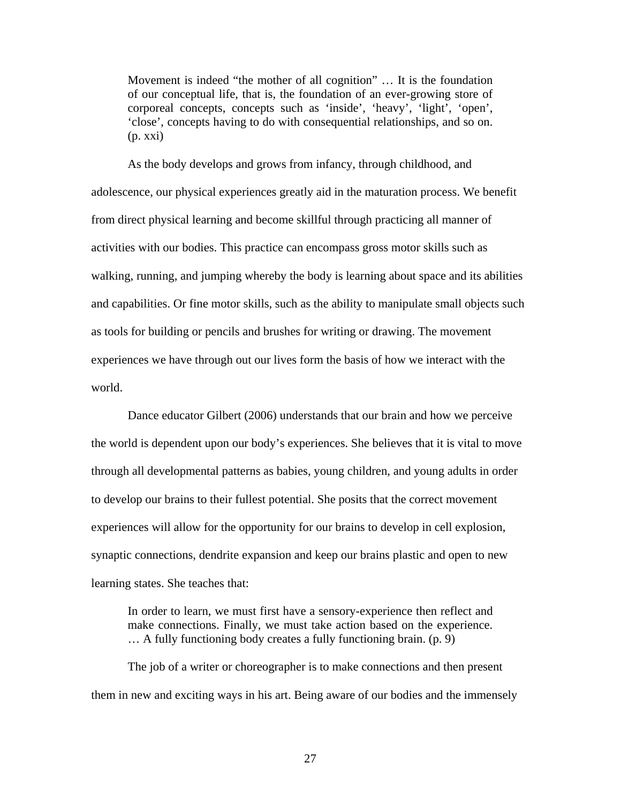Movement is indeed "the mother of all cognition" … It is the foundation of our conceptual life, that is, the foundation of an ever-growing store of corporeal concepts, concepts such as 'inside', 'heavy', 'light', 'open', 'close', concepts having to do with consequential relationships, and so on.  $(p. xxi)$ 

As the body develops and grows from infancy, through childhood, and adolescence, our physical experiences greatly aid in the maturation process. We benefit from direct physical learning and become skillful through practicing all manner of activities with our bodies. This practice can encompass gross motor skills such as walking, running, and jumping whereby the body is learning about space and its abilities and capabilities. Or fine motor skills, such as the ability to manipulate small objects such as tools for building or pencils and brushes for writing or drawing. The movement experiences we have through out our lives form the basis of how we interact with the world.

Dance educator Gilbert (2006) understands that our brain and how we perceive the world is dependent upon our body's experiences. She believes that it is vital to move through all developmental patterns as babies, young children, and young adults in order to develop our brains to their fullest potential. She posits that the correct movement experiences will allow for the opportunity for our brains to develop in cell explosion, synaptic connections, dendrite expansion and keep our brains plastic and open to new learning states. She teaches that:

In order to learn, we must first have a sensory-experience then reflect and make connections. Finally, we must take action based on the experience. … A fully functioning body creates a fully functioning brain. (p. 9)

The job of a writer or choreographer is to make connections and then present them in new and exciting ways in his art. Being aware of our bodies and the immensely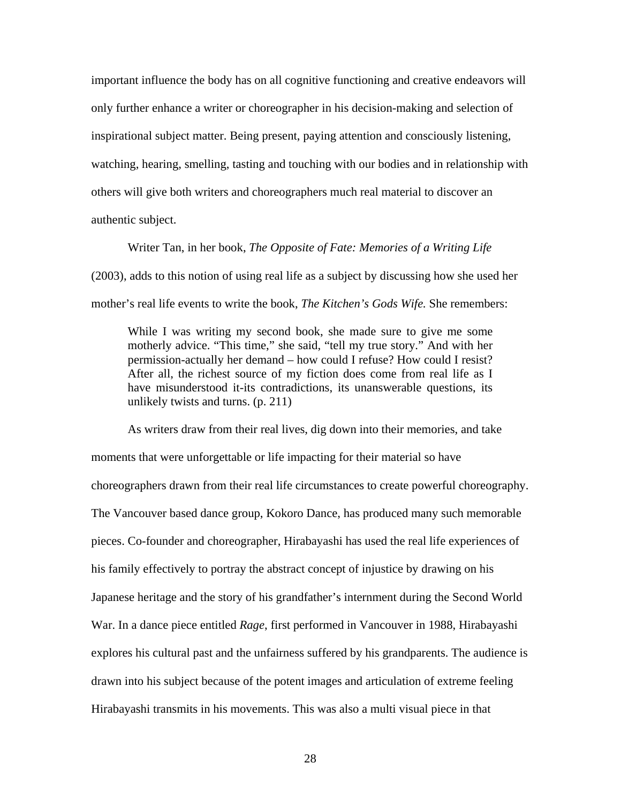important influence the body has on all cognitive functioning and creative endeavors will only further enhance a writer or choreographer in his decision-making and selection of inspirational subject matter. Being present, paying attention and consciously listening, watching, hearing, smelling, tasting and touching with our bodies and in relationship with others will give both writers and choreographers much real material to discover an authentic subject.

Writer Tan, in her book, *The Opposite of Fate: Memories of a Writing Life* (2003), adds to this notion of using real life as a subject by discussing how she used her mother's real life events to write the book, *The Kitchen's Gods Wife.* She remembers:

While I was writing my second book, she made sure to give me some motherly advice. "This time," she said, "tell my true story." And with her permission-actually her demand – how could I refuse? How could I resist? After all, the richest source of my fiction does come from real life as I have misunderstood it-its contradictions, its unanswerable questions, its unlikely twists and turns. (p. 211)

As writers draw from their real lives, dig down into their memories, and take moments that were unforgettable or life impacting for their material so have choreographers drawn from their real life circumstances to create powerful choreography. The Vancouver based dance group, Kokoro Dance, has produced many such memorable pieces. Co-founder and choreographer, Hirabayashi has used the real life experiences of his family effectively to portray the abstract concept of injustice by drawing on his Japanese heritage and the story of his grandfather's internment during the Second World War. In a dance piece entitled *Rage*, first performed in Vancouver in 1988, Hirabayashi explores his cultural past and the unfairness suffered by his grandparents. The audience is drawn into his subject because of the potent images and articulation of extreme feeling Hirabayashi transmits in his movements. This was also a multi visual piece in that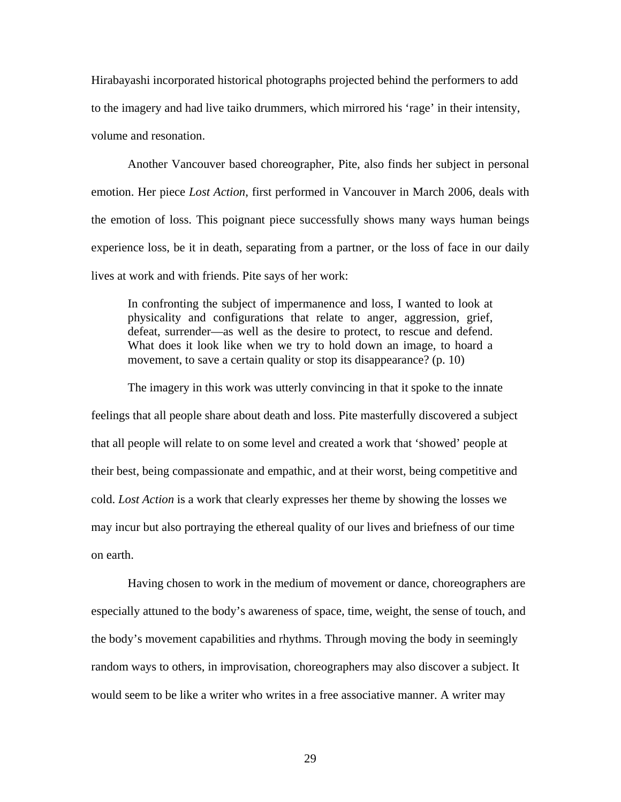Hirabayashi incorporated historical photographs projected behind the performers to add to the imagery and had live taiko drummers, which mirrored his 'rage' in their intensity, volume and resonation.

Another Vancouver based choreographer, Pite, also finds her subject in personal emotion. Her piece *Lost Action*, first performed in Vancouver in March 2006, deals with the emotion of loss. This poignant piece successfully shows many ways human beings experience loss, be it in death, separating from a partner, or the loss of face in our daily lives at work and with friends. Pite says of her work:

In confronting the subject of impermanence and loss, I wanted to look at physicality and configurations that relate to anger, aggression, grief, defeat, surrender—as well as the desire to protect, to rescue and defend. What does it look like when we try to hold down an image, to hoard a movement, to save a certain quality or stop its disappearance? (p. 10)

The imagery in this work was utterly convincing in that it spoke to the innate feelings that all people share about death and loss. Pite masterfully discovered a subject that all people will relate to on some level and created a work that 'showed' people at their best, being compassionate and empathic, and at their worst, being competitive and cold. *Lost Action* is a work that clearly expresses her theme by showing the losses we may incur but also portraying the ethereal quality of our lives and briefness of our time on earth.

Having chosen to work in the medium of movement or dance, choreographers are especially attuned to the body's awareness of space, time, weight, the sense of touch, and the body's movement capabilities and rhythms. Through moving the body in seemingly random ways to others, in improvisation, choreographers may also discover a subject. It would seem to be like a writer who writes in a free associative manner. A writer may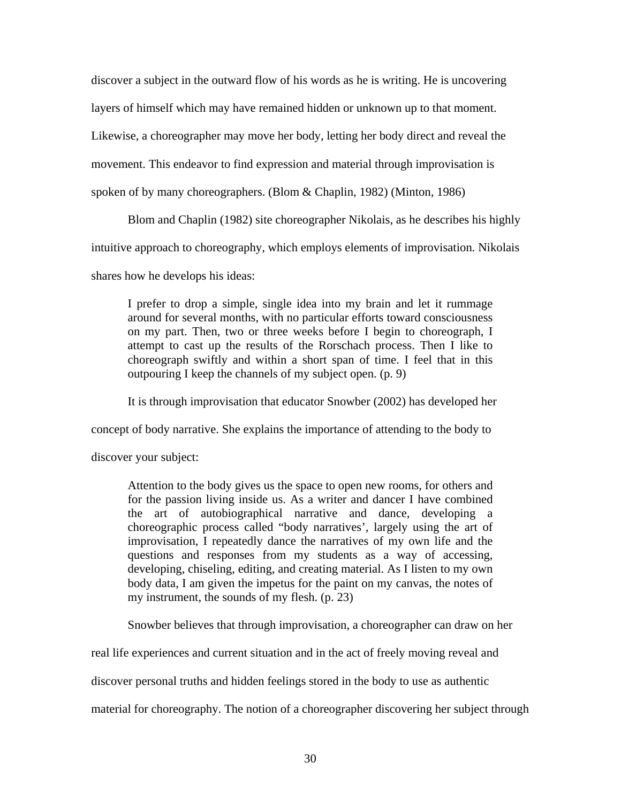discover a subject in the outward flow of his words as he is writing. He is uncovering layers of himself which may have remained hidden or unknown up to that moment. Likewise, a choreographer may move her body, letting her body direct and reveal the movement. This endeavor to find expression and material through improvisation is spoken of by many choreographers. (Blom & Chaplin, 1982) (Minton, 1986)

Blom and Chaplin (1982) site choreographer Nikolais, as he describes his highly

intuitive approach to choreography, which employs elements of improvisation. Nikolais

shares how he develops his ideas:

I prefer to drop a simple, single idea into my brain and let it rummage around for several months, with no particular efforts toward consciousness on my part. Then, two or three weeks before I begin to choreograph, I attempt to cast up the results of the Rorschach process. Then I like to choreograph swiftly and within a short span of time. I feel that in this outpouring I keep the channels of my subject open. (p. 9)

It is through improvisation that educator Snowber (2002) has developed her

concept of body narrative. She explains the importance of attending to the body to

discover your subject:

Attention to the body gives us the space to open new rooms, for others and for the passion living inside us. As a writer and dancer I have combined the art of autobiographical narrative and dance, developing a choreographic process called "body narratives', largely using the art of improvisation, I repeatedly dance the narratives of my own life and the questions and responses from my students as a way of accessing, developing, chiseling, editing, and creating material. As I listen to my own body data, I am given the impetus for the paint on my canvas, the notes of my instrument, the sounds of my flesh. (p. 23)

Snowber believes that through improvisation, a choreographer can draw on her

real life experiences and current situation and in the act of freely moving reveal and

discover personal truths and hidden feelings stored in the body to use as authentic

material for choreography. The notion of a choreographer discovering her subject through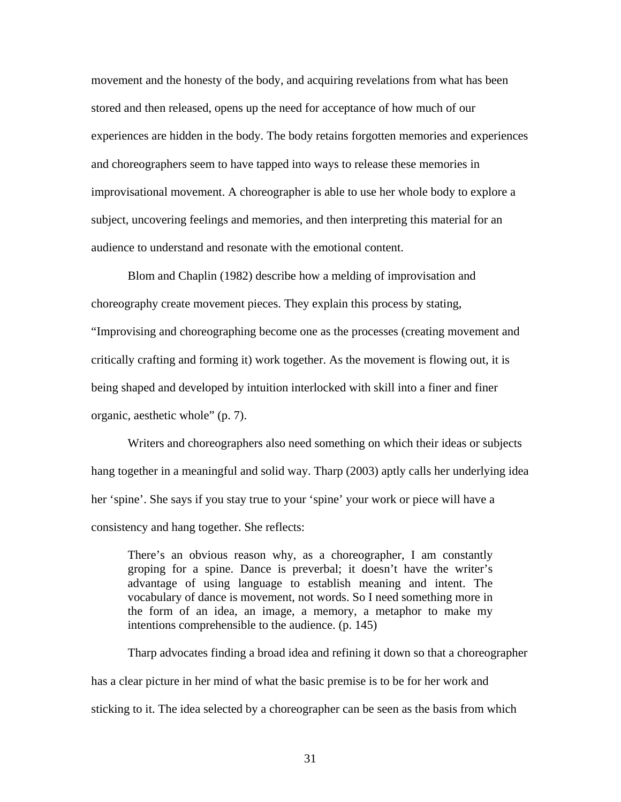movement and the honesty of the body, and acquiring revelations from what has been stored and then released, opens up the need for acceptance of how much of our experiences are hidden in the body. The body retains forgotten memories and experiences and choreographers seem to have tapped into ways to release these memories in improvisational movement. A choreographer is able to use her whole body to explore a subject, uncovering feelings and memories, and then interpreting this material for an audience to understand and resonate with the emotional content.

Blom and Chaplin (1982) describe how a melding of improvisation and choreography create movement pieces. They explain this process by stating, "Improvising and choreographing become one as the processes (creating movement and critically crafting and forming it) work together. As the movement is flowing out, it is being shaped and developed by intuition interlocked with skill into a finer and finer organic, aesthetic whole" (p. 7).

Writers and choreographers also need something on which their ideas or subjects hang together in a meaningful and solid way. Tharp (2003) aptly calls her underlying idea her 'spine'. She says if you stay true to your 'spine' your work or piece will have a consistency and hang together. She reflects:

There's an obvious reason why, as a choreographer, I am constantly groping for a spine. Dance is preverbal; it doesn't have the writer's advantage of using language to establish meaning and intent. The vocabulary of dance is movement, not words. So I need something more in the form of an idea, an image, a memory, a metaphor to make my intentions comprehensible to the audience. (p. 145)

Tharp advocates finding a broad idea and refining it down so that a choreographer has a clear picture in her mind of what the basic premise is to be for her work and sticking to it. The idea selected by a choreographer can be seen as the basis from which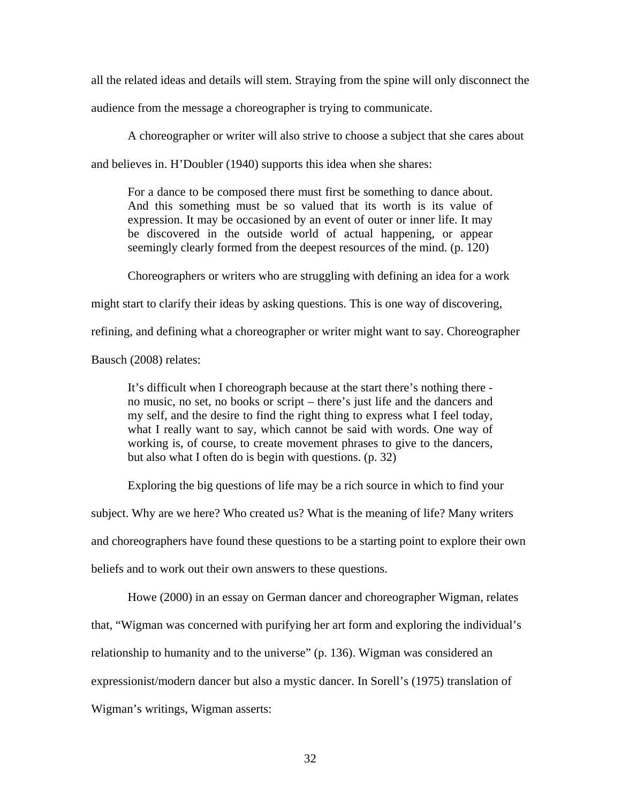all the related ideas and details will stem. Straying from the spine will only disconnect the

audience from the message a choreographer is trying to communicate.

A choreographer or writer will also strive to choose a subject that she cares about

and believes in. H'Doubler (1940) supports this idea when she shares:

For a dance to be composed there must first be something to dance about. And this something must be so valued that its worth is its value of expression. It may be occasioned by an event of outer or inner life. It may be discovered in the outside world of actual happening, or appear seemingly clearly formed from the deepest resources of the mind. (p. 120)

Choreographers or writers who are struggling with defining an idea for a work might start to clarify their ideas by asking questions. This is one way of discovering, refining, and defining what a choreographer or writer might want to say. Choreographer

Bausch (2008) relates:

It's difficult when I choreograph because at the start there's nothing there no music, no set, no books or script – there's just life and the dancers and my self, and the desire to find the right thing to express what I feel today, what I really want to say, which cannot be said with words. One way of working is, of course, to create movement phrases to give to the dancers, but also what I often do is begin with questions. (p. 32)

Exploring the big questions of life may be a rich source in which to find your

subject. Why are we here? Who created us? What is the meaning of life? Many writers

and choreographers have found these questions to be a starting point to explore their own

beliefs and to work out their own answers to these questions.

Howe (2000) in an essay on German dancer and choreographer Wigman, relates

that, "Wigman was concerned with purifying her art form and exploring the individual's

relationship to humanity and to the universe" (p. 136). Wigman was considered an

expressionist/modern dancer but also a mystic dancer. In Sorell's (1975) translation of

Wigman's writings, Wigman asserts: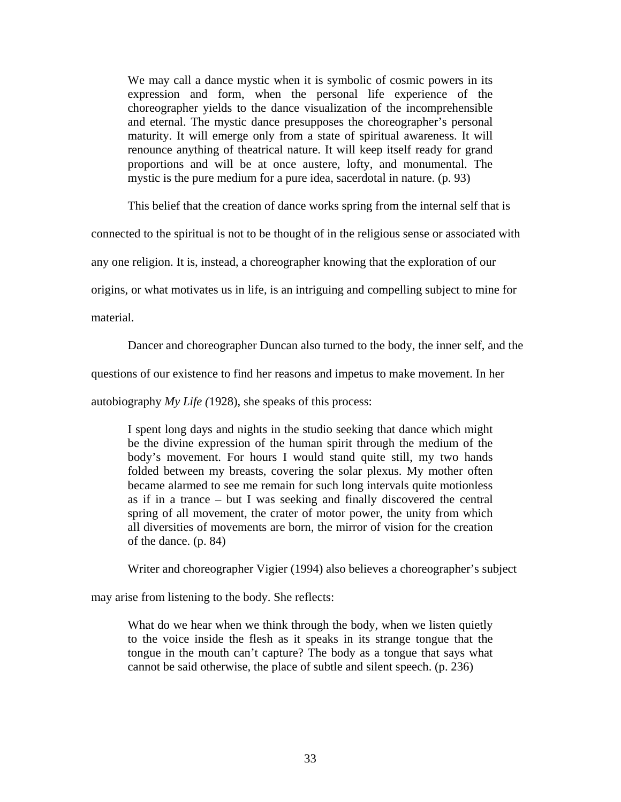We may call a dance mystic when it is symbolic of cosmic powers in its expression and form, when the personal life experience of the choreographer yields to the dance visualization of the incomprehensible and eternal. The mystic dance presupposes the choreographer's personal maturity. It will emerge only from a state of spiritual awareness. It will renounce anything of theatrical nature. It will keep itself ready for grand proportions and will be at once austere, lofty, and monumental. The mystic is the pure medium for a pure idea, sacerdotal in nature. (p. 93)

This belief that the creation of dance works spring from the internal self that is

connected to the spiritual is not to be thought of in the religious sense or associated with

any one religion. It is, instead, a choreographer knowing that the exploration of our

origins, or what motivates us in life, is an intriguing and compelling subject to mine for

material.

Dancer and choreographer Duncan also turned to the body, the inner self, and the

questions of our existence to find her reasons and impetus to make movement. In her

autobiography *My Life (*1928), she speaks of this process:

I spent long days and nights in the studio seeking that dance which might be the divine expression of the human spirit through the medium of the body's movement. For hours I would stand quite still, my two hands folded between my breasts, covering the solar plexus. My mother often became alarmed to see me remain for such long intervals quite motionless as if in a trance – but I was seeking and finally discovered the central spring of all movement, the crater of motor power, the unity from which all diversities of movements are born, the mirror of vision for the creation of the dance. (p. 84)

Writer and choreographer Vigier (1994) also believes a choreographer's subject

may arise from listening to the body. She reflects:

What do we hear when we think through the body, when we listen quietly to the voice inside the flesh as it speaks in its strange tongue that the tongue in the mouth can't capture? The body as a tongue that says what cannot be said otherwise, the place of subtle and silent speech. (p. 236)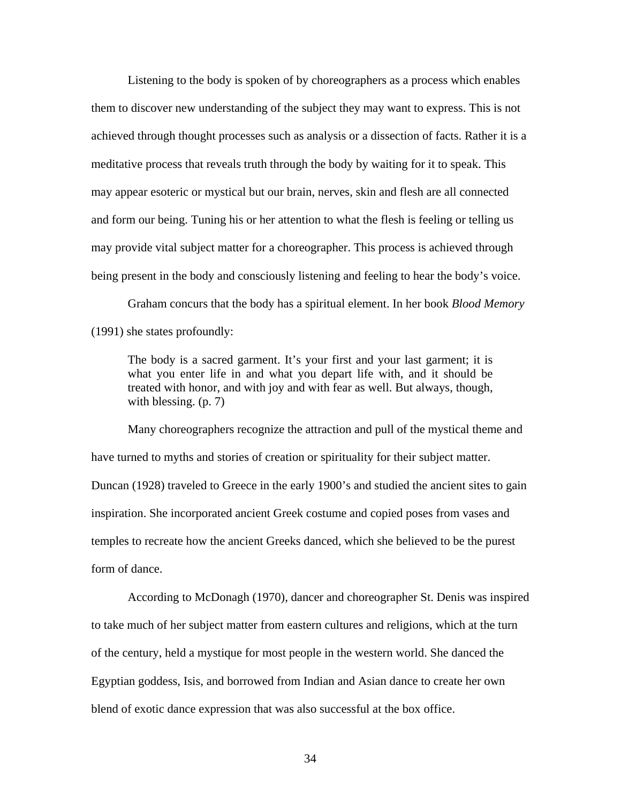Listening to the body is spoken of by choreographers as a process which enables them to discover new understanding of the subject they may want to express. This is not achieved through thought processes such as analysis or a dissection of facts. Rather it is a meditative process that reveals truth through the body by waiting for it to speak. This may appear esoteric or mystical but our brain, nerves, skin and flesh are all connected and form our being. Tuning his or her attention to what the flesh is feeling or telling us may provide vital subject matter for a choreographer. This process is achieved through being present in the body and consciously listening and feeling to hear the body's voice.

Graham concurs that the body has a spiritual element. In her book *Blood Memory* (1991) she states profoundly:

The body is a sacred garment. It's your first and your last garment; it is what you enter life in and what you depart life with, and it should be treated with honor, and with joy and with fear as well. But always, though, with blessing. (p. 7)

Many choreographers recognize the attraction and pull of the mystical theme and have turned to myths and stories of creation or spirituality for their subject matter. Duncan (1928) traveled to Greece in the early 1900's and studied the ancient sites to gain inspiration. She incorporated ancient Greek costume and copied poses from vases and temples to recreate how the ancient Greeks danced, which she believed to be the purest form of dance.

According to McDonagh (1970), dancer and choreographer St. Denis was inspired to take much of her subject matter from eastern cultures and religions, which at the turn of the century, held a mystique for most people in the western world. She danced the Egyptian goddess, Isis, and borrowed from Indian and Asian dance to create her own blend of exotic dance expression that was also successful at the box office.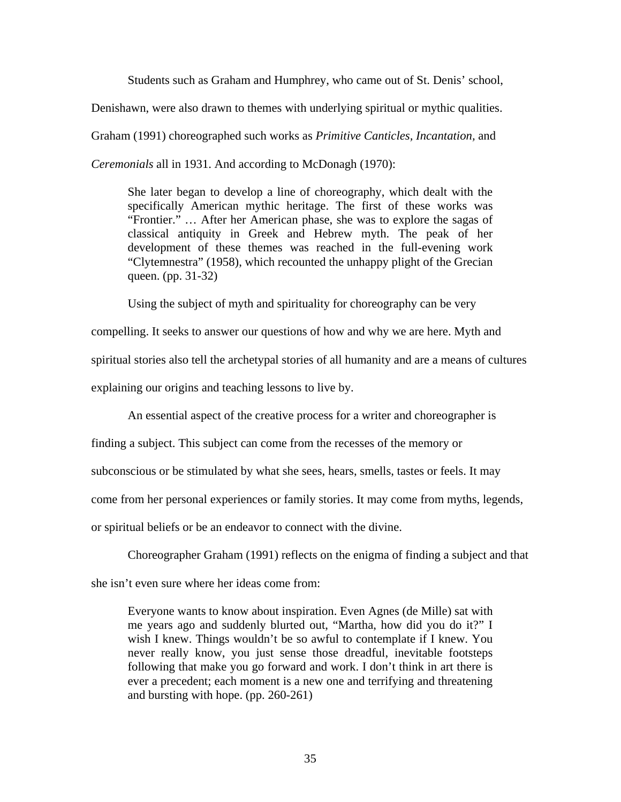Students such as Graham and Humphrey, who came out of St. Denis' school, Denishawn, were also drawn to themes with underlying spiritual or mythic qualities. Graham (1991) choreographed such works as *Primitive Canticles, Incantation,* and *Ceremonials* all in 1931. And according to McDonagh (1970):

She later began to develop a line of choreography, which dealt with the specifically American mythic heritage. The first of these works was "Frontier." … After her American phase, she was to explore the sagas of classical antiquity in Greek and Hebrew myth. The peak of her development of these themes was reached in the full-evening work "Clytemnestra" (1958), which recounted the unhappy plight of the Grecian queen. (pp. 31-32)

Using the subject of myth and spirituality for choreography can be very

compelling. It seeks to answer our questions of how and why we are here. Myth and spiritual stories also tell the archetypal stories of all humanity and are a means of cultures explaining our origins and teaching lessons to live by.

An essential aspect of the creative process for a writer and choreographer is

finding a subject. This subject can come from the recesses of the memory or

subconscious or be stimulated by what she sees, hears, smells, tastes or feels. It may

come from her personal experiences or family stories. It may come from myths, legends,

or spiritual beliefs or be an endeavor to connect with the divine.

Choreographer Graham (1991) reflects on the enigma of finding a subject and that

she isn't even sure where her ideas come from:

Everyone wants to know about inspiration. Even Agnes (de Mille) sat with me years ago and suddenly blurted out, "Martha, how did you do it?" I wish I knew. Things wouldn't be so awful to contemplate if I knew. You never really know, you just sense those dreadful, inevitable footsteps following that make you go forward and work. I don't think in art there is ever a precedent; each moment is a new one and terrifying and threatening and bursting with hope. (pp. 260-261)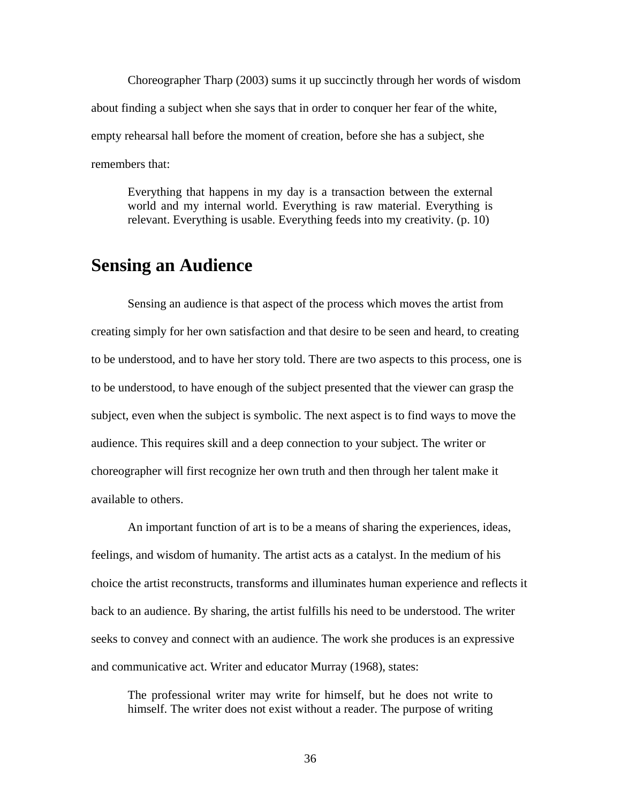Choreographer Tharp (2003) sums it up succinctly through her words of wisdom about finding a subject when she says that in order to conquer her fear of the white, empty rehearsal hall before the moment of creation, before she has a subject, she remembers that:

Everything that happens in my day is a transaction between the external world and my internal world. Everything is raw material. Everything is relevant. Everything is usable. Everything feeds into my creativity. (p. 10)

## **Sensing an Audience**

Sensing an audience is that aspect of the process which moves the artist from creating simply for her own satisfaction and that desire to be seen and heard, to creating to be understood, and to have her story told. There are two aspects to this process, one is to be understood, to have enough of the subject presented that the viewer can grasp the subject, even when the subject is symbolic. The next aspect is to find ways to move the audience. This requires skill and a deep connection to your subject. The writer or choreographer will first recognize her own truth and then through her talent make it available to others.

An important function of art is to be a means of sharing the experiences, ideas, feelings, and wisdom of humanity. The artist acts as a catalyst. In the medium of his choice the artist reconstructs, transforms and illuminates human experience and reflects it back to an audience. By sharing, the artist fulfills his need to be understood. The writer seeks to convey and connect with an audience. The work she produces is an expressive and communicative act. Writer and educator Murray (1968), states:

The professional writer may write for himself, but he does not write to himself. The writer does not exist without a reader. The purpose of writing

36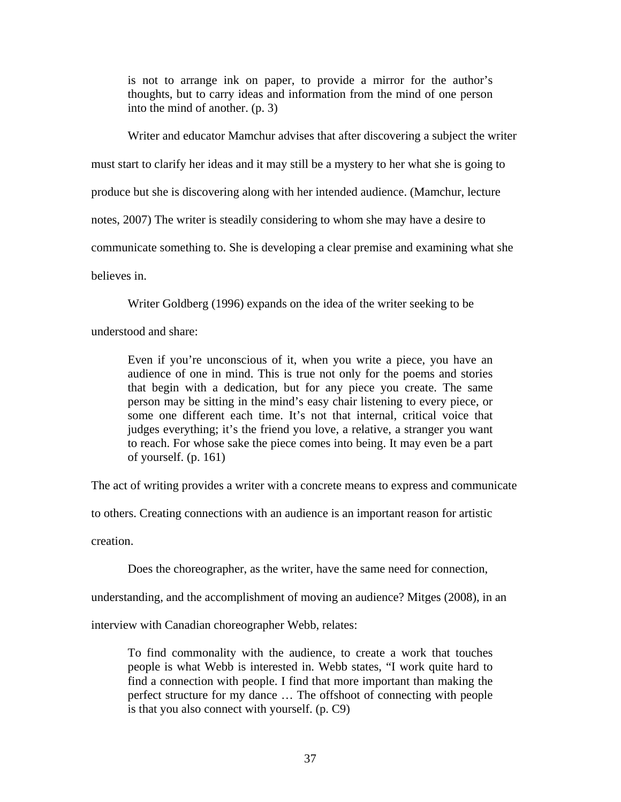is not to arrange ink on paper, to provide a mirror for the author's thoughts, but to carry ideas and information from the mind of one person into the mind of another. (p. 3)

Writer and educator Mamchur advises that after discovering a subject the writer must start to clarify her ideas and it may still be a mystery to her what she is going to produce but she is discovering along with her intended audience. (Mamchur, lecture notes, 2007) The writer is steadily considering to whom she may have a desire to communicate something to. She is developing a clear premise and examining what she believes in.

Writer Goldberg (1996) expands on the idea of the writer seeking to be

understood and share:

Even if you're unconscious of it, when you write a piece, you have an audience of one in mind. This is true not only for the poems and stories that begin with a dedication, but for any piece you create. The same person may be sitting in the mind's easy chair listening to every piece, or some one different each time. It's not that internal, critical voice that judges everything; it's the friend you love, a relative, a stranger you want to reach. For whose sake the piece comes into being. It may even be a part of yourself. (p. 161)

The act of writing provides a writer with a concrete means to express and communicate

to others. Creating connections with an audience is an important reason for artistic

creation.

Does the choreographer, as the writer, have the same need for connection,

understanding, and the accomplishment of moving an audience? Mitges (2008), in an

interview with Canadian choreographer Webb, relates:

To find commonality with the audience, to create a work that touches people is what Webb is interested in. Webb states, "I work quite hard to find a connection with people. I find that more important than making the perfect structure for my dance … The offshoot of connecting with people is that you also connect with yourself. (p. C9)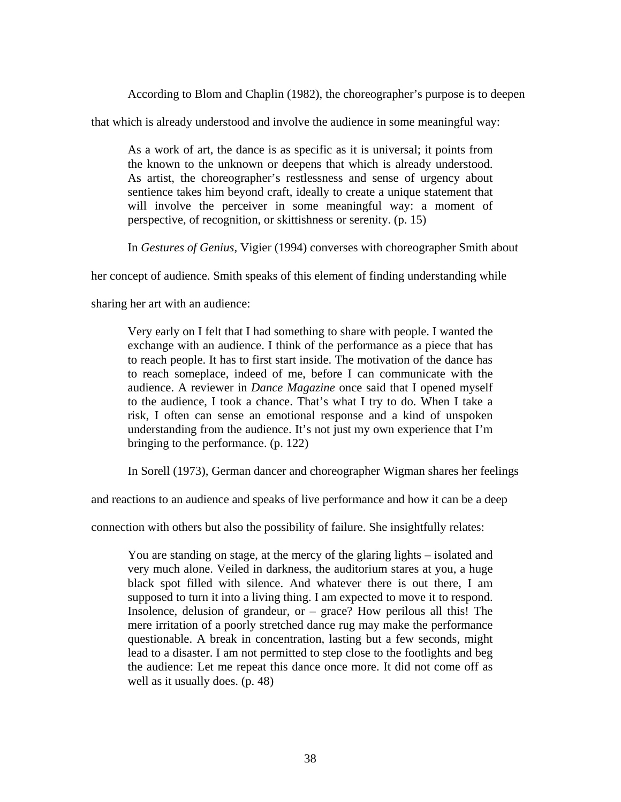According to Blom and Chaplin (1982), the choreographer's purpose is to deepen

that which is already understood and involve the audience in some meaningful way:

As a work of art, the dance is as specific as it is universal; it points from the known to the unknown or deepens that which is already understood. As artist, the choreographer's restlessness and sense of urgency about sentience takes him beyond craft, ideally to create a unique statement that will involve the perceiver in some meaningful way: a moment of perspective, of recognition, or skittishness or serenity. (p. 15)

In *Gestures of Genius*, Vigier (1994) converses with choreographer Smith about

her concept of audience. Smith speaks of this element of finding understanding while

sharing her art with an audience:

Very early on I felt that I had something to share with people. I wanted the exchange with an audience. I think of the performance as a piece that has to reach people. It has to first start inside. The motivation of the dance has to reach someplace, indeed of me, before I can communicate with the audience. A reviewer in *Dance Magazine* once said that I opened myself to the audience, I took a chance. That's what I try to do. When I take a risk, I often can sense an emotional response and a kind of unspoken understanding from the audience. It's not just my own experience that I'm bringing to the performance. (p. 122)

In Sorell (1973), German dancer and choreographer Wigman shares her feelings

and reactions to an audience and speaks of live performance and how it can be a deep

connection with others but also the possibility of failure. She insightfully relates:

You are standing on stage, at the mercy of the glaring lights – isolated and very much alone. Veiled in darkness, the auditorium stares at you, a huge black spot filled with silence. And whatever there is out there, I am supposed to turn it into a living thing. I am expected to move it to respond. Insolence, delusion of grandeur, or – grace? How perilous all this! The mere irritation of a poorly stretched dance rug may make the performance questionable. A break in concentration, lasting but a few seconds, might lead to a disaster. I am not permitted to step close to the footlights and beg the audience: Let me repeat this dance once more. It did not come off as well as it usually does. (p. 48)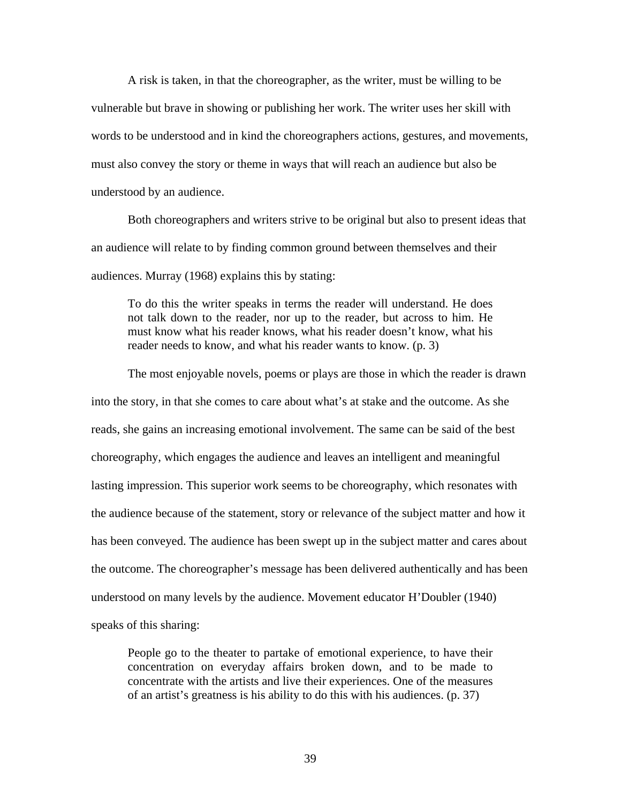A risk is taken, in that the choreographer, as the writer, must be willing to be vulnerable but brave in showing or publishing her work. The writer uses her skill with words to be understood and in kind the choreographers actions, gestures, and movements, must also convey the story or theme in ways that will reach an audience but also be understood by an audience.

Both choreographers and writers strive to be original but also to present ideas that an audience will relate to by finding common ground between themselves and their audiences. Murray (1968) explains this by stating:

To do this the writer speaks in terms the reader will understand. He does not talk down to the reader, nor up to the reader, but across to him. He must know what his reader knows, what his reader doesn't know, what his reader needs to know, and what his reader wants to know. (p. 3)

The most enjoyable novels, poems or plays are those in which the reader is drawn into the story, in that she comes to care about what's at stake and the outcome. As she reads, she gains an increasing emotional involvement. The same can be said of the best choreography, which engages the audience and leaves an intelligent and meaningful lasting impression. This superior work seems to be choreography, which resonates with the audience because of the statement, story or relevance of the subject matter and how it has been conveyed. The audience has been swept up in the subject matter and cares about the outcome. The choreographer's message has been delivered authentically and has been understood on many levels by the audience. Movement educator H'Doubler (1940) speaks of this sharing:

People go to the theater to partake of emotional experience, to have their concentration on everyday affairs broken down, and to be made to concentrate with the artists and live their experiences. One of the measures of an artist's greatness is his ability to do this with his audiences. (p. 37)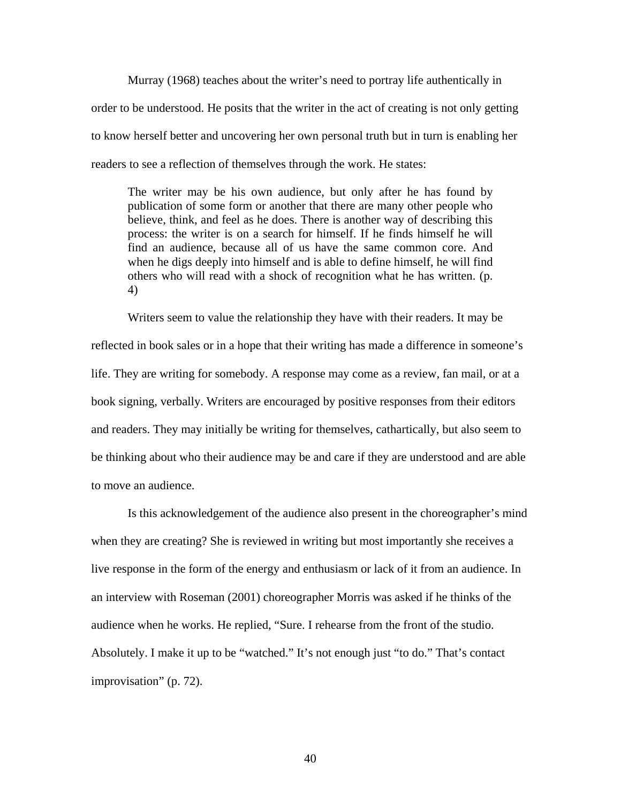Murray (1968) teaches about the writer's need to portray life authentically in order to be understood. He posits that the writer in the act of creating is not only getting to know herself better and uncovering her own personal truth but in turn is enabling her readers to see a reflection of themselves through the work. He states:

The writer may be his own audience, but only after he has found by publication of some form or another that there are many other people who believe, think, and feel as he does. There is another way of describing this process: the writer is on a search for himself. If he finds himself he will find an audience, because all of us have the same common core. And when he digs deeply into himself and is able to define himself, he will find others who will read with a shock of recognition what he has written. (p. 4)

Writers seem to value the relationship they have with their readers. It may be reflected in book sales or in a hope that their writing has made a difference in someone's life. They are writing for somebody. A response may come as a review, fan mail, or at a book signing, verbally. Writers are encouraged by positive responses from their editors and readers. They may initially be writing for themselves, cathartically, but also seem to be thinking about who their audience may be and care if they are understood and are able to move an audience.

Is this acknowledgement of the audience also present in the choreographer's mind when they are creating? She is reviewed in writing but most importantly she receives a live response in the form of the energy and enthusiasm or lack of it from an audience. In an interview with Roseman (2001) choreographer Morris was asked if he thinks of the audience when he works. He replied, "Sure. I rehearse from the front of the studio. Absolutely. I make it up to be "watched." It's not enough just "to do." That's contact improvisation" (p. 72).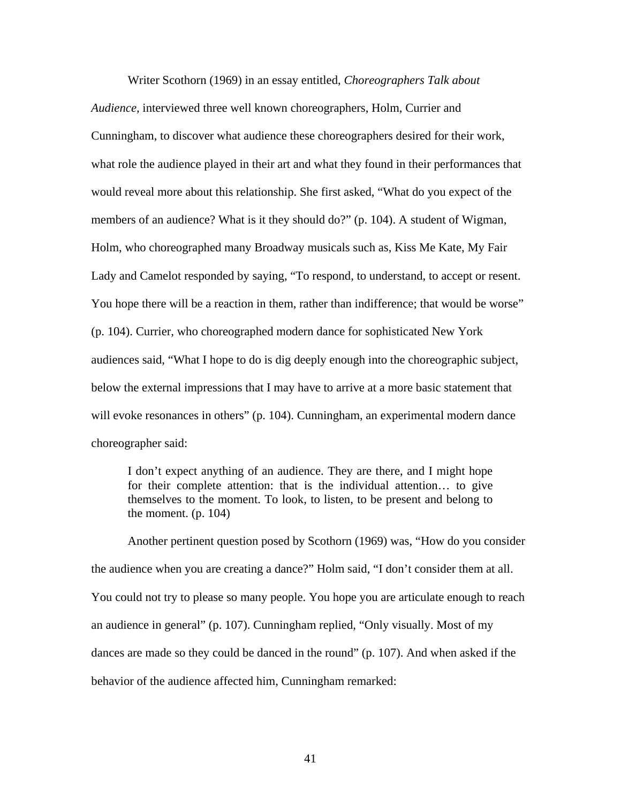Writer Scothorn (1969) in an essay entitled, *Choreographers Talk about* 

*Audience,* interviewed three well known choreographers, Holm, Currier and Cunningham, to discover what audience these choreographers desired for their work, what role the audience played in their art and what they found in their performances that would reveal more about this relationship. She first asked, "What do you expect of the members of an audience? What is it they should do?" (p. 104). A student of Wigman, Holm, who choreographed many Broadway musicals such as, Kiss Me Kate, My Fair Lady and Camelot responded by saying, "To respond, to understand, to accept or resent. You hope there will be a reaction in them, rather than indifference; that would be worse" (p. 104). Currier, who choreographed modern dance for sophisticated New York audiences said, "What I hope to do is dig deeply enough into the choreographic subject, below the external impressions that I may have to arrive at a more basic statement that will evoke resonances in others" (p. 104). Cunningham, an experimental modern dance choreographer said:

I don't expect anything of an audience. They are there, and I might hope for their complete attention: that is the individual attention… to give themselves to the moment. To look, to listen, to be present and belong to the moment.  $(p. 104)$ 

Another pertinent question posed by Scothorn (1969) was, "How do you consider the audience when you are creating a dance?" Holm said, "I don't consider them at all. You could not try to please so many people. You hope you are articulate enough to reach an audience in general" (p. 107). Cunningham replied, "Only visually. Most of my dances are made so they could be danced in the round" (p. 107). And when asked if the behavior of the audience affected him, Cunningham remarked: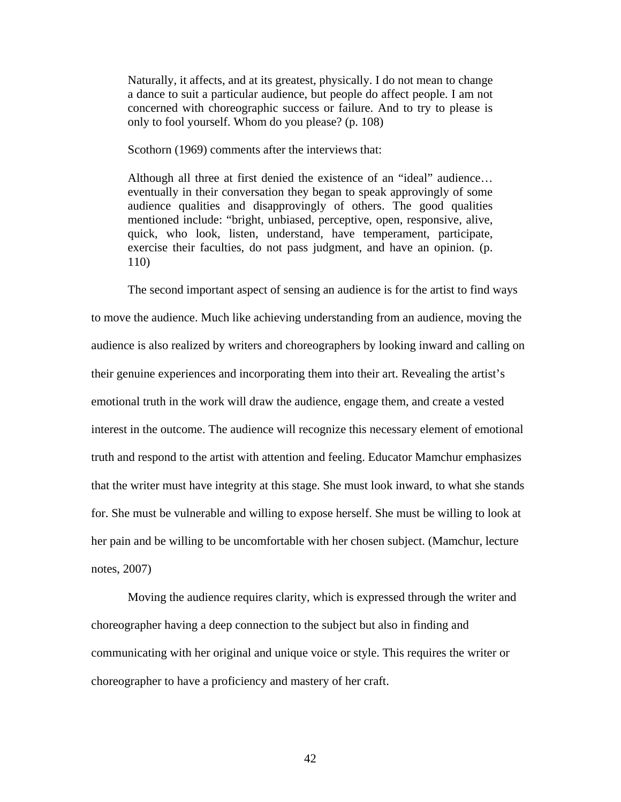Naturally, it affects, and at its greatest, physically. I do not mean to change a dance to suit a particular audience, but people do affect people. I am not concerned with choreographic success or failure. And to try to please is only to fool yourself. Whom do you please? (p. 108)

Scothorn (1969) comments after the interviews that:

Although all three at first denied the existence of an "ideal" audience… eventually in their conversation they began to speak approvingly of some audience qualities and disapprovingly of others. The good qualities mentioned include: "bright, unbiased, perceptive, open, responsive, alive, quick, who look, listen, understand, have temperament, participate, exercise their faculties, do not pass judgment, and have an opinion. (p. 110)

The second important aspect of sensing an audience is for the artist to find ways to move the audience. Much like achieving understanding from an audience, moving the audience is also realized by writers and choreographers by looking inward and calling on their genuine experiences and incorporating them into their art. Revealing the artist's emotional truth in the work will draw the audience, engage them, and create a vested interest in the outcome. The audience will recognize this necessary element of emotional truth and respond to the artist with attention and feeling. Educator Mamchur emphasizes that the writer must have integrity at this stage. She must look inward, to what she stands for. She must be vulnerable and willing to expose herself. She must be willing to look at her pain and be willing to be uncomfortable with her chosen subject. (Mamchur, lecture notes, 2007)

Moving the audience requires clarity, which is expressed through the writer and choreographer having a deep connection to the subject but also in finding and communicating with her original and unique voice or style. This requires the writer or choreographer to have a proficiency and mastery of her craft.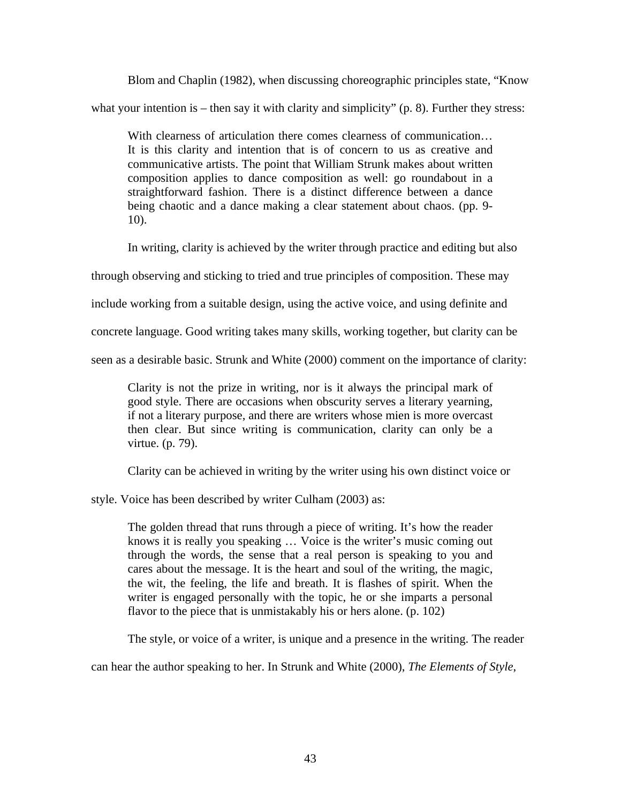Blom and Chaplin (1982), when discussing choreographic principles state, "Know what your intention is  $-$  then say it with clarity and simplicity" (p. 8). Further they stress:

With clearness of articulation there comes clearness of communication... It is this clarity and intention that is of concern to us as creative and communicative artists. The point that William Strunk makes about written composition applies to dance composition as well: go roundabout in a straightforward fashion. There is a distinct difference between a dance being chaotic and a dance making a clear statement about chaos. (pp. 9- 10).

In writing, clarity is achieved by the writer through practice and editing but also

through observing and sticking to tried and true principles of composition. These may

include working from a suitable design, using the active voice, and using definite and

concrete language. Good writing takes many skills, working together, but clarity can be

seen as a desirable basic. Strunk and White (2000) comment on the importance of clarity:

Clarity is not the prize in writing, nor is it always the principal mark of good style. There are occasions when obscurity serves a literary yearning, if not a literary purpose, and there are writers whose mien is more overcast then clear. But since writing is communication, clarity can only be a virtue. (p. 79).

Clarity can be achieved in writing by the writer using his own distinct voice or

style. Voice has been described by writer Culham (2003) as:

The golden thread that runs through a piece of writing. It's how the reader knows it is really you speaking … Voice is the writer's music coming out through the words, the sense that a real person is speaking to you and cares about the message. It is the heart and soul of the writing, the magic, the wit, the feeling, the life and breath. It is flashes of spirit. When the writer is engaged personally with the topic, he or she imparts a personal flavor to the piece that is unmistakably his or hers alone. (p. 102)

The style, or voice of a writer, is unique and a presence in the writing. The reader

can hear the author speaking to her. In Strunk and White (2000), *The Elements of Style*,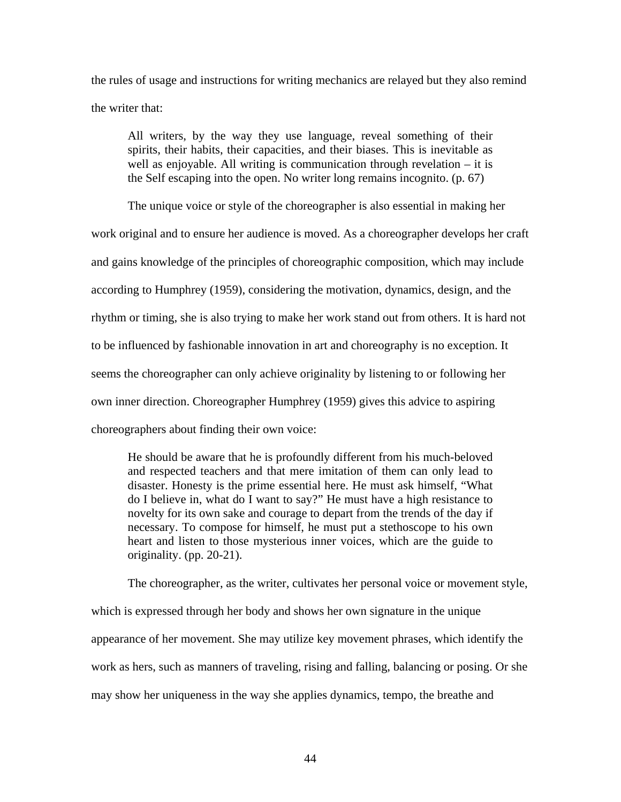the rules of usage and instructions for writing mechanics are relayed but they also remind the writer that:

All writers, by the way they use language, reveal something of their spirits, their habits, their capacities, and their biases. This is inevitable as well as enjoyable. All writing is communication through revelation – it is the Self escaping into the open. No writer long remains incognito. (p. 67)

The unique voice or style of the choreographer is also essential in making her work original and to ensure her audience is moved. As a choreographer develops her craft and gains knowledge of the principles of choreographic composition, which may include according to Humphrey (1959), considering the motivation, dynamics, design, and the rhythm or timing, she is also trying to make her work stand out from others. It is hard not to be influenced by fashionable innovation in art and choreography is no exception. It seems the choreographer can only achieve originality by listening to or following her own inner direction. Choreographer Humphrey (1959) gives this advice to aspiring choreographers about finding their own voice:

He should be aware that he is profoundly different from his much-beloved and respected teachers and that mere imitation of them can only lead to disaster. Honesty is the prime essential here. He must ask himself, "What do I believe in, what do I want to say?" He must have a high resistance to novelty for its own sake and courage to depart from the trends of the day if necessary. To compose for himself, he must put a stethoscope to his own heart and listen to those mysterious inner voices, which are the guide to originality. (pp. 20-21).

The choreographer, as the writer, cultivates her personal voice or movement style, which is expressed through her body and shows her own signature in the unique appearance of her movement. She may utilize key movement phrases, which identify the work as hers, such as manners of traveling, rising and falling, balancing or posing. Or she may show her uniqueness in the way she applies dynamics, tempo, the breathe and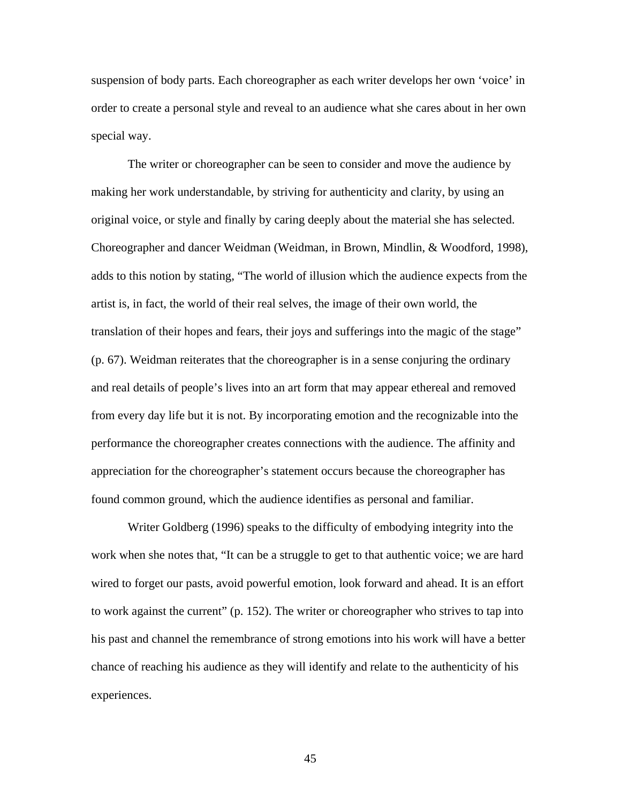suspension of body parts. Each choreographer as each writer develops her own 'voice' in order to create a personal style and reveal to an audience what she cares about in her own special way.

The writer or choreographer can be seen to consider and move the audience by making her work understandable, by striving for authenticity and clarity, by using an original voice, or style and finally by caring deeply about the material she has selected. Choreographer and dancer Weidman (Weidman, in Brown, Mindlin, & Woodford, 1998), adds to this notion by stating, "The world of illusion which the audience expects from the artist is, in fact, the world of their real selves, the image of their own world, the translation of their hopes and fears, their joys and sufferings into the magic of the stage" (p. 67). Weidman reiterates that the choreographer is in a sense conjuring the ordinary and real details of people's lives into an art form that may appear ethereal and removed from every day life but it is not. By incorporating emotion and the recognizable into the performance the choreographer creates connections with the audience. The affinity and appreciation for the choreographer's statement occurs because the choreographer has found common ground, which the audience identifies as personal and familiar.

Writer Goldberg (1996) speaks to the difficulty of embodying integrity into the work when she notes that, "It can be a struggle to get to that authentic voice; we are hard wired to forget our pasts, avoid powerful emotion, look forward and ahead. It is an effort to work against the current" (p. 152). The writer or choreographer who strives to tap into his past and channel the remembrance of strong emotions into his work will have a better chance of reaching his audience as they will identify and relate to the authenticity of his experiences.

45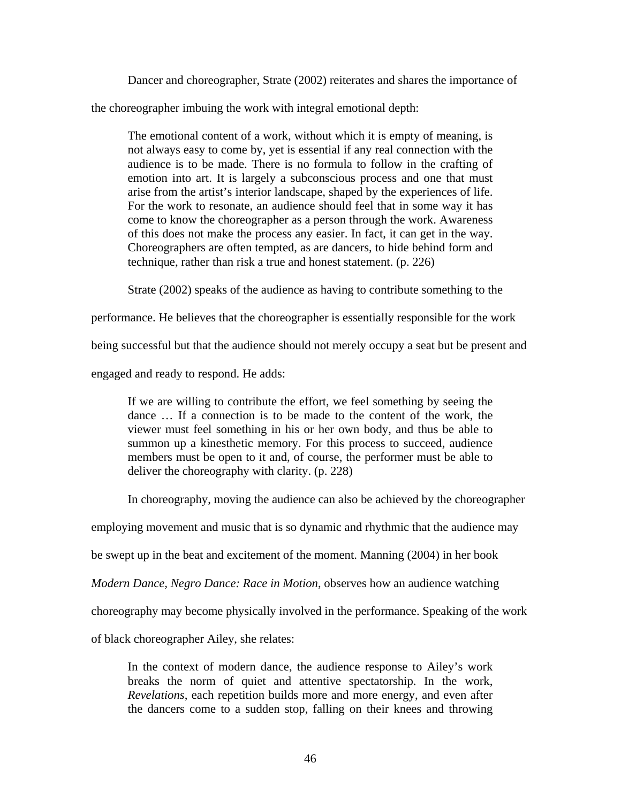Dancer and choreographer, Strate (2002) reiterates and shares the importance of

the choreographer imbuing the work with integral emotional depth:

The emotional content of a work, without which it is empty of meaning, is not always easy to come by, yet is essential if any real connection with the audience is to be made. There is no formula to follow in the crafting of emotion into art. It is largely a subconscious process and one that must arise from the artist's interior landscape, shaped by the experiences of life. For the work to resonate, an audience should feel that in some way it has come to know the choreographer as a person through the work. Awareness of this does not make the process any easier. In fact, it can get in the way. Choreographers are often tempted, as are dancers, to hide behind form and technique, rather than risk a true and honest statement. (p. 226)

Strate (2002) speaks of the audience as having to contribute something to the

performance. He believes that the choreographer is essentially responsible for the work

being successful but that the audience should not merely occupy a seat but be present and

engaged and ready to respond. He adds:

If we are willing to contribute the effort, we feel something by seeing the dance … If a connection is to be made to the content of the work, the viewer must feel something in his or her own body, and thus be able to summon up a kinesthetic memory. For this process to succeed, audience members must be open to it and, of course, the performer must be able to deliver the choreography with clarity. (p. 228)

In choreography, moving the audience can also be achieved by the choreographer

employing movement and music that is so dynamic and rhythmic that the audience may

be swept up in the beat and excitement of the moment. Manning (2004) in her book

*Modern Dance, Negro Dance: Race in Motion*, observes how an audience watching

choreography may become physically involved in the performance. Speaking of the work

of black choreographer Ailey, she relates:

In the context of modern dance, the audience response to Ailey's work breaks the norm of quiet and attentive spectatorship. In the work, *Revelations*, each repetition builds more and more energy, and even after the dancers come to a sudden stop, falling on their knees and throwing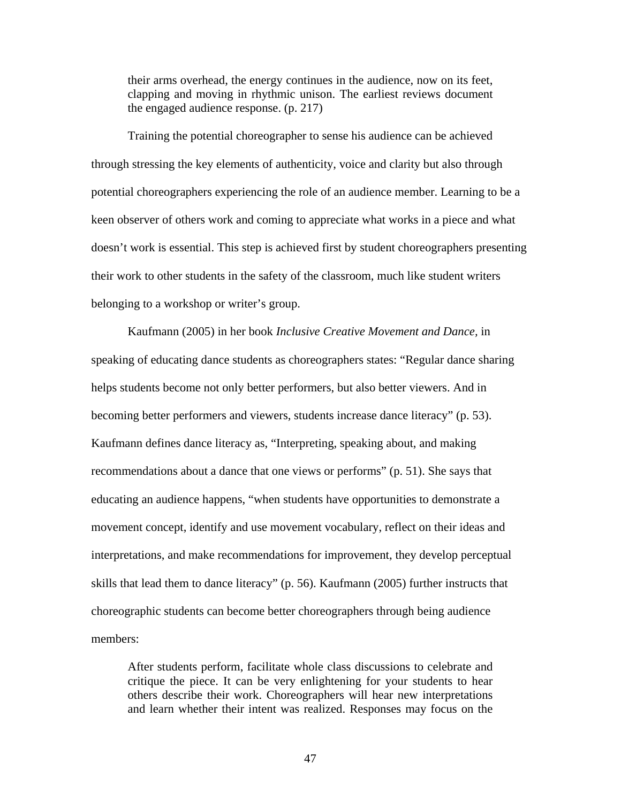their arms overhead, the energy continues in the audience, now on its feet, clapping and moving in rhythmic unison. The earliest reviews document the engaged audience response. (p. 217)

Training the potential choreographer to sense his audience can be achieved through stressing the key elements of authenticity, voice and clarity but also through potential choreographers experiencing the role of an audience member. Learning to be a keen observer of others work and coming to appreciate what works in a piece and what doesn't work is essential. This step is achieved first by student choreographers presenting their work to other students in the safety of the classroom, much like student writers belonging to a workshop or writer's group.

Kaufmann (2005) in her book *Inclusive Creative Movement and Dance,* in speaking of educating dance students as choreographers states: "Regular dance sharing helps students become not only better performers, but also better viewers. And in becoming better performers and viewers, students increase dance literacy" (p. 53). Kaufmann defines dance literacy as, "Interpreting, speaking about, and making recommendations about a dance that one views or performs" (p. 51). She says that educating an audience happens, "when students have opportunities to demonstrate a movement concept, identify and use movement vocabulary, reflect on their ideas and interpretations, and make recommendations for improvement, they develop perceptual skills that lead them to dance literacy" (p. 56). Kaufmann (2005) further instructs that choreographic students can become better choreographers through being audience members:

After students perform, facilitate whole class discussions to celebrate and critique the piece. It can be very enlightening for your students to hear others describe their work. Choreographers will hear new interpretations and learn whether their intent was realized. Responses may focus on the

47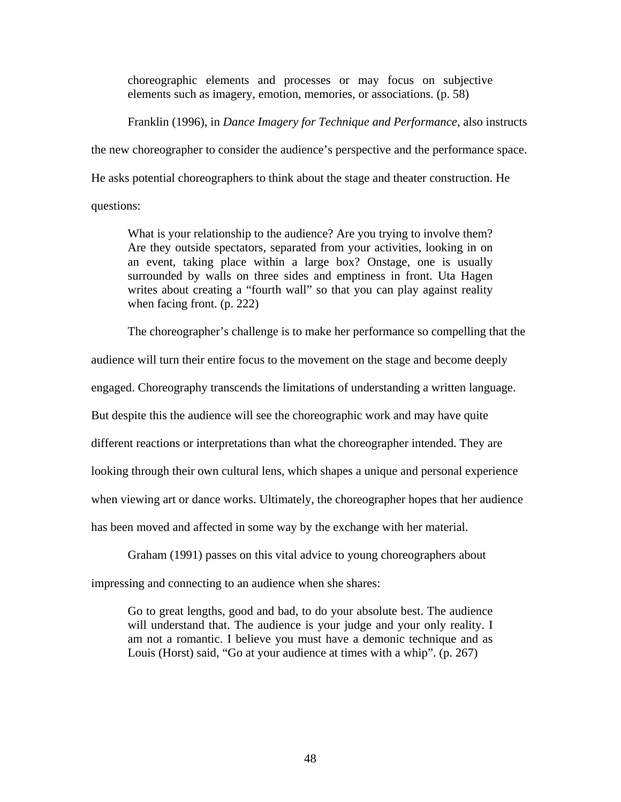choreographic elements and processes or may focus on subjective elements such as imagery, emotion, memories, or associations. (p. 58)

Franklin (1996), in *Dance Imagery for Technique and Performance*, also instructs

the new choreographer to consider the audience's perspective and the performance space.

He asks potential choreographers to think about the stage and theater construction. He

questions:

What is your relationship to the audience? Are you trying to involve them? Are they outside spectators, separated from your activities, looking in on an event, taking place within a large box? Onstage, one is usually surrounded by walls on three sides and emptiness in front. Uta Hagen writes about creating a "fourth wall" so that you can play against reality when facing front. (p. 222)

The choreographer's challenge is to make her performance so compelling that the

audience will turn their entire focus to the movement on the stage and become deeply

engaged. Choreography transcends the limitations of understanding a written language.

But despite this the audience will see the choreographic work and may have quite

different reactions or interpretations than what the choreographer intended. They are

looking through their own cultural lens, which shapes a unique and personal experience

when viewing art or dance works. Ultimately, the choreographer hopes that her audience

has been moved and affected in some way by the exchange with her material.

Graham (1991) passes on this vital advice to young choreographers about impressing and connecting to an audience when she shares:

Go to great lengths, good and bad, to do your absolute best. The audience will understand that. The audience is your judge and your only reality. I am not a romantic. I believe you must have a demonic technique and as Louis (Horst) said, "Go at your audience at times with a whip". (p. 267)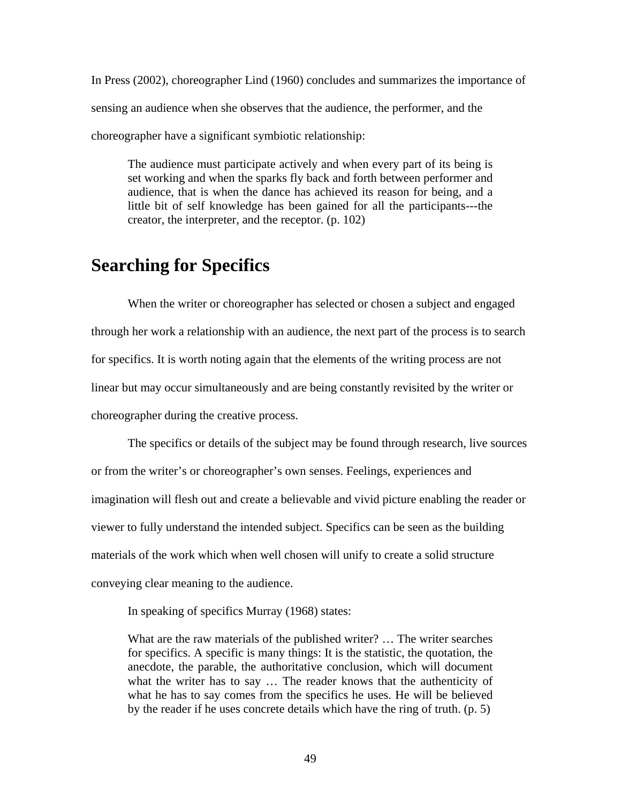In Press (2002), choreographer Lind (1960) concludes and summarizes the importance of sensing an audience when she observes that the audience, the performer, and the choreographer have a significant symbiotic relationship:

The audience must participate actively and when every part of its being is set working and when the sparks fly back and forth between performer and audience, that is when the dance has achieved its reason for being, and a little bit of self knowledge has been gained for all the participants---the creator, the interpreter, and the receptor. (p. 102)

## **Searching for Specifics**

When the writer or choreographer has selected or chosen a subject and engaged through her work a relationship with an audience, the next part of the process is to search for specifics. It is worth noting again that the elements of the writing process are not linear but may occur simultaneously and are being constantly revisited by the writer or choreographer during the creative process.

The specifics or details of the subject may be found through research, live sources or from the writer's or choreographer's own senses. Feelings, experiences and imagination will flesh out and create a believable and vivid picture enabling the reader or viewer to fully understand the intended subject. Specifics can be seen as the building materials of the work which when well chosen will unify to create a solid structure conveying clear meaning to the audience.

In speaking of specifics Murray (1968) states:

What are the raw materials of the published writer? … The writer searches for specifics. A specific is many things: It is the statistic, the quotation, the anecdote, the parable, the authoritative conclusion, which will document what the writer has to say … The reader knows that the authenticity of what he has to say comes from the specifics he uses. He will be believed by the reader if he uses concrete details which have the ring of truth. (p. 5)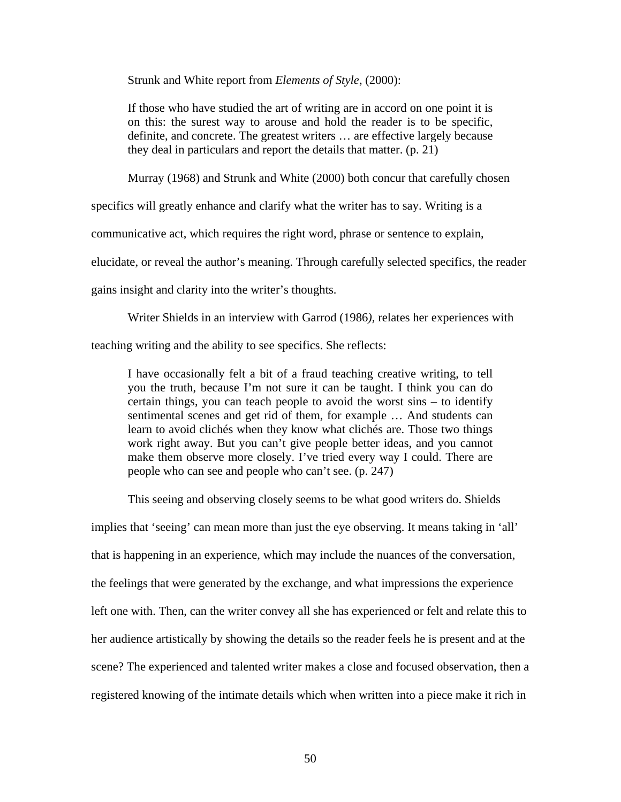Strunk and White report from *Elements of Style*, (2000):

If those who have studied the art of writing are in accord on one point it is on this: the surest way to arouse and hold the reader is to be specific, definite, and concrete. The greatest writers … are effective largely because they deal in particulars and report the details that matter. (p. 21)

Murray (1968) and Strunk and White (2000) both concur that carefully chosen

specifics will greatly enhance and clarify what the writer has to say. Writing is a

communicative act, which requires the right word, phrase or sentence to explain,

elucidate, or reveal the author's meaning. Through carefully selected specifics, the reader

gains insight and clarity into the writer's thoughts.

Writer Shields in an interview with Garrod (1986*),* relates her experiences with

teaching writing and the ability to see specifics. She reflects:

I have occasionally felt a bit of a fraud teaching creative writing, to tell you the truth, because I'm not sure it can be taught. I think you can do certain things, you can teach people to avoid the worst sins – to identify sentimental scenes and get rid of them, for example … And students can learn to avoid clichés when they know what clichés are. Those two things work right away. But you can't give people better ideas, and you cannot make them observe more closely. I've tried every way I could. There are people who can see and people who can't see. (p. 247)

This seeing and observing closely seems to be what good writers do. Shields

implies that 'seeing' can mean more than just the eye observing. It means taking in 'all' that is happening in an experience, which may include the nuances of the conversation, the feelings that were generated by the exchange, and what impressions the experience left one with. Then, can the writer convey all she has experienced or felt and relate this to her audience artistically by showing the details so the reader feels he is present and at the scene? The experienced and talented writer makes a close and focused observation, then a registered knowing of the intimate details which when written into a piece make it rich in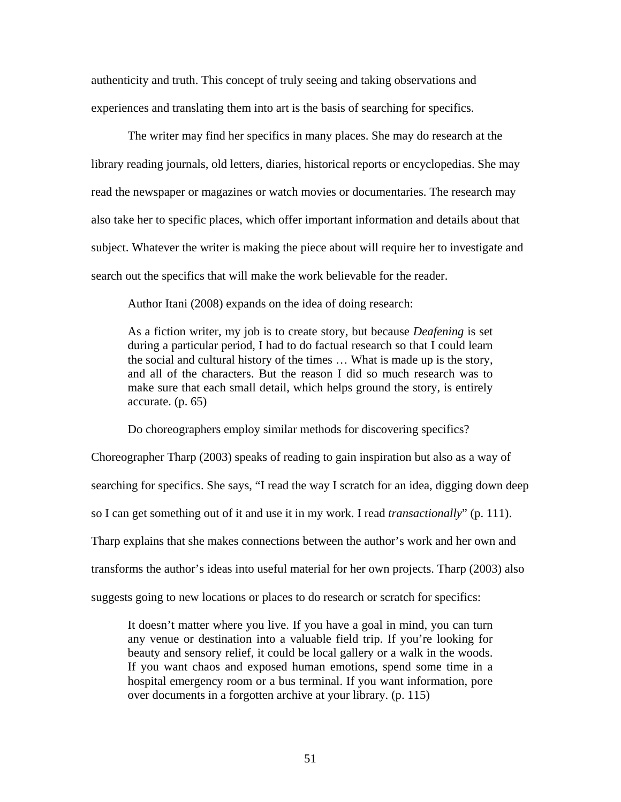authenticity and truth. This concept of truly seeing and taking observations and experiences and translating them into art is the basis of searching for specifics.

The writer may find her specifics in many places. She may do research at the library reading journals, old letters, diaries, historical reports or encyclopedias. She may read the newspaper or magazines or watch movies or documentaries. The research may also take her to specific places, which offer important information and details about that subject. Whatever the writer is making the piece about will require her to investigate and search out the specifics that will make the work believable for the reader.

Author Itani (2008) expands on the idea of doing research:

As a fiction writer, my job is to create story, but because *Deafening* is set during a particular period, I had to do factual research so that I could learn the social and cultural history of the times … What is made up is the story, and all of the characters. But the reason I did so much research was to make sure that each small detail, which helps ground the story, is entirely accurate. (p. 65)

Do choreographers employ similar methods for discovering specifics?

Choreographer Tharp (2003) speaks of reading to gain inspiration but also as a way of searching for specifics. She says, "I read the way I scratch for an idea, digging down deep so I can get something out of it and use it in my work. I read *transactionally*" (p. 111). Tharp explains that she makes connections between the author's work and her own and transforms the author's ideas into useful material for her own projects. Tharp (2003) also suggests going to new locations or places to do research or scratch for specifics:

It doesn't matter where you live. If you have a goal in mind, you can turn any venue or destination into a valuable field trip. If you're looking for beauty and sensory relief, it could be local gallery or a walk in the woods. If you want chaos and exposed human emotions, spend some time in a hospital emergency room or a bus terminal. If you want information, pore over documents in a forgotten archive at your library. (p. 115)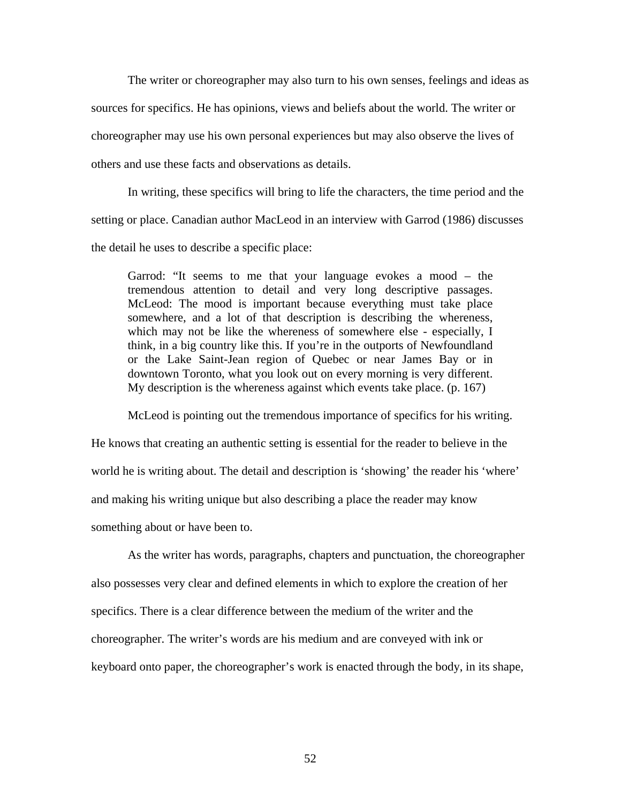The writer or choreographer may also turn to his own senses, feelings and ideas as sources for specifics. He has opinions, views and beliefs about the world. The writer or choreographer may use his own personal experiences but may also observe the lives of others and use these facts and observations as details.

In writing, these specifics will bring to life the characters, the time period and the setting or place. Canadian author MacLeod in an interview with Garrod (1986) discusses the detail he uses to describe a specific place:

Garrod: "It seems to me that your language evokes a mood – the tremendous attention to detail and very long descriptive passages. McLeod: The mood is important because everything must take place somewhere, and a lot of that description is describing the whereness, which may not be like the whereness of somewhere else - especially, I think, in a big country like this. If you're in the outports of Newfoundland or the Lake Saint-Jean region of Quebec or near James Bay or in downtown Toronto, what you look out on every morning is very different. My description is the whereness against which events take place. (p. 167)

McLeod is pointing out the tremendous importance of specifics for his writing.

He knows that creating an authentic setting is essential for the reader to believe in the world he is writing about. The detail and description is 'showing' the reader his 'where' and making his writing unique but also describing a place the reader may know something about or have been to.

As the writer has words, paragraphs, chapters and punctuation, the choreographer also possesses very clear and defined elements in which to explore the creation of her specifics. There is a clear difference between the medium of the writer and the choreographer. The writer's words are his medium and are conveyed with ink or keyboard onto paper, the choreographer's work is enacted through the body, in its shape,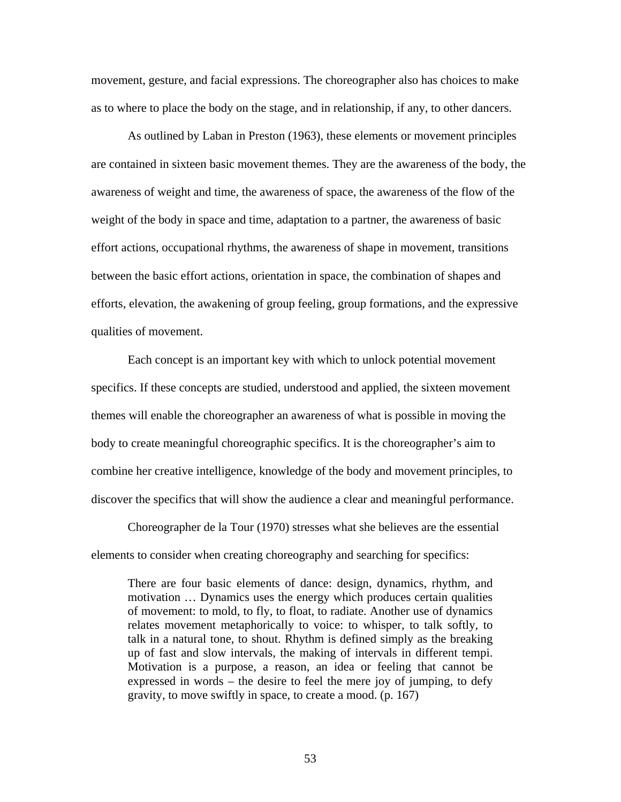movement, gesture, and facial expressions. The choreographer also has choices to make as to where to place the body on the stage, and in relationship, if any, to other dancers.

As outlined by Laban in Preston (1963), these elements or movement principles are contained in sixteen basic movement themes. They are the awareness of the body, the awareness of weight and time, the awareness of space, the awareness of the flow of the weight of the body in space and time, adaptation to a partner, the awareness of basic effort actions, occupational rhythms, the awareness of shape in movement, transitions between the basic effort actions, orientation in space, the combination of shapes and efforts, elevation, the awakening of group feeling, group formations, and the expressive qualities of movement.

Each concept is an important key with which to unlock potential movement specifics. If these concepts are studied, understood and applied, the sixteen movement themes will enable the choreographer an awareness of what is possible in moving the body to create meaningful choreographic specifics. It is the choreographer's aim to combine her creative intelligence, knowledge of the body and movement principles, to discover the specifics that will show the audience a clear and meaningful performance.

Choreographer de la Tour (1970) stresses what she believes are the essential elements to consider when creating choreography and searching for specifics:

There are four basic elements of dance: design, dynamics, rhythm, and motivation … Dynamics uses the energy which produces certain qualities of movement: to mold, to fly, to float, to radiate. Another use of dynamics relates movement metaphorically to voice: to whisper, to talk softly, to talk in a natural tone, to shout. Rhythm is defined simply as the breaking up of fast and slow intervals, the making of intervals in different tempi. Motivation is a purpose, a reason, an idea or feeling that cannot be expressed in words – the desire to feel the mere joy of jumping, to defy gravity, to move swiftly in space, to create a mood. (p. 167)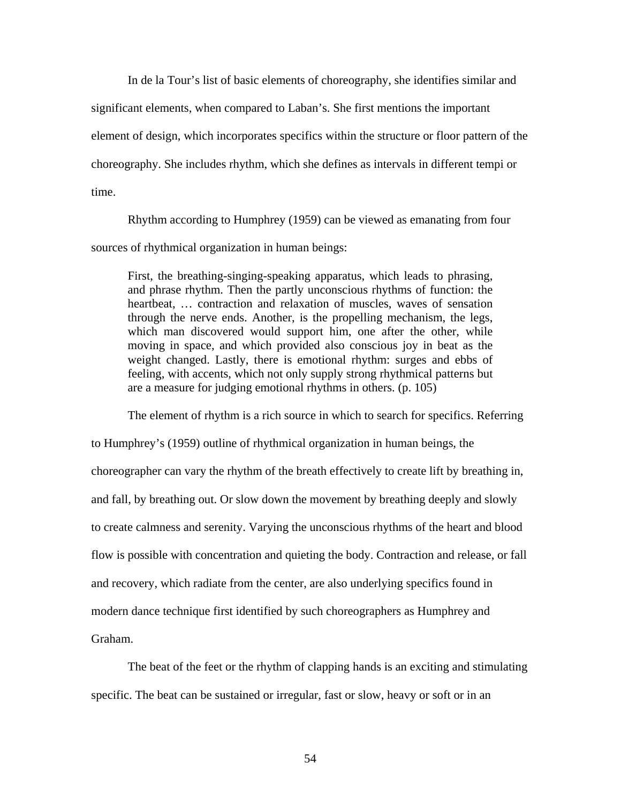In de la Tour's list of basic elements of choreography, she identifies similar and significant elements, when compared to Laban's. She first mentions the important element of design, which incorporates specifics within the structure or floor pattern of the choreography. She includes rhythm, which she defines as intervals in different tempi or time.

Rhythm according to Humphrey (1959) can be viewed as emanating from four sources of rhythmical organization in human beings:

First, the breathing-singing-speaking apparatus, which leads to phrasing, and phrase rhythm. Then the partly unconscious rhythms of function: the heartbeat, … contraction and relaxation of muscles, waves of sensation through the nerve ends. Another, is the propelling mechanism, the legs, which man discovered would support him, one after the other, while moving in space, and which provided also conscious joy in beat as the weight changed. Lastly, there is emotional rhythm: surges and ebbs of feeling, with accents, which not only supply strong rhythmical patterns but are a measure for judging emotional rhythms in others. (p. 105)

The element of rhythm is a rich source in which to search for specifics. Referring to Humphrey's (1959) outline of rhythmical organization in human beings, the choreographer can vary the rhythm of the breath effectively to create lift by breathing in, and fall, by breathing out. Or slow down the movement by breathing deeply and slowly to create calmness and serenity. Varying the unconscious rhythms of the heart and blood flow is possible with concentration and quieting the body. Contraction and release, or fall and recovery, which radiate from the center, are also underlying specifics found in modern dance technique first identified by such choreographers as Humphrey and Graham.

The beat of the feet or the rhythm of clapping hands is an exciting and stimulating specific. The beat can be sustained or irregular, fast or slow, heavy or soft or in an

54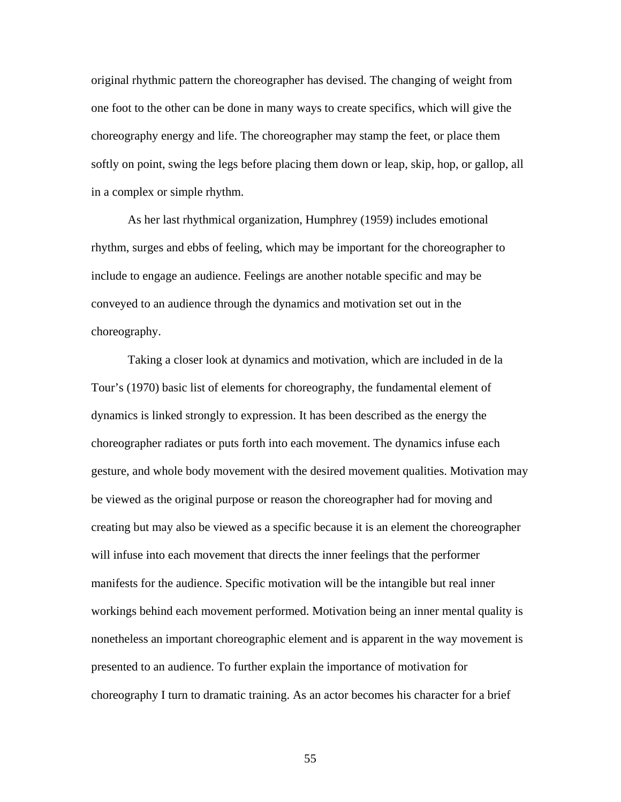original rhythmic pattern the choreographer has devised. The changing of weight from one foot to the other can be done in many ways to create specifics, which will give the choreography energy and life. The choreographer may stamp the feet, or place them softly on point, swing the legs before placing them down or leap, skip, hop, or gallop, all in a complex or simple rhythm.

As her last rhythmical organization, Humphrey (1959) includes emotional rhythm, surges and ebbs of feeling, which may be important for the choreographer to include to engage an audience. Feelings are another notable specific and may be conveyed to an audience through the dynamics and motivation set out in the choreography.

Taking a closer look at dynamics and motivation, which are included in de la Tour's (1970) basic list of elements for choreography, the fundamental element of dynamics is linked strongly to expression. It has been described as the energy the choreographer radiates or puts forth into each movement. The dynamics infuse each gesture, and whole body movement with the desired movement qualities. Motivation may be viewed as the original purpose or reason the choreographer had for moving and creating but may also be viewed as a specific because it is an element the choreographer will infuse into each movement that directs the inner feelings that the performer manifests for the audience. Specific motivation will be the intangible but real inner workings behind each movement performed. Motivation being an inner mental quality is nonetheless an important choreographic element and is apparent in the way movement is presented to an audience. To further explain the importance of motivation for choreography I turn to dramatic training. As an actor becomes his character for a brief

55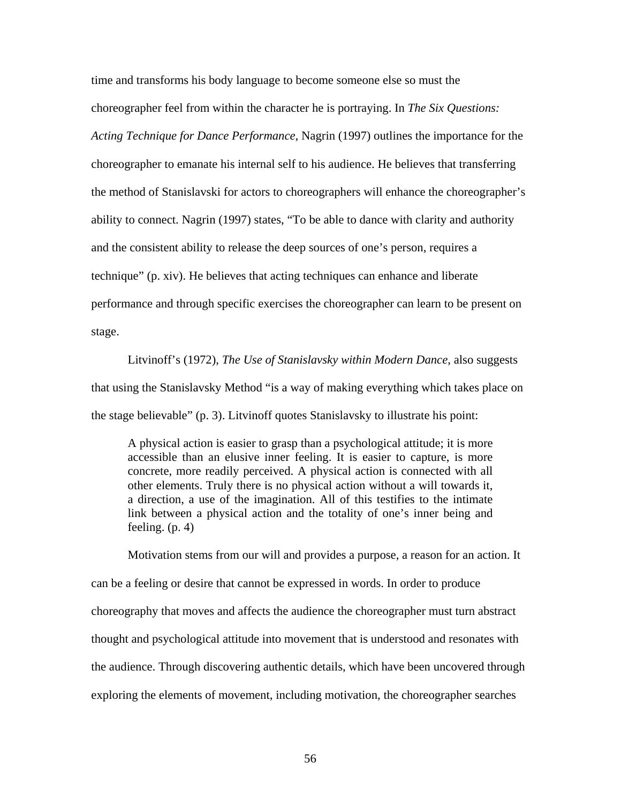time and transforms his body language to become someone else so must the choreographer feel from within the character he is portraying. In *The Six Questions: Acting Technique for Dance Performance*, Nagrin (1997) outlines the importance for the choreographer to emanate his internal self to his audience. He believes that transferring the method of Stanislavski for actors to choreographers will enhance the choreographer's ability to connect. Nagrin (1997) states, "To be able to dance with clarity and authority and the consistent ability to release the deep sources of one's person, requires a technique" (p. xiv). He believes that acting techniques can enhance and liberate performance and through specific exercises the choreographer can learn to be present on stage.

Litvinoff's (1972), *The Use of Stanislavsky within Modern Dance*, also suggests that using the Stanislavsky Method "is a way of making everything which takes place on the stage believable" (p. 3). Litvinoff quotes Stanislavsky to illustrate his point:

A physical action is easier to grasp than a psychological attitude; it is more accessible than an elusive inner feeling. It is easier to capture, is more concrete, more readily perceived. A physical action is connected with all other elements. Truly there is no physical action without a will towards it, a direction, a use of the imagination. All of this testifies to the intimate link between a physical action and the totality of one's inner being and feeling. (p. 4)

Motivation stems from our will and provides a purpose, a reason for an action. It can be a feeling or desire that cannot be expressed in words. In order to produce choreography that moves and affects the audience the choreographer must turn abstract thought and psychological attitude into movement that is understood and resonates with the audience. Through discovering authentic details, which have been uncovered through exploring the elements of movement, including motivation, the choreographer searches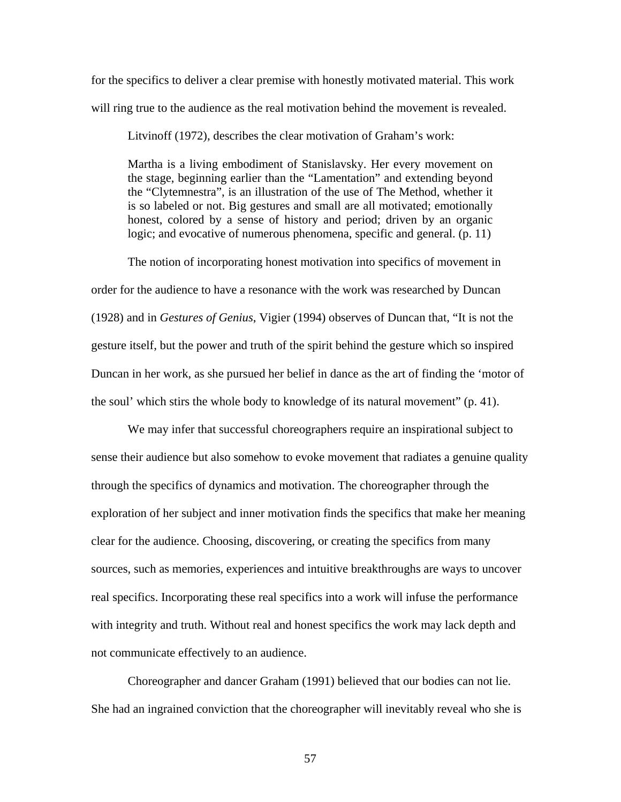for the specifics to deliver a clear premise with honestly motivated material. This work will ring true to the audience as the real motivation behind the movement is revealed.

Litvinoff (1972), describes the clear motivation of Graham's work:

Martha is a living embodiment of Stanislavsky. Her every movement on the stage, beginning earlier than the "Lamentation" and extending beyond the "Clytemnestra", is an illustration of the use of The Method, whether it is so labeled or not. Big gestures and small are all motivated; emotionally honest, colored by a sense of history and period; driven by an organic logic; and evocative of numerous phenomena, specific and general. (p. 11)

The notion of incorporating honest motivation into specifics of movement in order for the audience to have a resonance with the work was researched by Duncan (1928) and in *Gestures of Genius*, Vigier (1994) observes of Duncan that, "It is not the gesture itself, but the power and truth of the spirit behind the gesture which so inspired Duncan in her work, as she pursued her belief in dance as the art of finding the 'motor of the soul' which stirs the whole body to knowledge of its natural movement" (p. 41).

We may infer that successful choreographers require an inspirational subject to sense their audience but also somehow to evoke movement that radiates a genuine quality through the specifics of dynamics and motivation. The choreographer through the exploration of her subject and inner motivation finds the specifics that make her meaning clear for the audience. Choosing, discovering, or creating the specifics from many sources, such as memories, experiences and intuitive breakthroughs are ways to uncover real specifics. Incorporating these real specifics into a work will infuse the performance with integrity and truth. Without real and honest specifics the work may lack depth and not communicate effectively to an audience.

Choreographer and dancer Graham (1991) believed that our bodies can not lie. She had an ingrained conviction that the choreographer will inevitably reveal who she is

57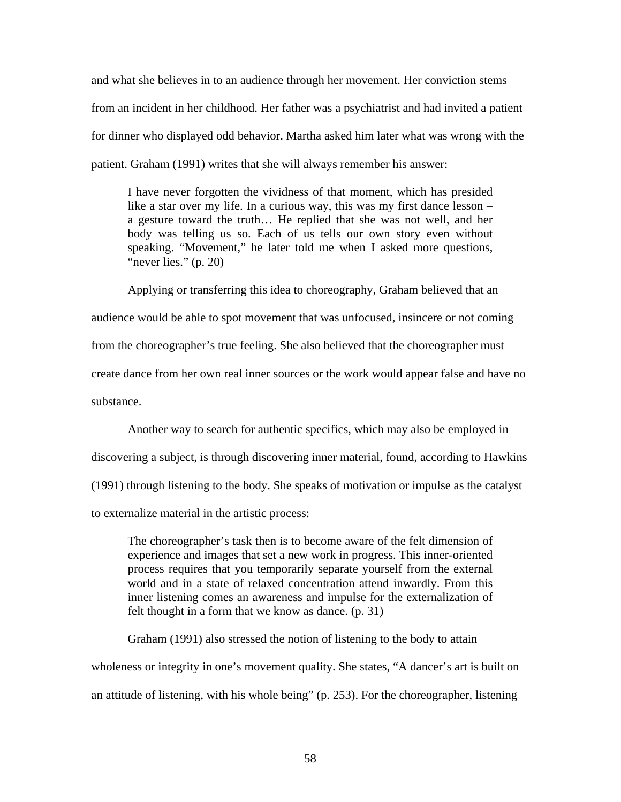and what she believes in to an audience through her movement. Her conviction stems from an incident in her childhood. Her father was a psychiatrist and had invited a patient for dinner who displayed odd behavior. Martha asked him later what was wrong with the patient. Graham (1991) writes that she will always remember his answer:

I have never forgotten the vividness of that moment, which has presided like a star over my life. In a curious way, this was my first dance lesson – a gesture toward the truth… He replied that she was not well, and her body was telling us so. Each of us tells our own story even without speaking. "Movement," he later told me when I asked more questions, "never lies." (p. 20)

Applying or transferring this idea to choreography, Graham believed that an audience would be able to spot movement that was unfocused, insincere or not coming from the choreographer's true feeling. She also believed that the choreographer must create dance from her own real inner sources or the work would appear false and have no substance.

Another way to search for authentic specifics, which may also be employed in discovering a subject, is through discovering inner material, found, according to Hawkins (1991) through listening to the body. She speaks of motivation or impulse as the catalyst to externalize material in the artistic process:

The choreographer's task then is to become aware of the felt dimension of experience and images that set a new work in progress. This inner-oriented process requires that you temporarily separate yourself from the external world and in a state of relaxed concentration attend inwardly. From this inner listening comes an awareness and impulse for the externalization of felt thought in a form that we know as dance. (p. 31)

Graham (1991) also stressed the notion of listening to the body to attain wholeness or integrity in one's movement quality. She states, "A dancer's art is built on an attitude of listening, with his whole being" (p. 253). For the choreographer, listening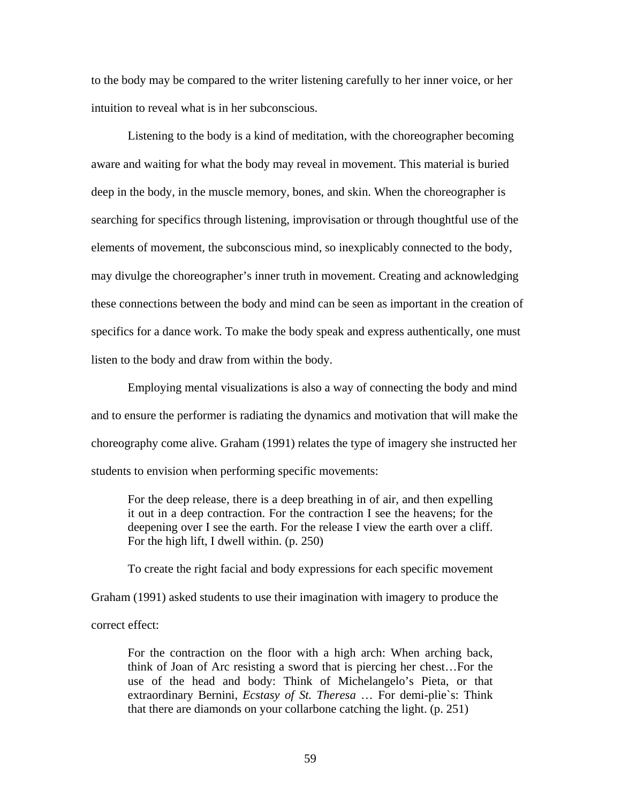to the body may be compared to the writer listening carefully to her inner voice, or her intuition to reveal what is in her subconscious.

Listening to the body is a kind of meditation, with the choreographer becoming aware and waiting for what the body may reveal in movement. This material is buried deep in the body, in the muscle memory, bones, and skin. When the choreographer is searching for specifics through listening, improvisation or through thoughtful use of the elements of movement, the subconscious mind, so inexplicably connected to the body, may divulge the choreographer's inner truth in movement. Creating and acknowledging these connections between the body and mind can be seen as important in the creation of specifics for a dance work. To make the body speak and express authentically, one must listen to the body and draw from within the body.

Employing mental visualizations is also a way of connecting the body and mind and to ensure the performer is radiating the dynamics and motivation that will make the choreography come alive. Graham (1991) relates the type of imagery she instructed her students to envision when performing specific movements:

For the deep release, there is a deep breathing in of air, and then expelling it out in a deep contraction. For the contraction I see the heavens; for the deepening over I see the earth. For the release I view the earth over a cliff. For the high lift, I dwell within. (p. 250)

To create the right facial and body expressions for each specific movement Graham (1991) asked students to use their imagination with imagery to produce the correct effect:

For the contraction on the floor with a high arch: When arching back, think of Joan of Arc resisting a sword that is piercing her chest…For the use of the head and body: Think of Michelangelo's Pieta, or that extraordinary Bernini, *Ecstasy of St. Theresa* … For demi-plie`s: Think that there are diamonds on your collarbone catching the light. (p. 251)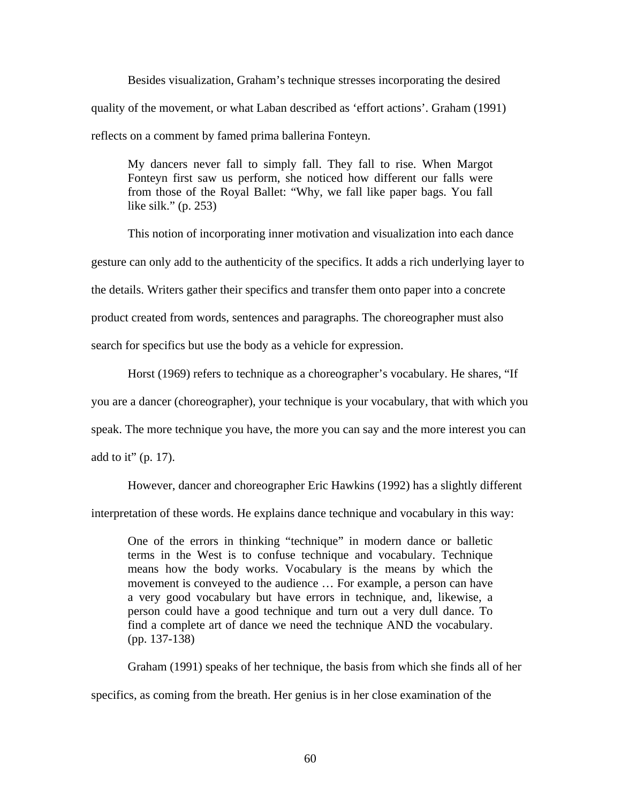Besides visualization, Graham's technique stresses incorporating the desired quality of the movement, or what Laban described as 'effort actions'. Graham (1991) reflects on a comment by famed prima ballerina Fonteyn.

My dancers never fall to simply fall. They fall to rise. When Margot Fonteyn first saw us perform, she noticed how different our falls were from those of the Royal Ballet: "Why, we fall like paper bags. You fall like silk." (p. 253)

This notion of incorporating inner motivation and visualization into each dance gesture can only add to the authenticity of the specifics. It adds a rich underlying layer to the details. Writers gather their specifics and transfer them onto paper into a concrete product created from words, sentences and paragraphs. The choreographer must also search for specifics but use the body as a vehicle for expression.

Horst (1969) refers to technique as a choreographer's vocabulary. He shares, "If you are a dancer (choreographer), your technique is your vocabulary, that with which you speak. The more technique you have, the more you can say and the more interest you can add to it" (p. 17).

However, dancer and choreographer Eric Hawkins (1992) has a slightly different

interpretation of these words. He explains dance technique and vocabulary in this way:

One of the errors in thinking "technique" in modern dance or balletic terms in the West is to confuse technique and vocabulary. Technique means how the body works. Vocabulary is the means by which the movement is conveyed to the audience … For example, a person can have a very good vocabulary but have errors in technique, and, likewise, a person could have a good technique and turn out a very dull dance. To find a complete art of dance we need the technique AND the vocabulary. (pp. 137-138)

Graham (1991) speaks of her technique, the basis from which she finds all of her specifics, as coming from the breath. Her genius is in her close examination of the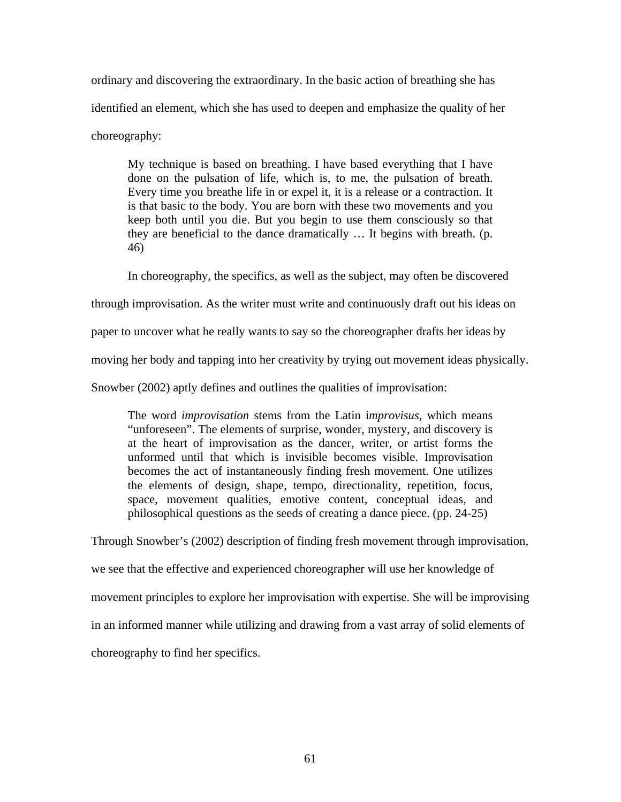ordinary and discovering the extraordinary. In the basic action of breathing she has identified an element, which she has used to deepen and emphasize the quality of her choreography:

My technique is based on breathing. I have based everything that I have done on the pulsation of life, which is, to me, the pulsation of breath. Every time you breathe life in or expel it, it is a release or a contraction. It is that basic to the body. You are born with these two movements and you keep both until you die. But you begin to use them consciously so that they are beneficial to the dance dramatically … It begins with breath. (p. 46)

In choreography, the specifics, as well as the subject, may often be discovered

through improvisation. As the writer must write and continuously draft out his ideas on

paper to uncover what he really wants to say so the choreographer drafts her ideas by

moving her body and tapping into her creativity by trying out movement ideas physically.

Snowber (2002) aptly defines and outlines the qualities of improvisation:

The word *improvisation* stems from the Latin i*mprovisus*, which means "unforeseen". The elements of surprise, wonder, mystery, and discovery is at the heart of improvisation as the dancer, writer, or artist forms the unformed until that which is invisible becomes visible. Improvisation becomes the act of instantaneously finding fresh movement. One utilizes the elements of design, shape, tempo, directionality, repetition, focus, space, movement qualities, emotive content, conceptual ideas, and philosophical questions as the seeds of creating a dance piece. (pp. 24-25)

Through Snowber's (2002) description of finding fresh movement through improvisation, we see that the effective and experienced choreographer will use her knowledge of movement principles to explore her improvisation with expertise. She will be improvising in an informed manner while utilizing and drawing from a vast array of solid elements of choreography to find her specifics.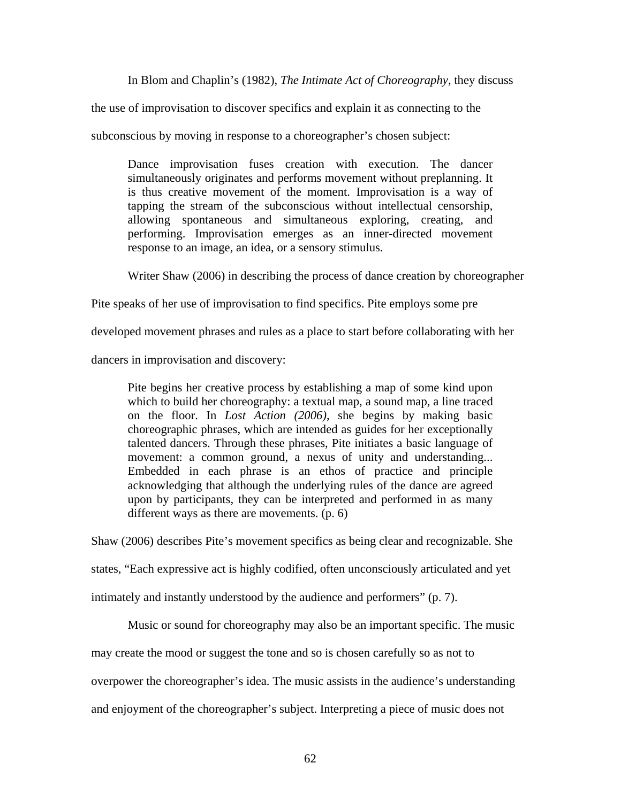In Blom and Chaplin's (1982), *The Intimate Act of Choreography,* they discuss

the use of improvisation to discover specifics and explain it as connecting to the

subconscious by moving in response to a choreographer's chosen subject:

Dance improvisation fuses creation with execution. The dancer simultaneously originates and performs movement without preplanning. It is thus creative movement of the moment. Improvisation is a way of tapping the stream of the subconscious without intellectual censorship, allowing spontaneous and simultaneous exploring, creating, and performing. Improvisation emerges as an inner-directed movement response to an image, an idea, or a sensory stimulus.

Writer Shaw (2006) in describing the process of dance creation by choreographer

Pite speaks of her use of improvisation to find specifics. Pite employs some pre

developed movement phrases and rules as a place to start before collaborating with her

dancers in improvisation and discovery:

Pite begins her creative process by establishing a map of some kind upon which to build her choreography: a textual map, a sound map, a line traced on the floor. In *Lost Action (2006)*, she begins by making basic choreographic phrases, which are intended as guides for her exceptionally talented dancers. Through these phrases, Pite initiates a basic language of movement: a common ground, a nexus of unity and understanding... Embedded in each phrase is an ethos of practice and principle acknowledging that although the underlying rules of the dance are agreed upon by participants, they can be interpreted and performed in as many different ways as there are movements. (p. 6)

Shaw (2006) describes Pite's movement specifics as being clear and recognizable. She

states, "Each expressive act is highly codified, often unconsciously articulated and yet

intimately and instantly understood by the audience and performers" (p. 7).

Music or sound for choreography may also be an important specific. The music

may create the mood or suggest the tone and so is chosen carefully so as not to

overpower the choreographer's idea. The music assists in the audience's understanding

and enjoyment of the choreographer's subject. Interpreting a piece of music does not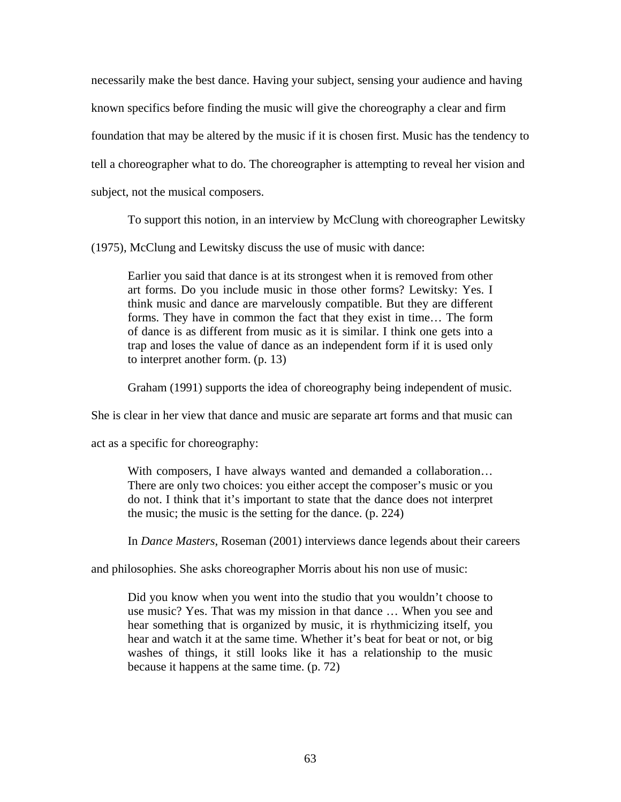necessarily make the best dance. Having your subject, sensing your audience and having known specifics before finding the music will give the choreography a clear and firm foundation that may be altered by the music if it is chosen first. Music has the tendency to tell a choreographer what to do. The choreographer is attempting to reveal her vision and subject, not the musical composers.

To support this notion, in an interview by McClung with choreographer Lewitsky

(1975), McClung and Lewitsky discuss the use of music with dance:

Earlier you said that dance is at its strongest when it is removed from other art forms. Do you include music in those other forms? Lewitsky: Yes. I think music and dance are marvelously compatible. But they are different forms. They have in common the fact that they exist in time… The form of dance is as different from music as it is similar. I think one gets into a trap and loses the value of dance as an independent form if it is used only to interpret another form. (p. 13)

Graham (1991) supports the idea of choreography being independent of music.

She is clear in her view that dance and music are separate art forms and that music can

act as a specific for choreography:

With composers, I have always wanted and demanded a collaboration… There are only two choices: you either accept the composer's music or you do not. I think that it's important to state that the dance does not interpret the music; the music is the setting for the dance. (p. 224)

In *Dance Masters*, Roseman (2001) interviews dance legends about their careers

and philosophies. She asks choreographer Morris about his non use of music:

Did you know when you went into the studio that you wouldn't choose to use music? Yes. That was my mission in that dance … When you see and hear something that is organized by music, it is rhythmicizing itself, you hear and watch it at the same time. Whether it's beat for beat or not, or big washes of things, it still looks like it has a relationship to the music because it happens at the same time. (p. 72)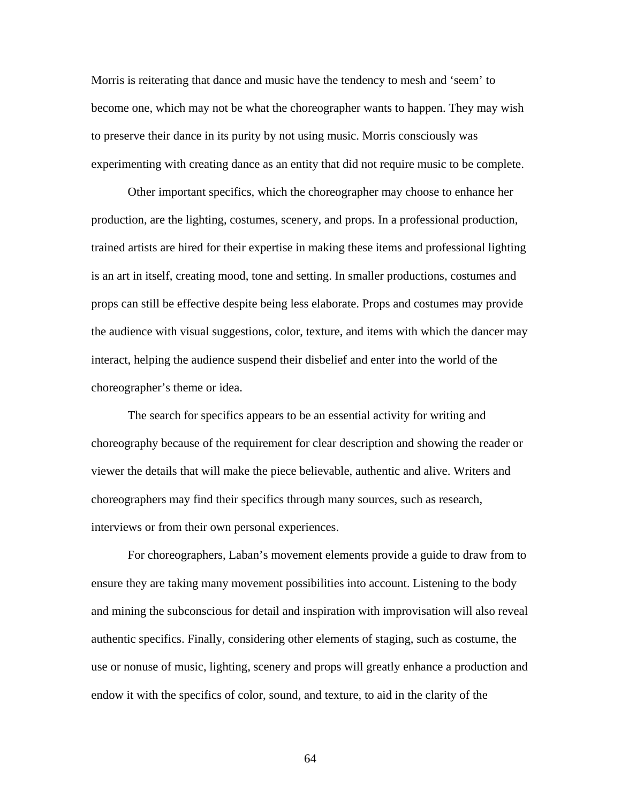Morris is reiterating that dance and music have the tendency to mesh and 'seem' to become one, which may not be what the choreographer wants to happen. They may wish to preserve their dance in its purity by not using music. Morris consciously was experimenting with creating dance as an entity that did not require music to be complete.

Other important specifics, which the choreographer may choose to enhance her production, are the lighting, costumes, scenery, and props. In a professional production, trained artists are hired for their expertise in making these items and professional lighting is an art in itself, creating mood, tone and setting. In smaller productions, costumes and props can still be effective despite being less elaborate. Props and costumes may provide the audience with visual suggestions, color, texture, and items with which the dancer may interact, helping the audience suspend their disbelief and enter into the world of the choreographer's theme or idea.

The search for specifics appears to be an essential activity for writing and choreography because of the requirement for clear description and showing the reader or viewer the details that will make the piece believable, authentic and alive. Writers and choreographers may find their specifics through many sources, such as research, interviews or from their own personal experiences.

For choreographers, Laban's movement elements provide a guide to draw from to ensure they are taking many movement possibilities into account. Listening to the body and mining the subconscious for detail and inspiration with improvisation will also reveal authentic specifics. Finally, considering other elements of staging, such as costume, the use or nonuse of music, lighting, scenery and props will greatly enhance a production and endow it with the specifics of color, sound, and texture, to aid in the clarity of the

64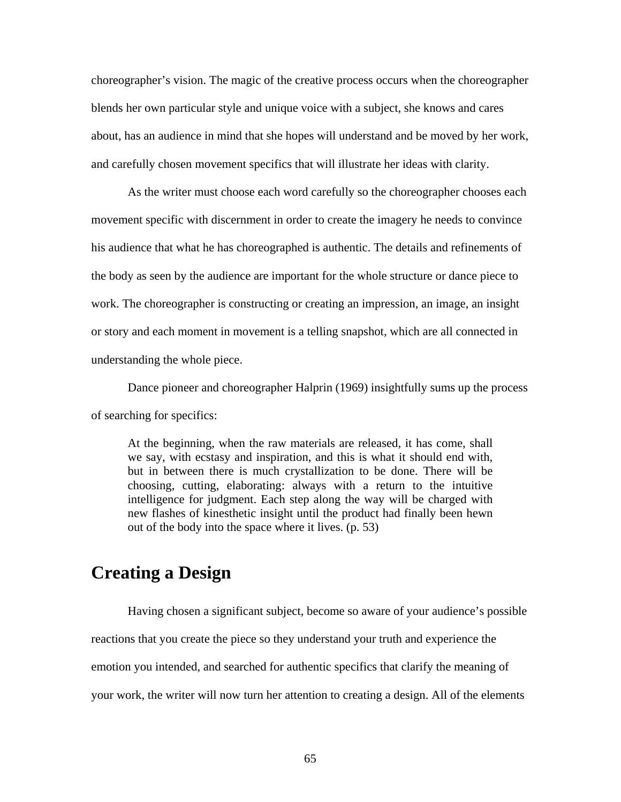choreographer's vision. The magic of the creative process occurs when the choreographer blends her own particular style and unique voice with a subject, she knows and cares about, has an audience in mind that she hopes will understand and be moved by her work, and carefully chosen movement specifics that will illustrate her ideas with clarity.

As the writer must choose each word carefully so the choreographer chooses each movement specific with discernment in order to create the imagery he needs to convince his audience that what he has choreographed is authentic. The details and refinements of the body as seen by the audience are important for the whole structure or dance piece to work. The choreographer is constructing or creating an impression, an image, an insight or story and each moment in movement is a telling snapshot, which are all connected in understanding the whole piece.

Dance pioneer and choreographer Halprin (1969) insightfully sums up the process of searching for specifics:

At the beginning, when the raw materials are released, it has come, shall we say, with ecstasy and inspiration, and this is what it should end with, but in between there is much crystallization to be done. There will be choosing, cutting, elaborating: always with a return to the intuitive intelligence for judgment. Each step along the way will be charged with new flashes of kinesthetic insight until the product had finally been hewn out of the body into the space where it lives. (p. 53)

## **Creating a Design**

Having chosen a significant subject, become so aware of your audience's possible reactions that you create the piece so they understand your truth and experience the emotion you intended, and searched for authentic specifics that clarify the meaning of your work, the writer will now turn her attention to creating a design. All of the elements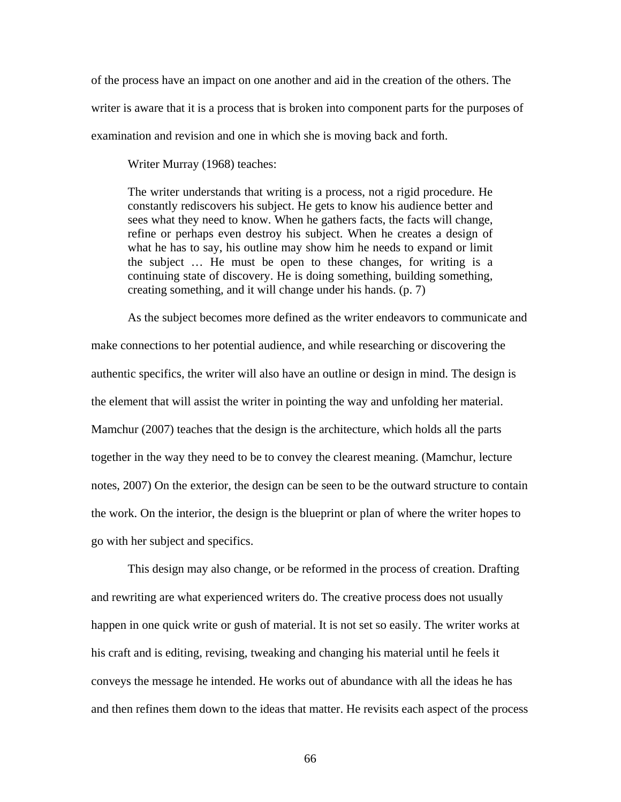of the process have an impact on one another and aid in the creation of the others. The writer is aware that it is a process that is broken into component parts for the purposes of examination and revision and one in which she is moving back and forth.

Writer Murray (1968) teaches:

The writer understands that writing is a process, not a rigid procedure. He constantly rediscovers his subject. He gets to know his audience better and sees what they need to know. When he gathers facts, the facts will change, refine or perhaps even destroy his subject. When he creates a design of what he has to say, his outline may show him he needs to expand or limit the subject … He must be open to these changes, for writing is a continuing state of discovery. He is doing something, building something, creating something, and it will change under his hands. (p. 7)

As the subject becomes more defined as the writer endeavors to communicate and make connections to her potential audience, and while researching or discovering the authentic specifics, the writer will also have an outline or design in mind. The design is the element that will assist the writer in pointing the way and unfolding her material. Mamchur (2007) teaches that the design is the architecture, which holds all the parts together in the way they need to be to convey the clearest meaning. (Mamchur, lecture notes, 2007) On the exterior, the design can be seen to be the outward structure to contain the work. On the interior, the design is the blueprint or plan of where the writer hopes to go with her subject and specifics.

This design may also change, or be reformed in the process of creation. Drafting and rewriting are what experienced writers do. The creative process does not usually happen in one quick write or gush of material. It is not set so easily. The writer works at his craft and is editing, revising, tweaking and changing his material until he feels it conveys the message he intended. He works out of abundance with all the ideas he has and then refines them down to the ideas that matter. He revisits each aspect of the process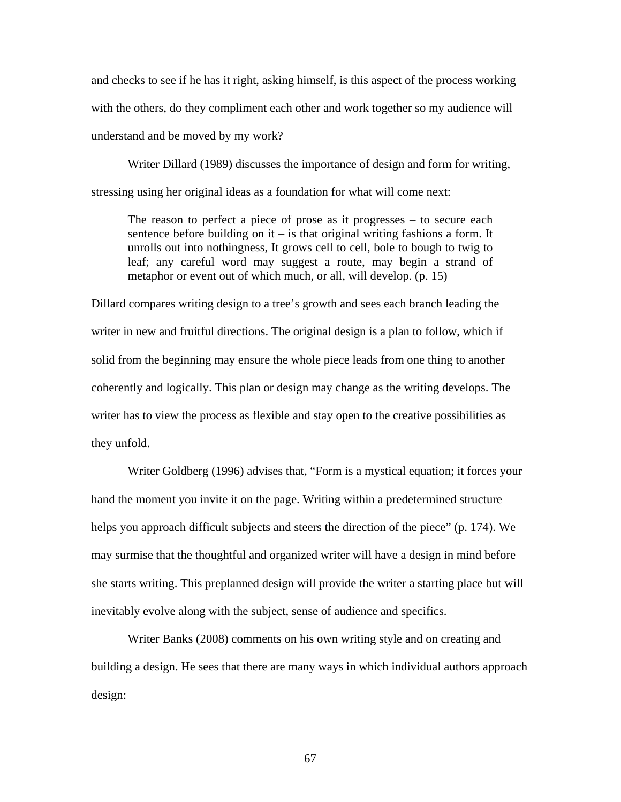and checks to see if he has it right, asking himself, is this aspect of the process working with the others, do they compliment each other and work together so my audience will understand and be moved by my work?

Writer Dillard (1989) discusses the importance of design and form for writing, stressing using her original ideas as a foundation for what will come next:

The reason to perfect a piece of prose as it progresses – to secure each sentence before building on it – is that original writing fashions a form. It unrolls out into nothingness, It grows cell to cell, bole to bough to twig to leaf; any careful word may suggest a route, may begin a strand of metaphor or event out of which much, or all, will develop. (p. 15)

Dillard compares writing design to a tree's growth and sees each branch leading the writer in new and fruitful directions. The original design is a plan to follow, which if solid from the beginning may ensure the whole piece leads from one thing to another coherently and logically. This plan or design may change as the writing develops. The writer has to view the process as flexible and stay open to the creative possibilities as they unfold.

Writer Goldberg (1996) advises that, "Form is a mystical equation; it forces your hand the moment you invite it on the page. Writing within a predetermined structure helps you approach difficult subjects and steers the direction of the piece" (p. 174). We may surmise that the thoughtful and organized writer will have a design in mind before she starts writing. This preplanned design will provide the writer a starting place but will inevitably evolve along with the subject, sense of audience and specifics.

Writer Banks (2008) comments on his own writing style and on creating and building a design. He sees that there are many ways in which individual authors approach design: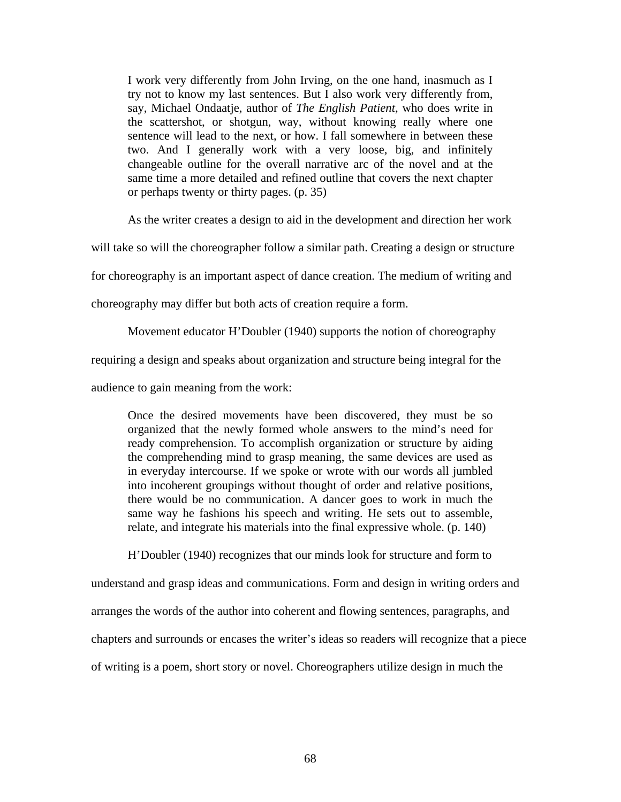I work very differently from John Irving, on the one hand, inasmuch as I try not to know my last sentences. But I also work very differently from, say, Michael Ondaatje, author of *The English Patient*, who does write in the scattershot, or shotgun, way, without knowing really where one sentence will lead to the next, or how. I fall somewhere in between these two. And I generally work with a very loose, big, and infinitely changeable outline for the overall narrative arc of the novel and at the same time a more detailed and refined outline that covers the next chapter or perhaps twenty or thirty pages. (p. 35)

As the writer creates a design to aid in the development and direction her work

will take so will the choreographer follow a similar path. Creating a design or structure

for choreography is an important aspect of dance creation. The medium of writing and

choreography may differ but both acts of creation require a form.

Movement educator H'Doubler (1940) supports the notion of choreography

requiring a design and speaks about organization and structure being integral for the

audience to gain meaning from the work:

Once the desired movements have been discovered, they must be so organized that the newly formed whole answers to the mind's need for ready comprehension. To accomplish organization or structure by aiding the comprehending mind to grasp meaning, the same devices are used as in everyday intercourse. If we spoke or wrote with our words all jumbled into incoherent groupings without thought of order and relative positions, there would be no communication. A dancer goes to work in much the same way he fashions his speech and writing. He sets out to assemble, relate, and integrate his materials into the final expressive whole. (p. 140)

H'Doubler (1940) recognizes that our minds look for structure and form to

understand and grasp ideas and communications. Form and design in writing orders and arranges the words of the author into coherent and flowing sentences, paragraphs, and chapters and surrounds or encases the writer's ideas so readers will recognize that a piece of writing is a poem, short story or novel. Choreographers utilize design in much the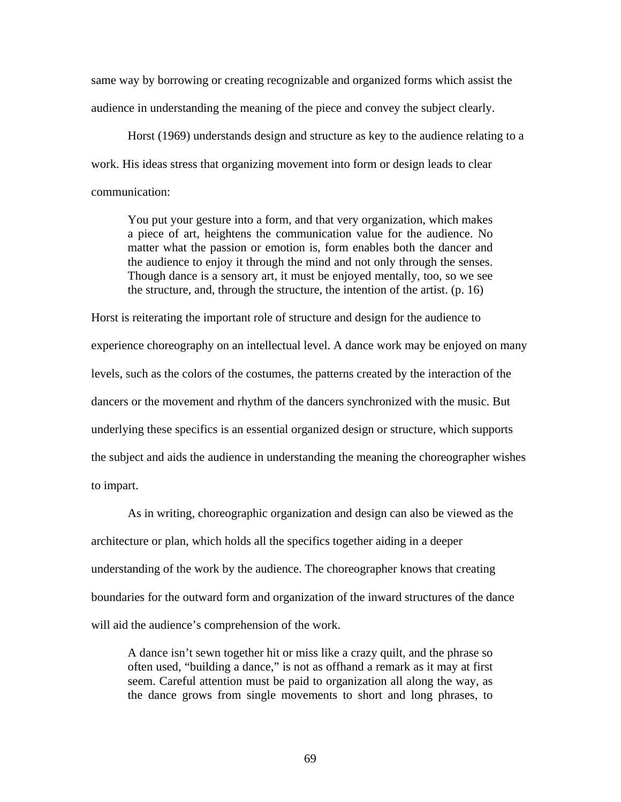same way by borrowing or creating recognizable and organized forms which assist the audience in understanding the meaning of the piece and convey the subject clearly.

Horst (1969) understands design and structure as key to the audience relating to a work. His ideas stress that organizing movement into form or design leads to clear communication:

You put your gesture into a form, and that very organization, which makes a piece of art, heightens the communication value for the audience. No matter what the passion or emotion is, form enables both the dancer and the audience to enjoy it through the mind and not only through the senses. Though dance is a sensory art, it must be enjoyed mentally, too, so we see the structure, and, through the structure, the intention of the artist. (p. 16)

Horst is reiterating the important role of structure and design for the audience to experience choreography on an intellectual level. A dance work may be enjoyed on many levels, such as the colors of the costumes, the patterns created by the interaction of the dancers or the movement and rhythm of the dancers synchronized with the music. But underlying these specifics is an essential organized design or structure, which supports the subject and aids the audience in understanding the meaning the choreographer wishes to impart.

As in writing, choreographic organization and design can also be viewed as the architecture or plan, which holds all the specifics together aiding in a deeper understanding of the work by the audience. The choreographer knows that creating boundaries for the outward form and organization of the inward structures of the dance will aid the audience's comprehension of the work.

A dance isn't sewn together hit or miss like a crazy quilt, and the phrase so often used, "building a dance," is not as offhand a remark as it may at first seem. Careful attention must be paid to organization all along the way, as the dance grows from single movements to short and long phrases, to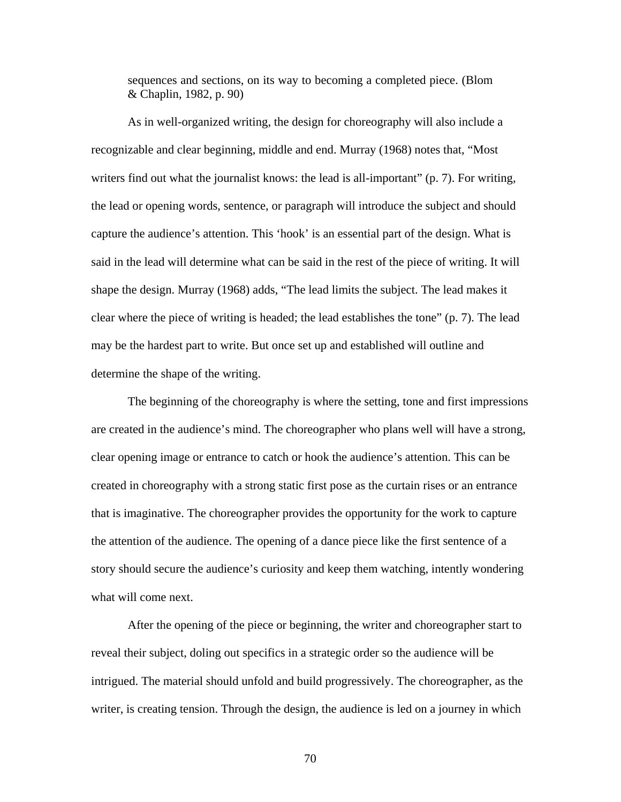sequences and sections, on its way to becoming a completed piece. (Blom & Chaplin, 1982, p. 90)

As in well-organized writing, the design for choreography will also include a recognizable and clear beginning, middle and end. Murray (1968) notes that, "Most writers find out what the journalist knows: the lead is all-important" (p. 7). For writing, the lead or opening words, sentence, or paragraph will introduce the subject and should capture the audience's attention. This 'hook' is an essential part of the design. What is said in the lead will determine what can be said in the rest of the piece of writing. It will shape the design. Murray (1968) adds, "The lead limits the subject. The lead makes it clear where the piece of writing is headed; the lead establishes the tone" (p. 7). The lead may be the hardest part to write. But once set up and established will outline and determine the shape of the writing.

The beginning of the choreography is where the setting, tone and first impressions are created in the audience's mind. The choreographer who plans well will have a strong, clear opening image or entrance to catch or hook the audience's attention. This can be created in choreography with a strong static first pose as the curtain rises or an entrance that is imaginative. The choreographer provides the opportunity for the work to capture the attention of the audience. The opening of a dance piece like the first sentence of a story should secure the audience's curiosity and keep them watching, intently wondering what will come next.

After the opening of the piece or beginning, the writer and choreographer start to reveal their subject, doling out specifics in a strategic order so the audience will be intrigued. The material should unfold and build progressively. The choreographer, as the writer, is creating tension. Through the design, the audience is led on a journey in which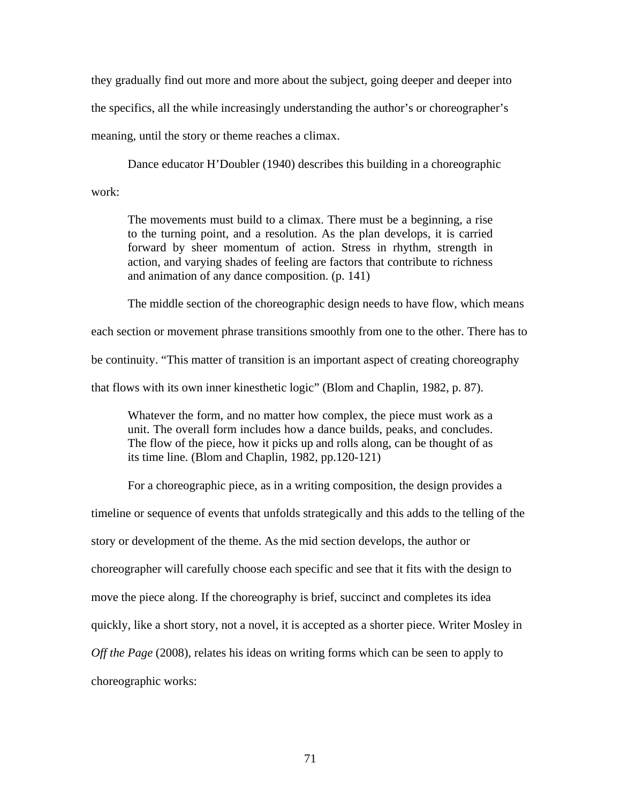they gradually find out more and more about the subject, going deeper and deeper into the specifics, all the while increasingly understanding the author's or choreographer's meaning, until the story or theme reaches a climax.

Dance educator H'Doubler (1940) describes this building in a choreographic work:

The movements must build to a climax. There must be a beginning, a rise to the turning point, and a resolution. As the plan develops, it is carried forward by sheer momentum of action. Stress in rhythm, strength in action, and varying shades of feeling are factors that contribute to richness and animation of any dance composition. (p. 141)

The middle section of the choreographic design needs to have flow, which means each section or movement phrase transitions smoothly from one to the other. There has to be continuity. "This matter of transition is an important aspect of creating choreography that flows with its own inner kinesthetic logic" (Blom and Chaplin, 1982, p. 87).

Whatever the form, and no matter how complex, the piece must work as a unit. The overall form includes how a dance builds, peaks, and concludes. The flow of the piece, how it picks up and rolls along, can be thought of as its time line. (Blom and Chaplin, 1982, pp.120-121)

For a choreographic piece, as in a writing composition, the design provides a

timeline or sequence of events that unfolds strategically and this adds to the telling of the

story or development of the theme. As the mid section develops, the author or

choreographer will carefully choose each specific and see that it fits with the design to

move the piece along. If the choreography is brief, succinct and completes its idea

quickly, like a short story, not a novel, it is accepted as a shorter piece. Writer Mosley in

*Off the Page* (2008), relates his ideas on writing forms which can be seen to apply to

choreographic works: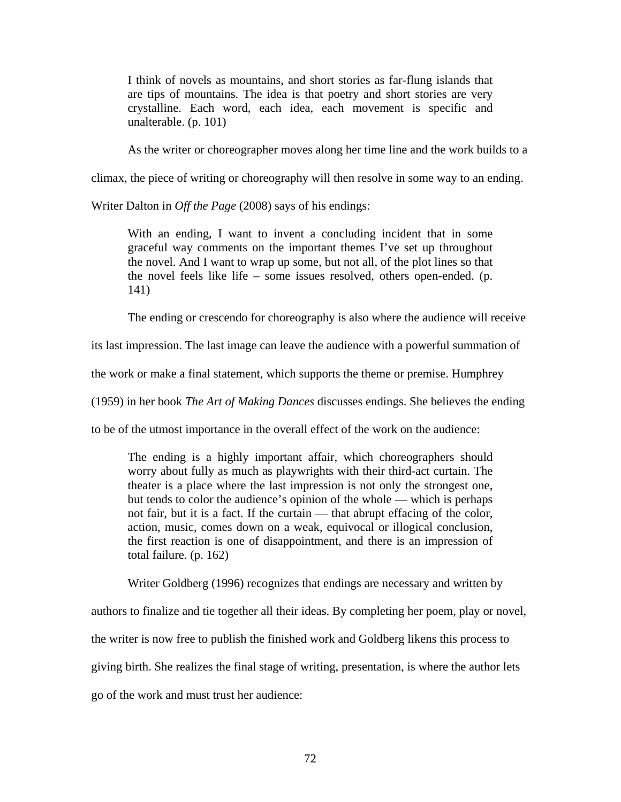I think of novels as mountains, and short stories as far-flung islands that are tips of mountains. The idea is that poetry and short stories are very crystalline. Each word, each idea, each movement is specific and unalterable. (p. 101)

As the writer or choreographer moves along her time line and the work builds to a

climax, the piece of writing or choreography will then resolve in some way to an ending.

Writer Dalton in *Off the Page* (2008) says of his endings:

With an ending, I want to invent a concluding incident that in some graceful way comments on the important themes I've set up throughout the novel. And I want to wrap up some, but not all, of the plot lines so that the novel feels like life – some issues resolved, others open-ended. (p. 141)

The ending or crescendo for choreography is also where the audience will receive

its last impression. The last image can leave the audience with a powerful summation of

the work or make a final statement, which supports the theme or premise. Humphrey

(1959) in her book *The Art of Making Dances* discusses endings. She believes the ending

to be of the utmost importance in the overall effect of the work on the audience:

The ending is a highly important affair, which choreographers should worry about fully as much as playwrights with their third-act curtain. The theater is a place where the last impression is not only the strongest one, but tends to color the audience's opinion of the whole — which is perhaps not fair, but it is a fact. If the curtain — that abrupt effacing of the color, action, music, comes down on a weak, equivocal or illogical conclusion, the first reaction is one of disappointment, and there is an impression of total failure. (p. 162)

Writer Goldberg (1996) recognizes that endings are necessary and written by

authors to finalize and tie together all their ideas. By completing her poem, play or novel, the writer is now free to publish the finished work and Goldberg likens this process to giving birth. She realizes the final stage of writing, presentation, is where the author lets go of the work and must trust her audience: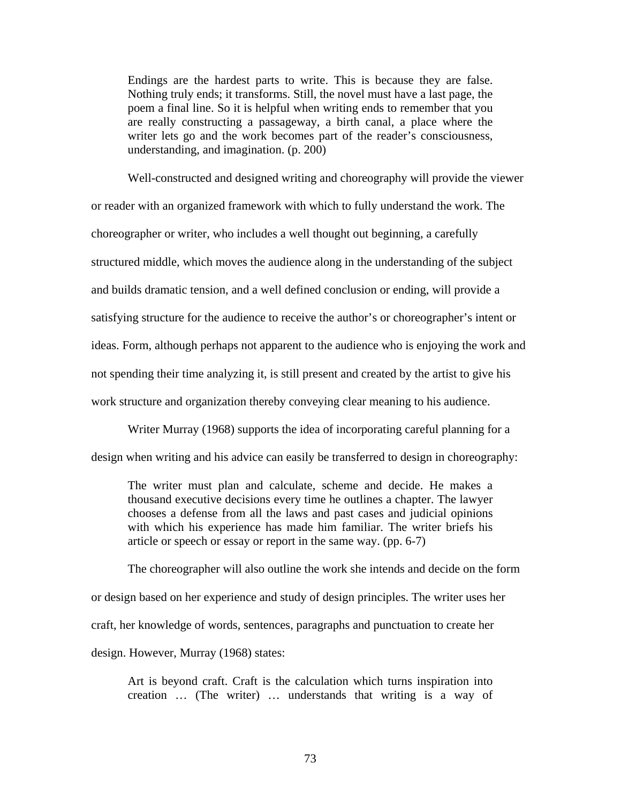Endings are the hardest parts to write. This is because they are false. Nothing truly ends; it transforms. Still, the novel must have a last page, the poem a final line. So it is helpful when writing ends to remember that you are really constructing a passageway, a birth canal, a place where the writer lets go and the work becomes part of the reader's consciousness, understanding, and imagination. (p. 200)

Well-constructed and designed writing and choreography will provide the viewer or reader with an organized framework with which to fully understand the work. The choreographer or writer, who includes a well thought out beginning, a carefully structured middle, which moves the audience along in the understanding of the subject and builds dramatic tension, and a well defined conclusion or ending, will provide a satisfying structure for the audience to receive the author's or choreographer's intent or ideas. Form, although perhaps not apparent to the audience who is enjoying the work and not spending their time analyzing it, is still present and created by the artist to give his work structure and organization thereby conveying clear meaning to his audience.

Writer Murray (1968) supports the idea of incorporating careful planning for a design when writing and his advice can easily be transferred to design in choreography:

The writer must plan and calculate, scheme and decide. He makes a thousand executive decisions every time he outlines a chapter. The lawyer chooses a defense from all the laws and past cases and judicial opinions with which his experience has made him familiar. The writer briefs his article or speech or essay or report in the same way. (pp. 6-7)

The choreographer will also outline the work she intends and decide on the form or design based on her experience and study of design principles. The writer uses her craft, her knowledge of words, sentences, paragraphs and punctuation to create her design. However, Murray (1968) states:

Art is beyond craft. Craft is the calculation which turns inspiration into creation … (The writer) … understands that writing is a way of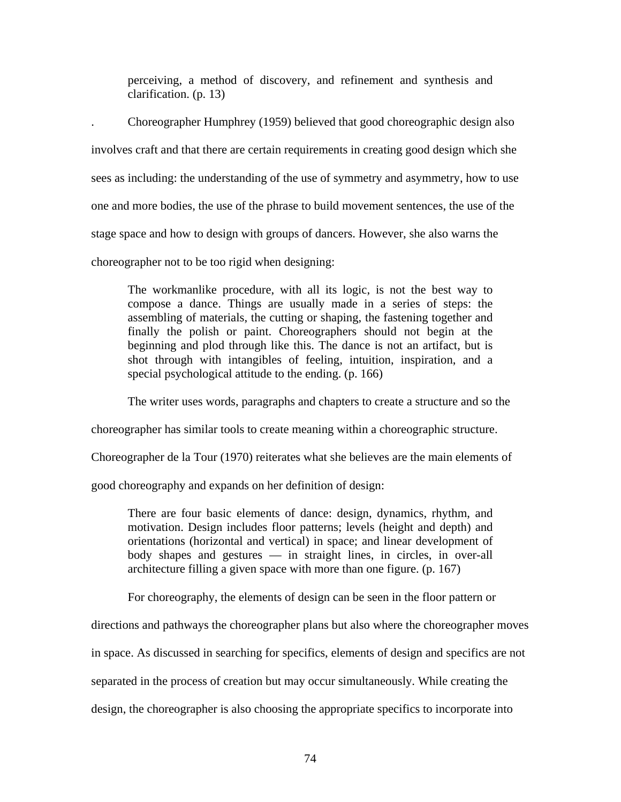perceiving, a method of discovery, and refinement and synthesis and clarification. (p. 13)

. Choreographer Humphrey (1959) believed that good choreographic design also involves craft and that there are certain requirements in creating good design which she sees as including: the understanding of the use of symmetry and asymmetry, how to use one and more bodies, the use of the phrase to build movement sentences, the use of the stage space and how to design with groups of dancers. However, she also warns the choreographer not to be too rigid when designing:

The workmanlike procedure, with all its logic, is not the best way to compose a dance. Things are usually made in a series of steps: the assembling of materials, the cutting or shaping, the fastening together and finally the polish or paint. Choreographers should not begin at the beginning and plod through like this. The dance is not an artifact, but is shot through with intangibles of feeling, intuition, inspiration, and a special psychological attitude to the ending. (p. 166)

The writer uses words, paragraphs and chapters to create a structure and so the

choreographer has similar tools to create meaning within a choreographic structure.

Choreographer de la Tour (1970) reiterates what she believes are the main elements of

good choreography and expands on her definition of design:

There are four basic elements of dance: design, dynamics, rhythm, and motivation. Design includes floor patterns; levels (height and depth) and orientations (horizontal and vertical) in space; and linear development of body shapes and gestures — in straight lines, in circles, in over-all architecture filling a given space with more than one figure. (p. 167)

For choreography, the elements of design can be seen in the floor pattern or

directions and pathways the choreographer plans but also where the choreographer moves

in space. As discussed in searching for specifics, elements of design and specifics are not

separated in the process of creation but may occur simultaneously. While creating the

design, the choreographer is also choosing the appropriate specifics to incorporate into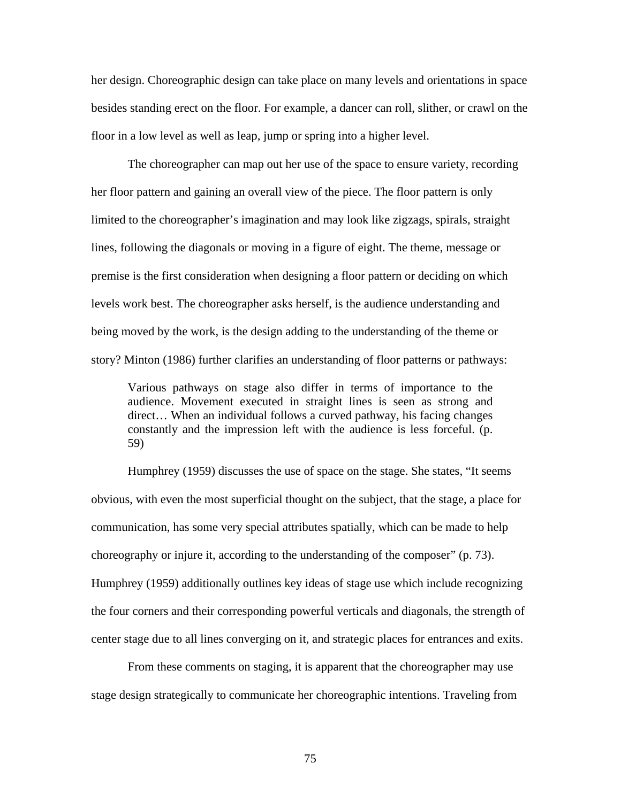her design. Choreographic design can take place on many levels and orientations in space besides standing erect on the floor. For example, a dancer can roll, slither, or crawl on the floor in a low level as well as leap, jump or spring into a higher level.

The choreographer can map out her use of the space to ensure variety, recording her floor pattern and gaining an overall view of the piece. The floor pattern is only limited to the choreographer's imagination and may look like zigzags, spirals, straight lines, following the diagonals or moving in a figure of eight. The theme, message or premise is the first consideration when designing a floor pattern or deciding on which levels work best. The choreographer asks herself, is the audience understanding and being moved by the work, is the design adding to the understanding of the theme or story? Minton (1986) further clarifies an understanding of floor patterns or pathways:

Various pathways on stage also differ in terms of importance to the audience. Movement executed in straight lines is seen as strong and direct… When an individual follows a curved pathway, his facing changes constantly and the impression left with the audience is less forceful. (p. 59)

Humphrey (1959) discusses the use of space on the stage. She states, "It seems obvious, with even the most superficial thought on the subject, that the stage, a place for communication, has some very special attributes spatially, which can be made to help choreography or injure it, according to the understanding of the composer" (p. 73). Humphrey (1959) additionally outlines key ideas of stage use which include recognizing the four corners and their corresponding powerful verticals and diagonals, the strength of center stage due to all lines converging on it, and strategic places for entrances and exits.

From these comments on staging, it is apparent that the choreographer may use stage design strategically to communicate her choreographic intentions. Traveling from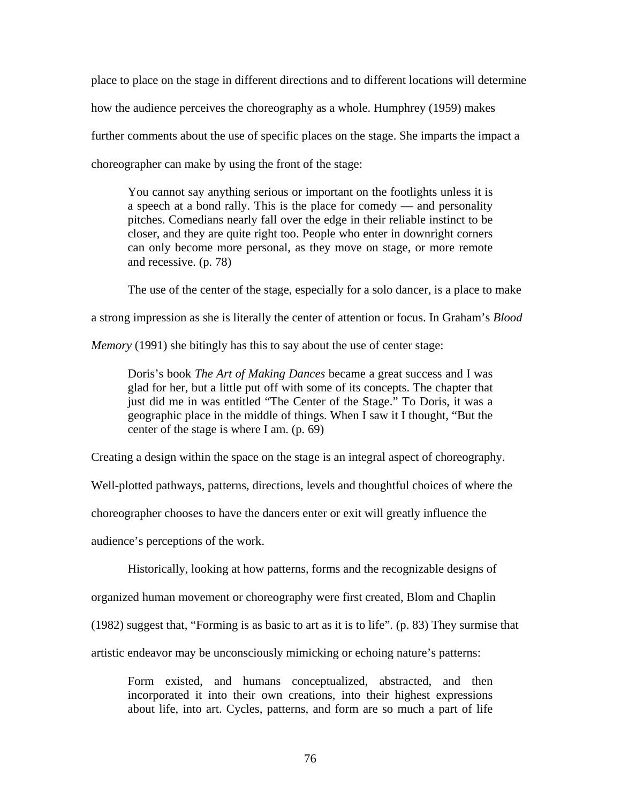place to place on the stage in different directions and to different locations will determine how the audience perceives the choreography as a whole. Humphrey (1959) makes further comments about the use of specific places on the stage. She imparts the impact a choreographer can make by using the front of the stage:

You cannot say anything serious or important on the footlights unless it is a speech at a bond rally. This is the place for comedy — and personality pitches. Comedians nearly fall over the edge in their reliable instinct to be closer, and they are quite right too. People who enter in downright corners can only become more personal, as they move on stage, or more remote and recessive. (p. 78)

The use of the center of the stage, especially for a solo dancer, is a place to make a strong impression as she is literally the center of attention or focus. In Graham's *Blood* 

*Memory* (1991) she bitingly has this to say about the use of center stage:

Doris's book *The Art of Making Dances* became a great success and I was glad for her, but a little put off with some of its concepts. The chapter that just did me in was entitled "The Center of the Stage." To Doris, it was a geographic place in the middle of things. When I saw it I thought, "But the center of the stage is where I am. (p. 69)

Creating a design within the space on the stage is an integral aspect of choreography.

Well-plotted pathways, patterns, directions, levels and thoughtful choices of where the

choreographer chooses to have the dancers enter or exit will greatly influence the

audience's perceptions of the work.

Historically, looking at how patterns, forms and the recognizable designs of

organized human movement or choreography were first created, Blom and Chaplin

(1982) suggest that, "Forming is as basic to art as it is to life". (p. 83) They surmise that

artistic endeavor may be unconsciously mimicking or echoing nature's patterns:

Form existed, and humans conceptualized, abstracted, and then incorporated it into their own creations, into their highest expressions about life, into art. Cycles, patterns, and form are so much a part of life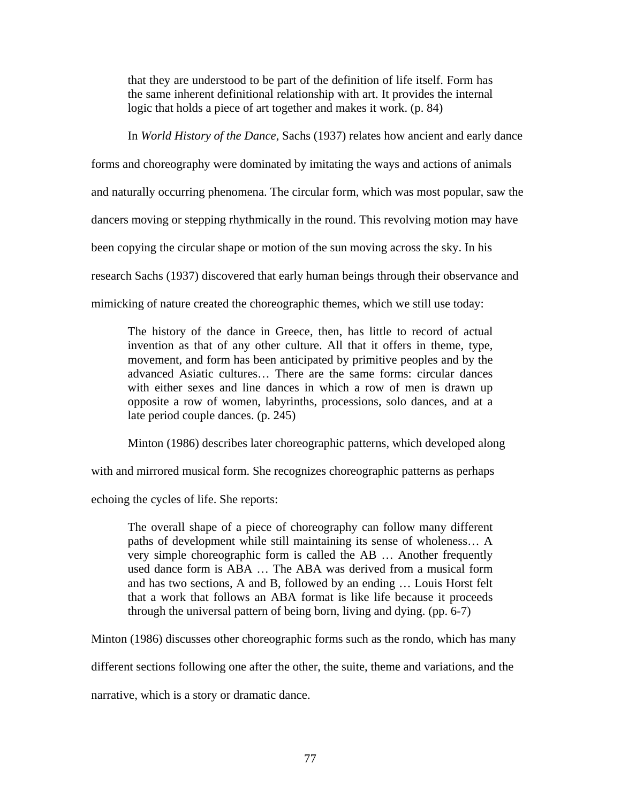that they are understood to be part of the definition of life itself. Form has the same inherent definitional relationship with art. It provides the internal logic that holds a piece of art together and makes it work. (p. 84)

In *World History of the Dance*, Sachs (1937) relates how ancient and early dance

forms and choreography were dominated by imitating the ways and actions of animals and naturally occurring phenomena. The circular form, which was most popular, saw the dancers moving or stepping rhythmically in the round. This revolving motion may have been copying the circular shape or motion of the sun moving across the sky. In his research Sachs (1937) discovered that early human beings through their observance and mimicking of nature created the choreographic themes, which we still use today:

The history of the dance in Greece, then, has little to record of actual invention as that of any other culture. All that it offers in theme, type, movement, and form has been anticipated by primitive peoples and by the advanced Asiatic cultures… There are the same forms: circular dances with either sexes and line dances in which a row of men is drawn up opposite a row of women, labyrinths, processions, solo dances, and at a late period couple dances. (p. 245)

Minton (1986) describes later choreographic patterns, which developed along

with and mirrored musical form. She recognizes choreographic patterns as perhaps

echoing the cycles of life. She reports:

The overall shape of a piece of choreography can follow many different paths of development while still maintaining its sense of wholeness… A very simple choreographic form is called the AB … Another frequently used dance form is ABA … The ABA was derived from a musical form and has two sections, A and B, followed by an ending … Louis Horst felt that a work that follows an ABA format is like life because it proceeds through the universal pattern of being born, living and dying. (pp. 6-7)

Minton (1986) discusses other choreographic forms such as the rondo, which has many

different sections following one after the other, the suite, theme and variations, and the

narrative, which is a story or dramatic dance.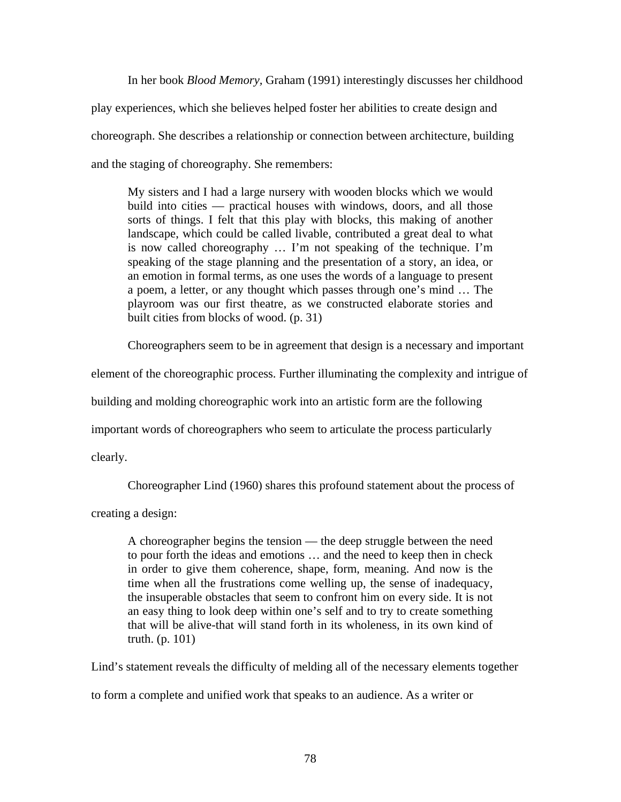In her book *Blood Memory,* Graham (1991) interestingly discusses her childhood play experiences, which she believes helped foster her abilities to create design and choreograph. She describes a relationship or connection between architecture, building and the staging of choreography. She remembers:

My sisters and I had a large nursery with wooden blocks which we would build into cities — practical houses with windows, doors, and all those sorts of things. I felt that this play with blocks, this making of another landscape, which could be called livable, contributed a great deal to what is now called choreography … I'm not speaking of the technique. I'm speaking of the stage planning and the presentation of a story, an idea, or an emotion in formal terms, as one uses the words of a language to present a poem, a letter, or any thought which passes through one's mind … The playroom was our first theatre, as we constructed elaborate stories and built cities from blocks of wood. (p. 31)

Choreographers seem to be in agreement that design is a necessary and important

element of the choreographic process. Further illuminating the complexity and intrigue of

building and molding choreographic work into an artistic form are the following

important words of choreographers who seem to articulate the process particularly

clearly.

Choreographer Lind (1960) shares this profound statement about the process of

creating a design:

A choreographer begins the tension — the deep struggle between the need to pour forth the ideas and emotions … and the need to keep then in check in order to give them coherence, shape, form, meaning. And now is the time when all the frustrations come welling up, the sense of inadequacy, the insuperable obstacles that seem to confront him on every side. It is not an easy thing to look deep within one's self and to try to create something that will be alive-that will stand forth in its wholeness, in its own kind of truth. (p. 101)

Lind's statement reveals the difficulty of melding all of the necessary elements together

to form a complete and unified work that speaks to an audience. As a writer or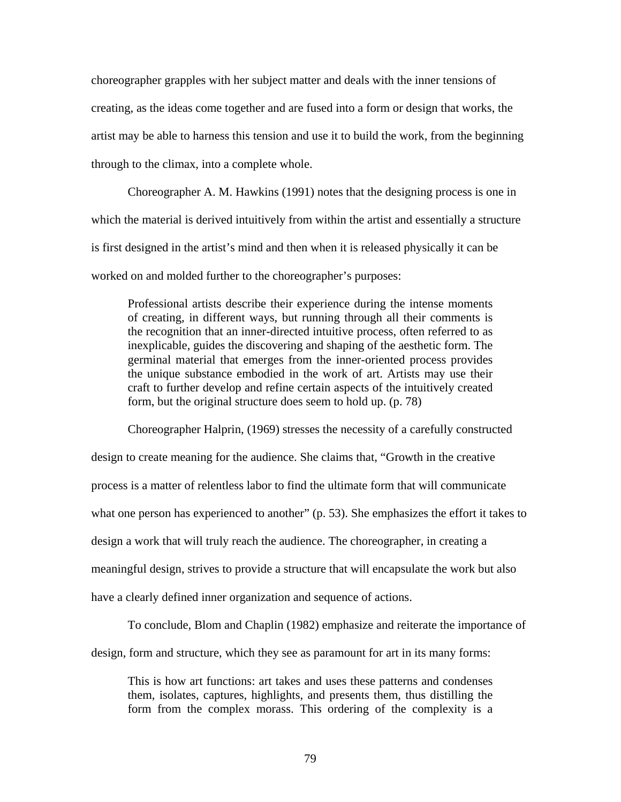choreographer grapples with her subject matter and deals with the inner tensions of creating, as the ideas come together and are fused into a form or design that works, the artist may be able to harness this tension and use it to build the work, from the beginning through to the climax, into a complete whole.

Choreographer A. M. Hawkins (1991) notes that the designing process is one in which the material is derived intuitively from within the artist and essentially a structure is first designed in the artist's mind and then when it is released physically it can be worked on and molded further to the choreographer's purposes:

Professional artists describe their experience during the intense moments of creating, in different ways, but running through all their comments is the recognition that an inner-directed intuitive process, often referred to as inexplicable, guides the discovering and shaping of the aesthetic form. The germinal material that emerges from the inner-oriented process provides the unique substance embodied in the work of art. Artists may use their craft to further develop and refine certain aspects of the intuitively created form, but the original structure does seem to hold up. (p. 78)

Choreographer Halprin, (1969) stresses the necessity of a carefully constructed design to create meaning for the audience. She claims that, "Growth in the creative process is a matter of relentless labor to find the ultimate form that will communicate what one person has experienced to another" (p. 53). She emphasizes the effort it takes to design a work that will truly reach the audience. The choreographer, in creating a meaningful design, strives to provide a structure that will encapsulate the work but also have a clearly defined inner organization and sequence of actions.

To conclude, Blom and Chaplin (1982) emphasize and reiterate the importance of design, form and structure, which they see as paramount for art in its many forms:

This is how art functions: art takes and uses these patterns and condenses them, isolates, captures, highlights, and presents them, thus distilling the form from the complex morass. This ordering of the complexity is a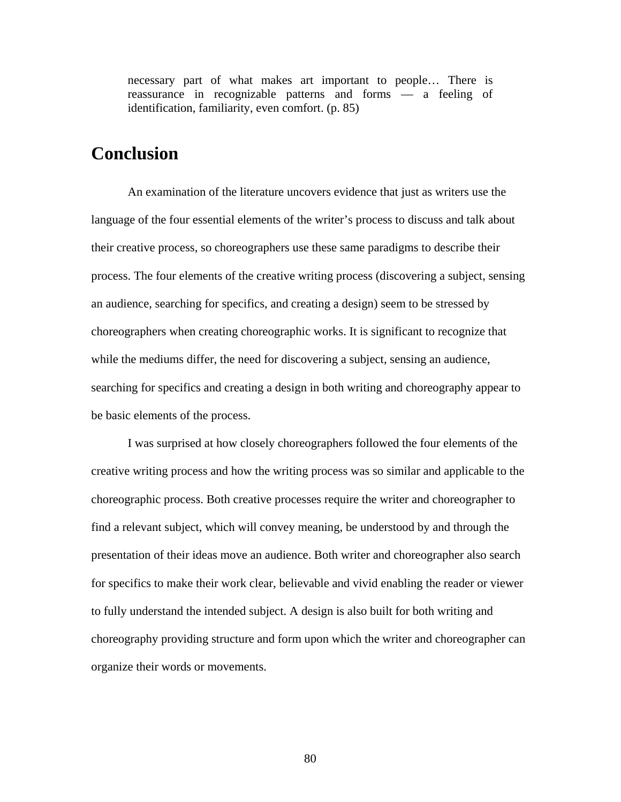necessary part of what makes art important to people… There is reassurance in recognizable patterns and forms — a feeling of identification, familiarity, even comfort. (p. 85)

# **Conclusion**

An examination of the literature uncovers evidence that just as writers use the language of the four essential elements of the writer's process to discuss and talk about their creative process, so choreographers use these same paradigms to describe their process. The four elements of the creative writing process (discovering a subject, sensing an audience, searching for specifics, and creating a design) seem to be stressed by choreographers when creating choreographic works. It is significant to recognize that while the mediums differ, the need for discovering a subject, sensing an audience, searching for specifics and creating a design in both writing and choreography appear to be basic elements of the process.

I was surprised at how closely choreographers followed the four elements of the creative writing process and how the writing process was so similar and applicable to the choreographic process. Both creative processes require the writer and choreographer to find a relevant subject, which will convey meaning, be understood by and through the presentation of their ideas move an audience. Both writer and choreographer also search for specifics to make their work clear, believable and vivid enabling the reader or viewer to fully understand the intended subject. A design is also built for both writing and choreography providing structure and form upon which the writer and choreographer can organize their words or movements.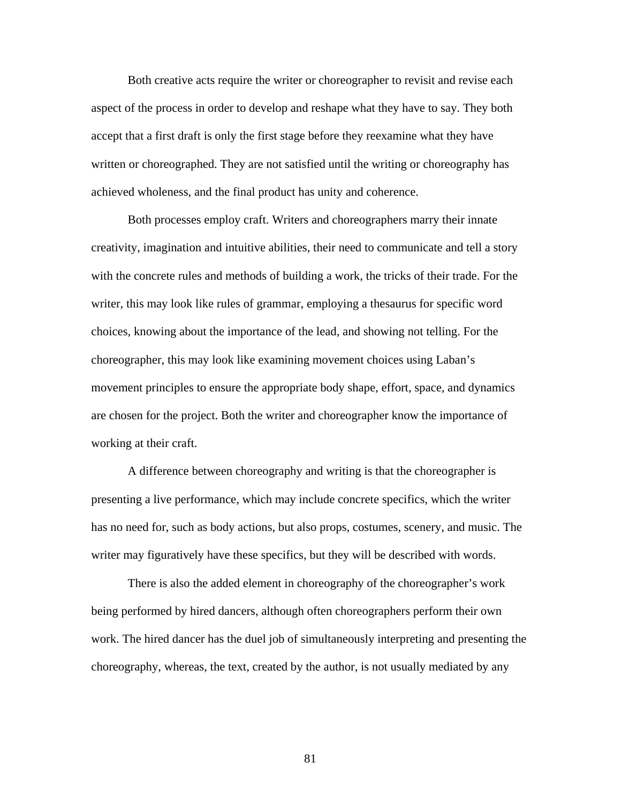Both creative acts require the writer or choreographer to revisit and revise each aspect of the process in order to develop and reshape what they have to say. They both accept that a first draft is only the first stage before they reexamine what they have written or choreographed. They are not satisfied until the writing or choreography has achieved wholeness, and the final product has unity and coherence.

Both processes employ craft. Writers and choreographers marry their innate creativity, imagination and intuitive abilities, their need to communicate and tell a story with the concrete rules and methods of building a work, the tricks of their trade. For the writer, this may look like rules of grammar, employing a thesaurus for specific word choices, knowing about the importance of the lead, and showing not telling. For the choreographer, this may look like examining movement choices using Laban's movement principles to ensure the appropriate body shape, effort, space, and dynamics are chosen for the project. Both the writer and choreographer know the importance of working at their craft.

A difference between choreography and writing is that the choreographer is presenting a live performance, which may include concrete specifics, which the writer has no need for, such as body actions, but also props, costumes, scenery, and music. The writer may figuratively have these specifics, but they will be described with words.

There is also the added element in choreography of the choreographer's work being performed by hired dancers, although often choreographers perform their own work. The hired dancer has the duel job of simultaneously interpreting and presenting the choreography, whereas, the text, created by the author, is not usually mediated by any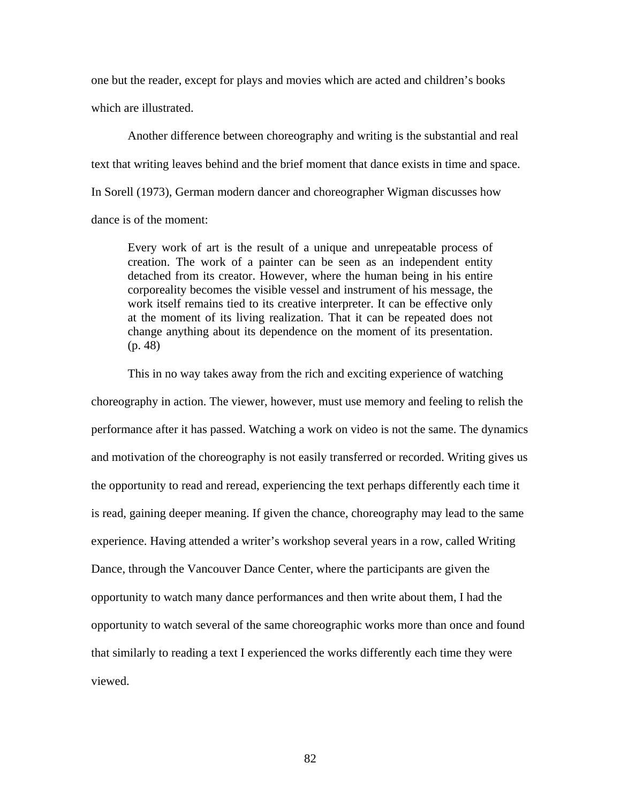one but the reader, except for plays and movies which are acted and children's books which are illustrated.

Another difference between choreography and writing is the substantial and real text that writing leaves behind and the brief moment that dance exists in time and space. In Sorell (1973), German modern dancer and choreographer Wigman discusses how dance is of the moment:

Every work of art is the result of a unique and unrepeatable process of creation. The work of a painter can be seen as an independent entity detached from its creator. However, where the human being in his entire corporeality becomes the visible vessel and instrument of his message, the work itself remains tied to its creative interpreter. It can be effective only at the moment of its living realization. That it can be repeated does not change anything about its dependence on the moment of its presentation. (p. 48)

This in no way takes away from the rich and exciting experience of watching choreography in action. The viewer, however, must use memory and feeling to relish the performance after it has passed. Watching a work on video is not the same. The dynamics and motivation of the choreography is not easily transferred or recorded. Writing gives us the opportunity to read and reread, experiencing the text perhaps differently each time it is read, gaining deeper meaning. If given the chance, choreography may lead to the same experience. Having attended a writer's workshop several years in a row, called Writing Dance, through the Vancouver Dance Center, where the participants are given the opportunity to watch many dance performances and then write about them, I had the opportunity to watch several of the same choreographic works more than once and found that similarly to reading a text I experienced the works differently each time they were viewed.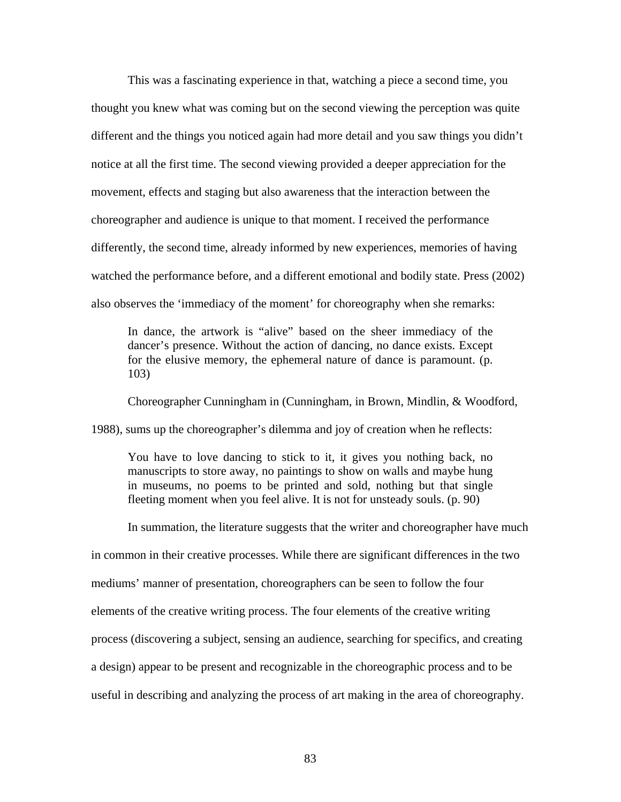This was a fascinating experience in that, watching a piece a second time, you thought you knew what was coming but on the second viewing the perception was quite different and the things you noticed again had more detail and you saw things you didn't notice at all the first time. The second viewing provided a deeper appreciation for the movement, effects and staging but also awareness that the interaction between the choreographer and audience is unique to that moment. I received the performance differently, the second time, already informed by new experiences, memories of having watched the performance before, and a different emotional and bodily state. Press (2002) also observes the 'immediacy of the moment' for choreography when she remarks:

In dance, the artwork is "alive" based on the sheer immediacy of the dancer's presence. Without the action of dancing, no dance exists. Except for the elusive memory, the ephemeral nature of dance is paramount. (p. 103)

Choreographer Cunningham in (Cunningham, in Brown, Mindlin, & Woodford,

1988), sums up the choreographer's dilemma and joy of creation when he reflects:

You have to love dancing to stick to it, it gives you nothing back, no manuscripts to store away, no paintings to show on walls and maybe hung in museums, no poems to be printed and sold, nothing but that single fleeting moment when you feel alive. It is not for unsteady souls. (p. 90)

In summation, the literature suggests that the writer and choreographer have much in common in their creative processes. While there are significant differences in the two mediums' manner of presentation, choreographers can be seen to follow the four elements of the creative writing process. The four elements of the creative writing process (discovering a subject, sensing an audience, searching for specifics, and creating a design) appear to be present and recognizable in the choreographic process and to be useful in describing and analyzing the process of art making in the area of choreography.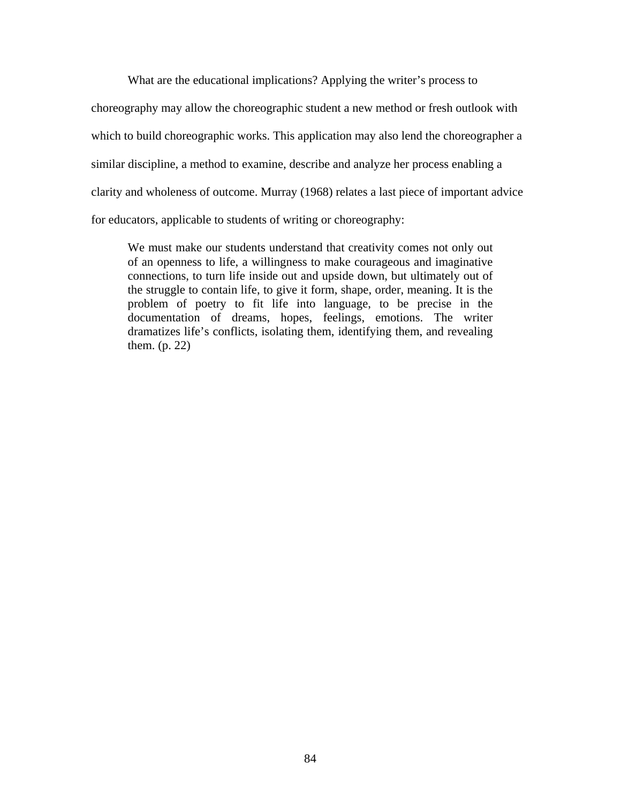What are the educational implications? Applying the writer's process to

choreography may allow the choreographic student a new method or fresh outlook with which to build choreographic works. This application may also lend the choreographer a similar discipline, a method to examine, describe and analyze her process enabling a clarity and wholeness of outcome. Murray (1968) relates a last piece of important advice for educators, applicable to students of writing or choreography:

We must make our students understand that creativity comes not only out of an openness to life, a willingness to make courageous and imaginative connections, to turn life inside out and upside down, but ultimately out of the struggle to contain life, to give it form, shape, order, meaning. It is the problem of poetry to fit life into language, to be precise in the documentation of dreams, hopes, feelings, emotions. The writer dramatizes life's conflicts, isolating them, identifying them, and revealing them. (p. 22)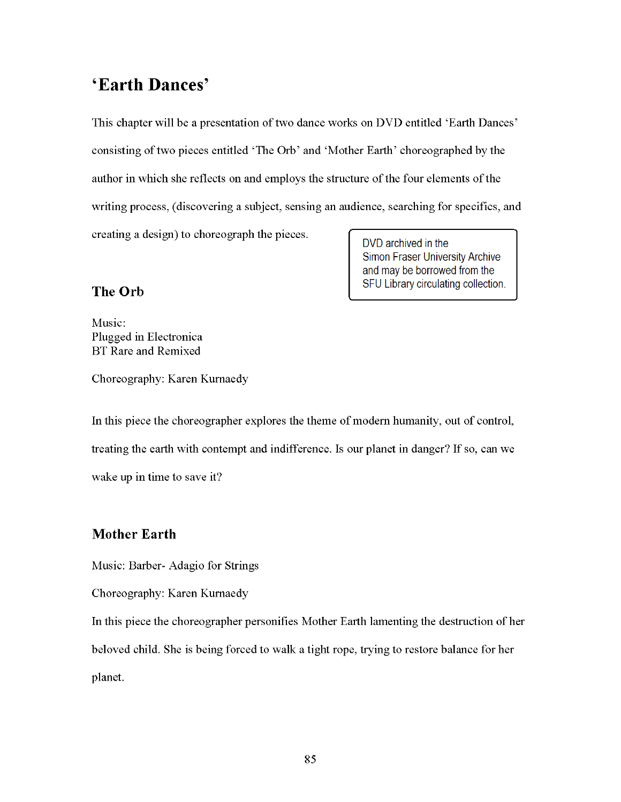# 'Earth Dances'

This chapter will be a presentation of two dance works on DVD entitled 'Earth Dances' consisting of two pieces entitled 'The Orb' and 'Mother Earth' choreographed by the author in which she reflects on and employs the structure of the four elements of the writing process, (discovering a subject, sensing an audience, searching for specifics, and creating a design) to choreograph the pieces. DVD archived in the

> Simon Fraser University Archive and may be borrowed from the SFU Library circulating collection.

## The Orb

Music: Plugged in Electronica **BT** Rare and Remixed

Choreography: Karen Kurnaedy

In this piece the choreographer explores the theme of modern humanity, out of control, treating the earth with contempt and indifference. Is our planet in danger? If so, can we wake up in time to save it?

## **Mother Earth**

Music: Barber-Adagio for Strings

Choreography: Karen Kurnaedy

In this piece the choreographer personifies Mother Earth lamenting the destruction of her beloved child. She is being forced to walk a tight rope, trying to restore balance for her planet.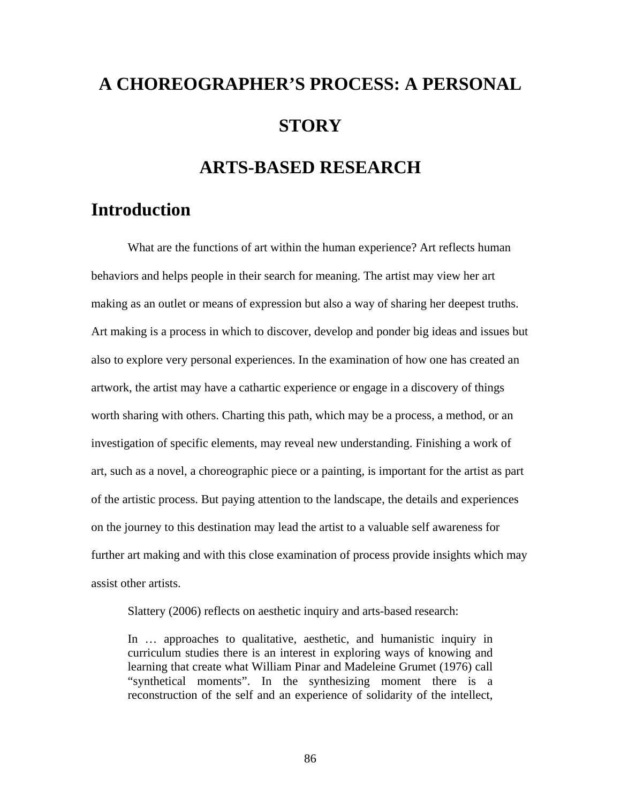# **A CHOREOGRAPHER'S PROCESS: A PERSONAL STORY**

# **ARTS-BASED RESEARCH**

# **Introduction**

What are the functions of art within the human experience? Art reflects human behaviors and helps people in their search for meaning. The artist may view her art making as an outlet or means of expression but also a way of sharing her deepest truths. Art making is a process in which to discover, develop and ponder big ideas and issues but also to explore very personal experiences. In the examination of how one has created an artwork, the artist may have a cathartic experience or engage in a discovery of things worth sharing with others. Charting this path, which may be a process, a method, or an investigation of specific elements, may reveal new understanding. Finishing a work of art, such as a novel, a choreographic piece or a painting, is important for the artist as part of the artistic process. But paying attention to the landscape, the details and experiences on the journey to this destination may lead the artist to a valuable self awareness for further art making and with this close examination of process provide insights which may assist other artists.

Slattery (2006) reflects on aesthetic inquiry and arts-based research:

In … approaches to qualitative, aesthetic, and humanistic inquiry in curriculum studies there is an interest in exploring ways of knowing and learning that create what William Pinar and Madeleine Grumet (1976) call "synthetical moments". In the synthesizing moment there is a reconstruction of the self and an experience of solidarity of the intellect,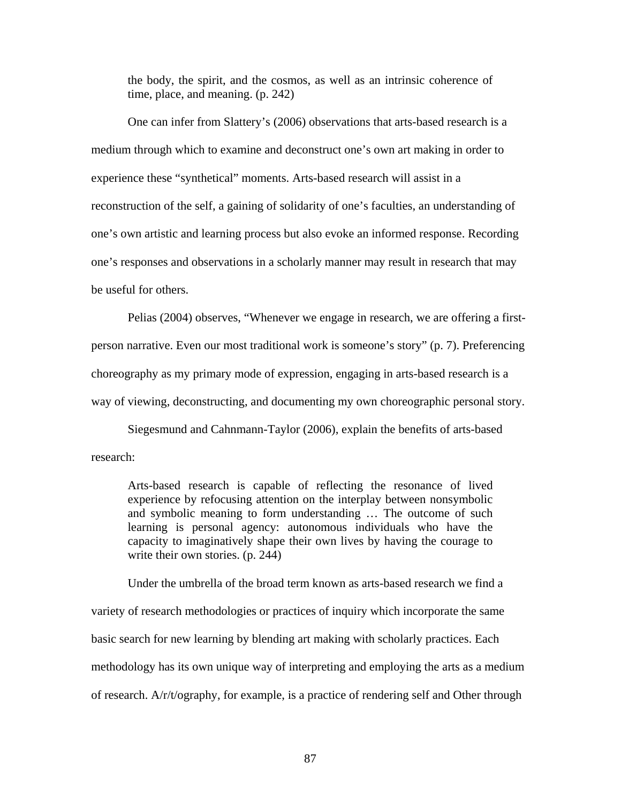the body, the spirit, and the cosmos, as well as an intrinsic coherence of time, place, and meaning. (p. 242)

One can infer from Slattery's (2006) observations that arts-based research is a medium through which to examine and deconstruct one's own art making in order to experience these "synthetical" moments. Arts-based research will assist in a reconstruction of the self, a gaining of solidarity of one's faculties, an understanding of one's own artistic and learning process but also evoke an informed response. Recording one's responses and observations in a scholarly manner may result in research that may be useful for others.

Pelias (2004) observes, "Whenever we engage in research, we are offering a firstperson narrative. Even our most traditional work is someone's story" (p. 7). Preferencing choreography as my primary mode of expression, engaging in arts-based research is a way of viewing, deconstructing, and documenting my own choreographic personal story.

Siegesmund and Cahnmann-Taylor (2006), explain the benefits of arts-based research:

Arts-based research is capable of reflecting the resonance of lived experience by refocusing attention on the interplay between nonsymbolic and symbolic meaning to form understanding … The outcome of such learning is personal agency: autonomous individuals who have the capacity to imaginatively shape their own lives by having the courage to write their own stories. (p. 244)

Under the umbrella of the broad term known as arts-based research we find a variety of research methodologies or practices of inquiry which incorporate the same basic search for new learning by blending art making with scholarly practices. Each methodology has its own unique way of interpreting and employing the arts as a medium of research. A/r/t/ography, for example, is a practice of rendering self and Other through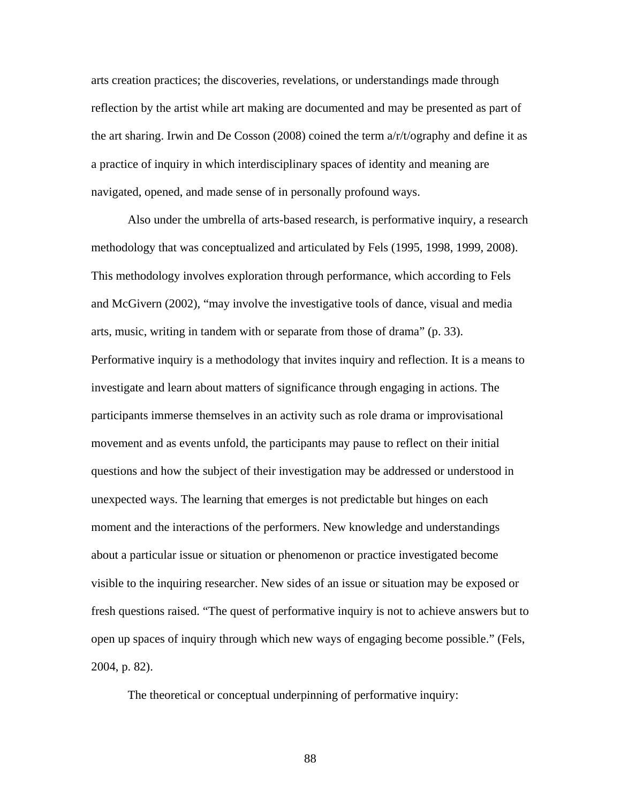arts creation practices; the discoveries, revelations, or understandings made through reflection by the artist while art making are documented and may be presented as part of the art sharing. Irwin and De Cosson (2008) coined the term a/r/t/ography and define it as a practice of inquiry in which interdisciplinary spaces of identity and meaning are navigated, opened, and made sense of in personally profound ways.

Also under the umbrella of arts-based research, is performative inquiry, a research methodology that was conceptualized and articulated by Fels (1995, 1998, 1999, 2008). This methodology involves exploration through performance, which according to Fels and McGivern (2002), "may involve the investigative tools of dance, visual and media arts, music, writing in tandem with or separate from those of drama" (p. 33). Performative inquiry is a methodology that invites inquiry and reflection. It is a means to investigate and learn about matters of significance through engaging in actions. The participants immerse themselves in an activity such as role drama or improvisational movement and as events unfold, the participants may pause to reflect on their initial questions and how the subject of their investigation may be addressed or understood in unexpected ways. The learning that emerges is not predictable but hinges on each moment and the interactions of the performers. New knowledge and understandings about a particular issue or situation or phenomenon or practice investigated become visible to the inquiring researcher. New sides of an issue or situation may be exposed or fresh questions raised. "The quest of performative inquiry is not to achieve answers but to open up spaces of inquiry through which new ways of engaging become possible." (Fels, 2004, p. 82).

The theoretical or conceptual underpinning of performative inquiry: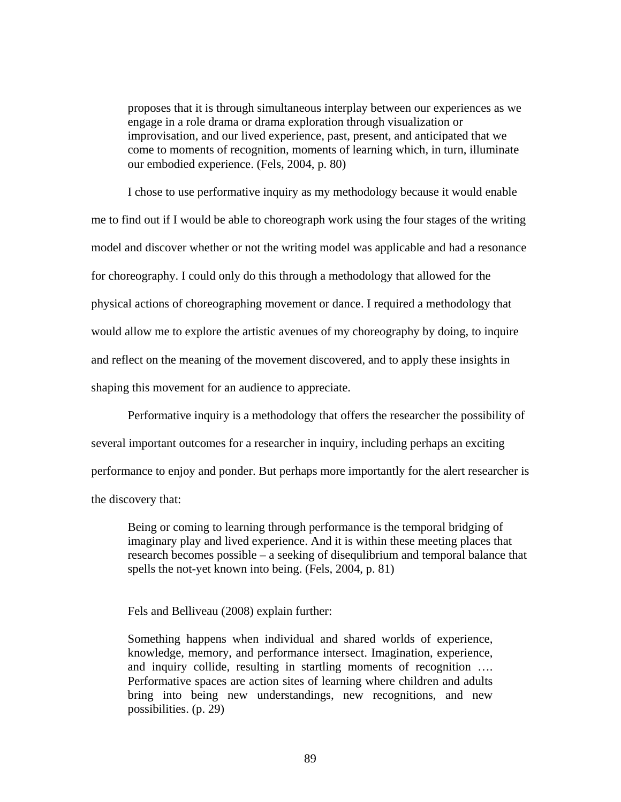proposes that it is through simultaneous interplay between our experiences as we engage in a role drama or drama exploration through visualization or improvisation, and our lived experience, past, present, and anticipated that we come to moments of recognition, moments of learning which, in turn, illuminate our embodied experience. (Fels, 2004, p. 80)

I chose to use performative inquiry as my methodology because it would enable me to find out if I would be able to choreograph work using the four stages of the writing model and discover whether or not the writing model was applicable and had a resonance for choreography. I could only do this through a methodology that allowed for the physical actions of choreographing movement or dance. I required a methodology that would allow me to explore the artistic avenues of my choreography by doing, to inquire and reflect on the meaning of the movement discovered, and to apply these insights in shaping this movement for an audience to appreciate.

Performative inquiry is a methodology that offers the researcher the possibility of several important outcomes for a researcher in inquiry, including perhaps an exciting performance to enjoy and ponder. But perhaps more importantly for the alert researcher is the discovery that:

Being or coming to learning through performance is the temporal bridging of imaginary play and lived experience. And it is within these meeting places that research becomes possible – a seeking of disequlibrium and temporal balance that spells the not-yet known into being. (Fels, 2004, p. 81)

Fels and Belliveau (2008) explain further:

Something happens when individual and shared worlds of experience, knowledge, memory, and performance intersect. Imagination, experience, and inquiry collide, resulting in startling moments of recognition …. Performative spaces are action sites of learning where children and adults bring into being new understandings, new recognitions, and new possibilities. (p. 29)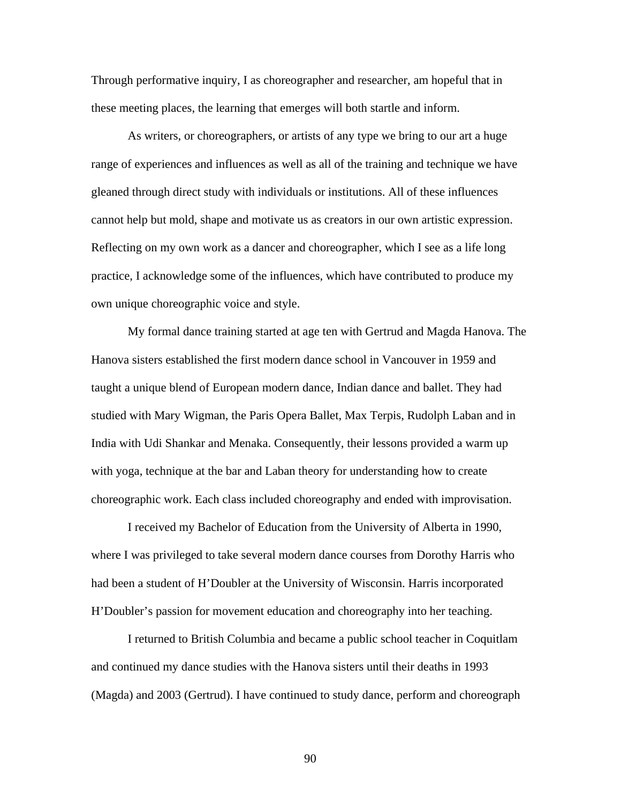Through performative inquiry, I as choreographer and researcher, am hopeful that in these meeting places, the learning that emerges will both startle and inform.

As writers, or choreographers, or artists of any type we bring to our art a huge range of experiences and influences as well as all of the training and technique we have gleaned through direct study with individuals or institutions. All of these influences cannot help but mold, shape and motivate us as creators in our own artistic expression. Reflecting on my own work as a dancer and choreographer, which I see as a life long practice, I acknowledge some of the influences, which have contributed to produce my own unique choreographic voice and style.

My formal dance training started at age ten with Gertrud and Magda Hanova. The Hanova sisters established the first modern dance school in Vancouver in 1959 and taught a unique blend of European modern dance, Indian dance and ballet. They had studied with Mary Wigman, the Paris Opera Ballet, Max Terpis, Rudolph Laban and in India with Udi Shankar and Menaka. Consequently, their lessons provided a warm up with yoga, technique at the bar and Laban theory for understanding how to create choreographic work. Each class included choreography and ended with improvisation.

I received my Bachelor of Education from the University of Alberta in 1990, where I was privileged to take several modern dance courses from Dorothy Harris who had been a student of H'Doubler at the University of Wisconsin. Harris incorporated H'Doubler's passion for movement education and choreography into her teaching.

I returned to British Columbia and became a public school teacher in Coquitlam and continued my dance studies with the Hanova sisters until their deaths in 1993 (Magda) and 2003 (Gertrud). I have continued to study dance, perform and choreograph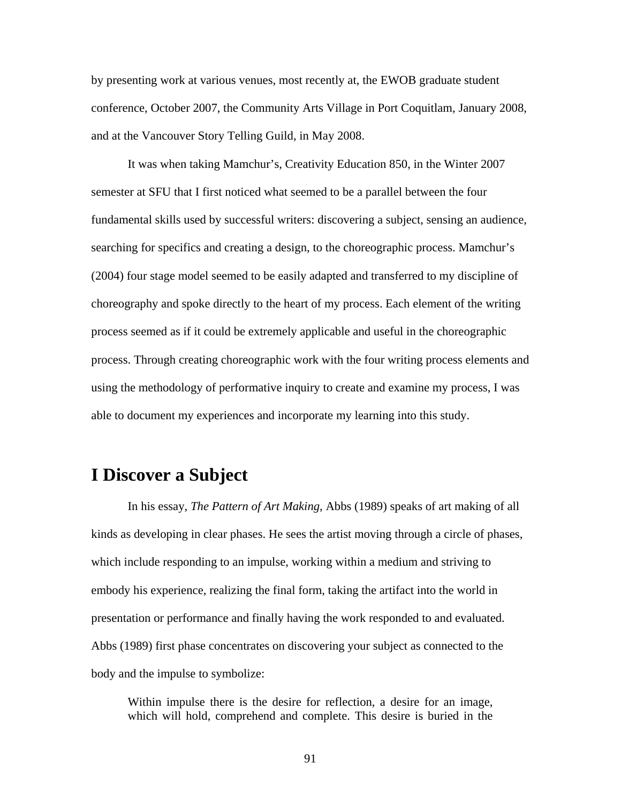by presenting work at various venues, most recently at, the EWOB graduate student conference, October 2007, the Community Arts Village in Port Coquitlam, January 2008, and at the Vancouver Story Telling Guild, in May 2008.

It was when taking Mamchur's, Creativity Education 850, in the Winter 2007 semester at SFU that I first noticed what seemed to be a parallel between the four fundamental skills used by successful writers: discovering a subject, sensing an audience, searching for specifics and creating a design, to the choreographic process. Mamchur's (2004) four stage model seemed to be easily adapted and transferred to my discipline of choreography and spoke directly to the heart of my process. Each element of the writing process seemed as if it could be extremely applicable and useful in the choreographic process. Through creating choreographic work with the four writing process elements and using the methodology of performative inquiry to create and examine my process, I was able to document my experiences and incorporate my learning into this study.

# **I Discover a Subject**

In his essay, *The Pattern of Art Making*, Abbs (1989) speaks of art making of all kinds as developing in clear phases. He sees the artist moving through a circle of phases, which include responding to an impulse, working within a medium and striving to embody his experience, realizing the final form, taking the artifact into the world in presentation or performance and finally having the work responded to and evaluated. Abbs (1989) first phase concentrates on discovering your subject as connected to the body and the impulse to symbolize:

Within impulse there is the desire for reflection, a desire for an image, which will hold, comprehend and complete. This desire is buried in the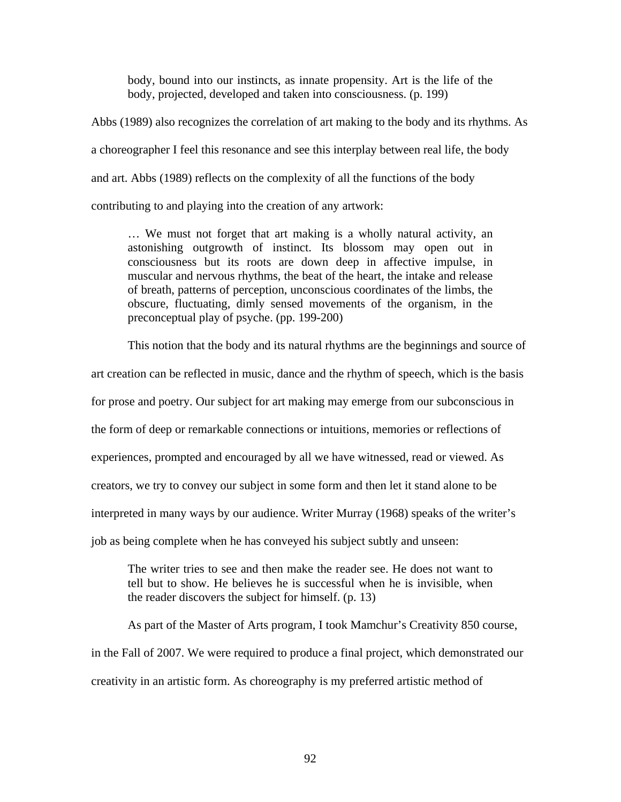body, bound into our instincts, as innate propensity. Art is the life of the body, projected, developed and taken into consciousness. (p. 199)

Abbs (1989) also recognizes the correlation of art making to the body and its rhythms. As a choreographer I feel this resonance and see this interplay between real life, the body and art. Abbs (1989) reflects on the complexity of all the functions of the body contributing to and playing into the creation of any artwork:

… We must not forget that art making is a wholly natural activity, an astonishing outgrowth of instinct. Its blossom may open out in consciousness but its roots are down deep in affective impulse, in muscular and nervous rhythms, the beat of the heart, the intake and release of breath, patterns of perception, unconscious coordinates of the limbs, the obscure, fluctuating, dimly sensed movements of the organism, in the preconceptual play of psyche. (pp. 199-200)

This notion that the body and its natural rhythms are the beginnings and source of

art creation can be reflected in music, dance and the rhythm of speech, which is the basis

for prose and poetry. Our subject for art making may emerge from our subconscious in

the form of deep or remarkable connections or intuitions, memories or reflections of

experiences, prompted and encouraged by all we have witnessed, read or viewed. As

creators, we try to convey our subject in some form and then let it stand alone to be

interpreted in many ways by our audience. Writer Murray (1968) speaks of the writer's

job as being complete when he has conveyed his subject subtly and unseen:

The writer tries to see and then make the reader see. He does not want to tell but to show. He believes he is successful when he is invisible, when the reader discovers the subject for himself. (p. 13)

As part of the Master of Arts program, I took Mamchur's Creativity 850 course, in the Fall of 2007. We were required to produce a final project, which demonstrated our creativity in an artistic form. As choreography is my preferred artistic method of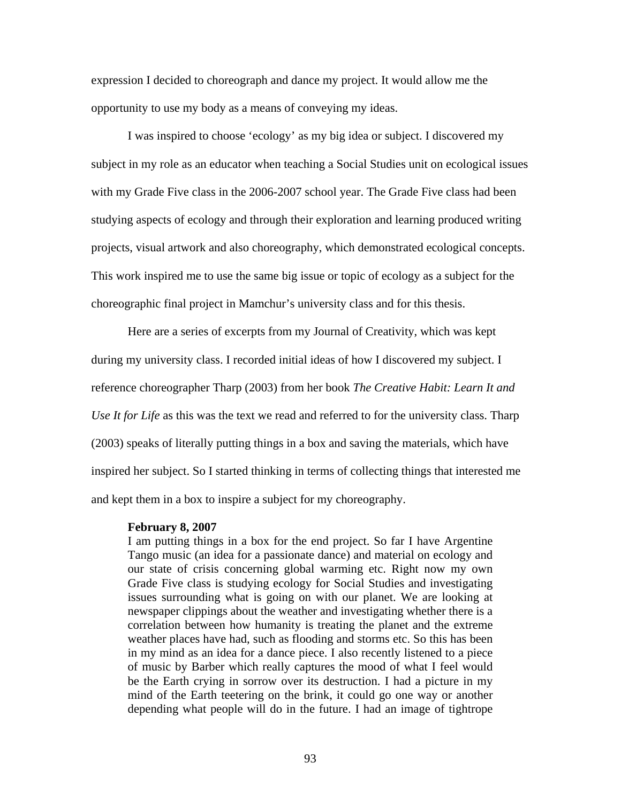expression I decided to choreograph and dance my project. It would allow me the opportunity to use my body as a means of conveying my ideas.

I was inspired to choose 'ecology' as my big idea or subject. I discovered my subject in my role as an educator when teaching a Social Studies unit on ecological issues with my Grade Five class in the 2006-2007 school year. The Grade Five class had been studying aspects of ecology and through their exploration and learning produced writing projects, visual artwork and also choreography, which demonstrated ecological concepts. This work inspired me to use the same big issue or topic of ecology as a subject for the choreographic final project in Mamchur's university class and for this thesis.

Here are a series of excerpts from my Journal of Creativity, which was kept during my university class. I recorded initial ideas of how I discovered my subject. I reference choreographer Tharp (2003) from her book *The Creative Habit: Learn It and Use It for Life* as this was the text we read and referred to for the university class. Tharp (2003) speaks of literally putting things in a box and saving the materials, which have inspired her subject. So I started thinking in terms of collecting things that interested me and kept them in a box to inspire a subject for my choreography.

#### **February 8, 2007**

I am putting things in a box for the end project. So far I have Argentine Tango music (an idea for a passionate dance) and material on ecology and our state of crisis concerning global warming etc. Right now my own Grade Five class is studying ecology for Social Studies and investigating issues surrounding what is going on with our planet. We are looking at newspaper clippings about the weather and investigating whether there is a correlation between how humanity is treating the planet and the extreme weather places have had, such as flooding and storms etc. So this has been in my mind as an idea for a dance piece. I also recently listened to a piece of music by Barber which really captures the mood of what I feel would be the Earth crying in sorrow over its destruction. I had a picture in my mind of the Earth teetering on the brink, it could go one way or another depending what people will do in the future. I had an image of tightrope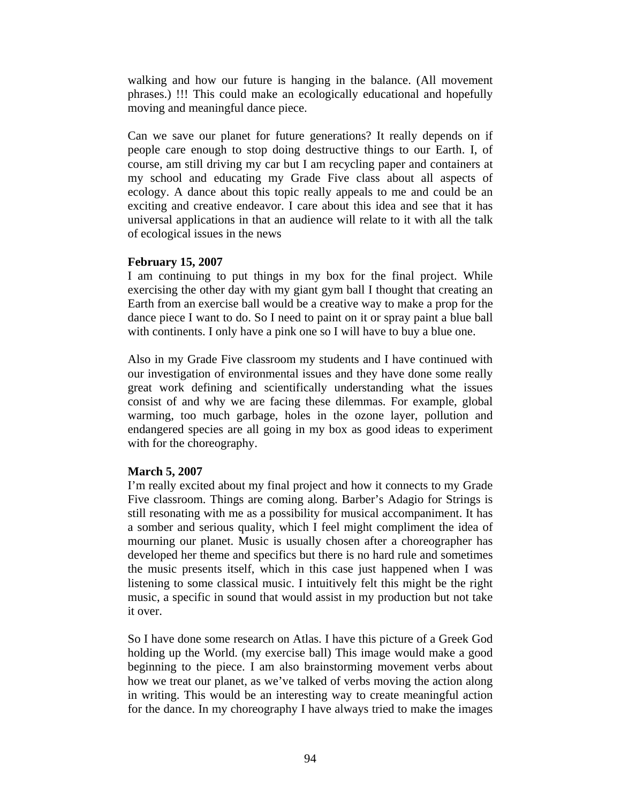walking and how our future is hanging in the balance. (All movement phrases.) !!! This could make an ecologically educational and hopefully moving and meaningful dance piece.

Can we save our planet for future generations? It really depends on if people care enough to stop doing destructive things to our Earth. I, of course, am still driving my car but I am recycling paper and containers at my school and educating my Grade Five class about all aspects of ecology. A dance about this topic really appeals to me and could be an exciting and creative endeavor. I care about this idea and see that it has universal applications in that an audience will relate to it with all the talk of ecological issues in the news

## **February 15, 2007**

I am continuing to put things in my box for the final project. While exercising the other day with my giant gym ball I thought that creating an Earth from an exercise ball would be a creative way to make a prop for the dance piece I want to do. So I need to paint on it or spray paint a blue ball with continents. I only have a pink one so I will have to buy a blue one.

Also in my Grade Five classroom my students and I have continued with our investigation of environmental issues and they have done some really great work defining and scientifically understanding what the issues consist of and why we are facing these dilemmas. For example, global warming, too much garbage, holes in the ozone layer, pollution and endangered species are all going in my box as good ideas to experiment with for the choreography.

## **March 5, 2007**

I'm really excited about my final project and how it connects to my Grade Five classroom. Things are coming along. Barber's Adagio for Strings is still resonating with me as a possibility for musical accompaniment. It has a somber and serious quality, which I feel might compliment the idea of mourning our planet. Music is usually chosen after a choreographer has developed her theme and specifics but there is no hard rule and sometimes the music presents itself, which in this case just happened when I was listening to some classical music. I intuitively felt this might be the right music, a specific in sound that would assist in my production but not take it over.

So I have done some research on Atlas. I have this picture of a Greek God holding up the World. (my exercise ball) This image would make a good beginning to the piece. I am also brainstorming movement verbs about how we treat our planet, as we've talked of verbs moving the action along in writing. This would be an interesting way to create meaningful action for the dance. In my choreography I have always tried to make the images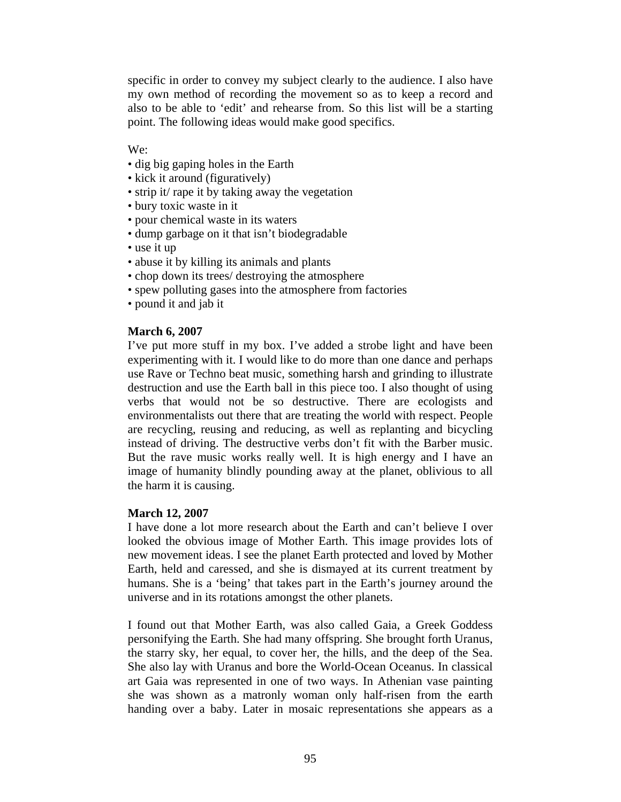specific in order to convey my subject clearly to the audience. I also have my own method of recording the movement so as to keep a record and also to be able to 'edit' and rehearse from. So this list will be a starting point. The following ideas would make good specifics.

We:

- dig big gaping holes in the Earth
- kick it around (figuratively)
- strip it/ rape it by taking away the vegetation
- bury toxic waste in it
- pour chemical waste in its waters
- dump garbage on it that isn't biodegradable
- use it up
- abuse it by killing its animals and plants
- chop down its trees/ destroying the atmosphere
- spew polluting gases into the atmosphere from factories
- pound it and jab it

## **March 6, 2007**

I've put more stuff in my box. I've added a strobe light and have been experimenting with it. I would like to do more than one dance and perhaps use Rave or Techno beat music, something harsh and grinding to illustrate destruction and use the Earth ball in this piece too. I also thought of using verbs that would not be so destructive. There are ecologists and environmentalists out there that are treating the world with respect. People are recycling, reusing and reducing, as well as replanting and bicycling instead of driving. The destructive verbs don't fit with the Barber music. But the rave music works really well. It is high energy and I have an image of humanity blindly pounding away at the planet, oblivious to all the harm it is causing.

### **March 12, 2007**

I have done a lot more research about the Earth and can't believe I over looked the obvious image of Mother Earth. This image provides lots of new movement ideas. I see the planet Earth protected and loved by Mother Earth, held and caressed, and she is dismayed at its current treatment by humans. She is a 'being' that takes part in the Earth's journey around the universe and in its rotations amongst the other planets.

I found out that Mother Earth, was also called Gaia, a Greek Goddess personifying the Earth. She had many offspring. She brought forth Uranus, the starry sky, her equal, to cover her, the hills, and the deep of the Sea. She also lay with Uranus and bore the World-Ocean Oceanus. In classical art Gaia was represented in one of two ways. In Athenian vase painting she was shown as a matronly woman only half-risen from the earth handing over a baby. Later in mosaic representations she appears as a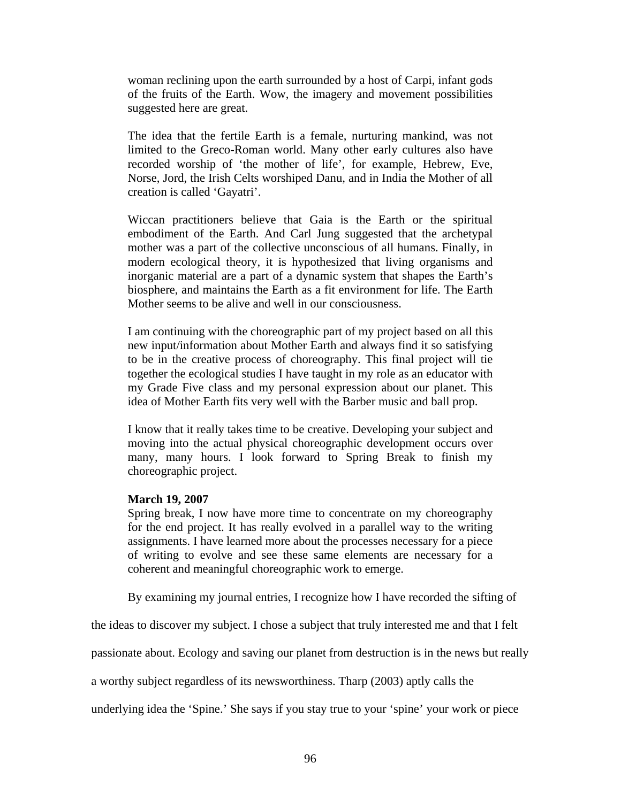woman reclining upon the earth surrounded by a host of Carpi, infant gods of the fruits of the Earth. Wow, the imagery and movement possibilities suggested here are great.

The idea that the fertile Earth is a female, nurturing mankind, was not limited to the Greco-Roman world. Many other early cultures also have recorded worship of 'the mother of life', for example, Hebrew, Eve, Norse, Jord, the Irish Celts worshiped Danu, and in India the Mother of all creation is called 'Gayatri'.

Wiccan practitioners believe that Gaia is the Earth or the spiritual embodiment of the Earth. And Carl Jung suggested that the archetypal mother was a part of the collective unconscious of all humans. Finally, in modern ecological theory, it is hypothesized that living organisms and inorganic material are a part of a dynamic system that shapes the Earth's biosphere, and maintains the Earth as a fit environment for life. The Earth Mother seems to be alive and well in our consciousness.

I am continuing with the choreographic part of my project based on all this new input/information about Mother Earth and always find it so satisfying to be in the creative process of choreography. This final project will tie together the ecological studies I have taught in my role as an educator with my Grade Five class and my personal expression about our planet. This idea of Mother Earth fits very well with the Barber music and ball prop.

I know that it really takes time to be creative. Developing your subject and moving into the actual physical choreographic development occurs over many, many hours. I look forward to Spring Break to finish my choreographic project.

#### **March 19, 2007**

Spring break, I now have more time to concentrate on my choreography for the end project. It has really evolved in a parallel way to the writing assignments. I have learned more about the processes necessary for a piece of writing to evolve and see these same elements are necessary for a coherent and meaningful choreographic work to emerge.

By examining my journal entries, I recognize how I have recorded the sifting of

the ideas to discover my subject. I chose a subject that truly interested me and that I felt

passionate about. Ecology and saving our planet from destruction is in the news but really

a worthy subject regardless of its newsworthiness. Tharp (2003) aptly calls the

underlying idea the 'Spine.' She says if you stay true to your 'spine' your work or piece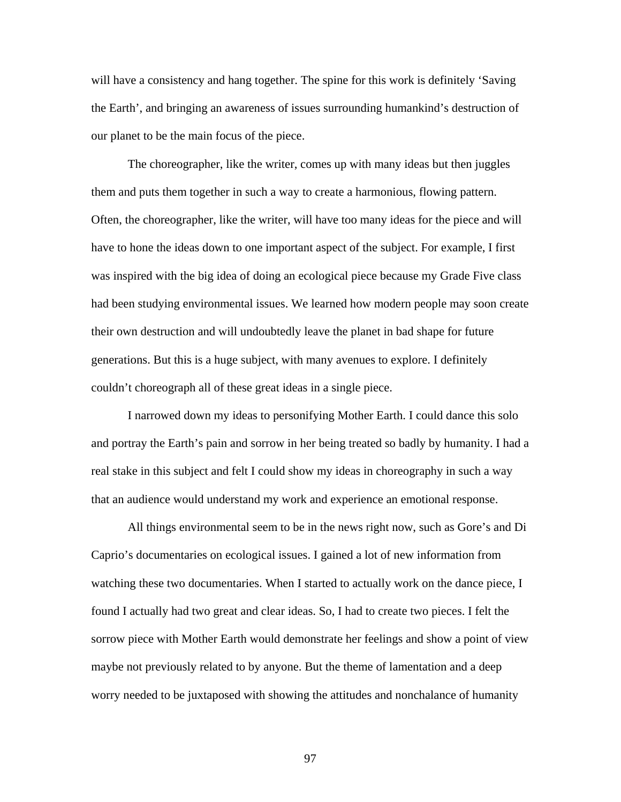will have a consistency and hang together. The spine for this work is definitely 'Saving the Earth', and bringing an awareness of issues surrounding humankind's destruction of our planet to be the main focus of the piece.

The choreographer, like the writer, comes up with many ideas but then juggles them and puts them together in such a way to create a harmonious, flowing pattern. Often, the choreographer, like the writer, will have too many ideas for the piece and will have to hone the ideas down to one important aspect of the subject. For example, I first was inspired with the big idea of doing an ecological piece because my Grade Five class had been studying environmental issues. We learned how modern people may soon create their own destruction and will undoubtedly leave the planet in bad shape for future generations. But this is a huge subject, with many avenues to explore. I definitely couldn't choreograph all of these great ideas in a single piece.

I narrowed down my ideas to personifying Mother Earth. I could dance this solo and portray the Earth's pain and sorrow in her being treated so badly by humanity. I had a real stake in this subject and felt I could show my ideas in choreography in such a way that an audience would understand my work and experience an emotional response.

All things environmental seem to be in the news right now, such as Gore's and Di Caprio's documentaries on ecological issues. I gained a lot of new information from watching these two documentaries. When I started to actually work on the dance piece, I found I actually had two great and clear ideas. So, I had to create two pieces. I felt the sorrow piece with Mother Earth would demonstrate her feelings and show a point of view maybe not previously related to by anyone. But the theme of lamentation and a deep worry needed to be juxtaposed with showing the attitudes and nonchalance of humanity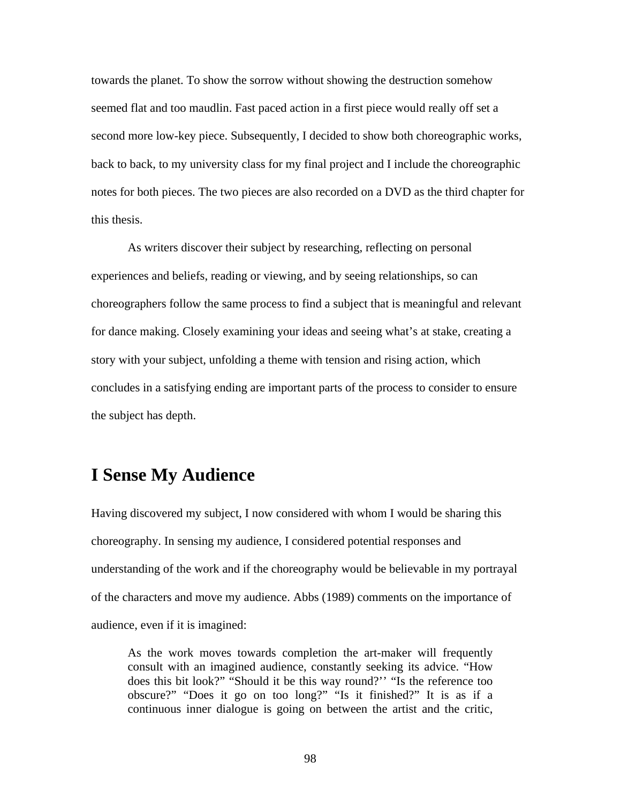towards the planet. To show the sorrow without showing the destruction somehow seemed flat and too maudlin. Fast paced action in a first piece would really off set a second more low-key piece. Subsequently, I decided to show both choreographic works, back to back, to my university class for my final project and I include the choreographic notes for both pieces. The two pieces are also recorded on a DVD as the third chapter for this thesis.

As writers discover their subject by researching, reflecting on personal experiences and beliefs, reading or viewing, and by seeing relationships, so can choreographers follow the same process to find a subject that is meaningful and relevant for dance making. Closely examining your ideas and seeing what's at stake, creating a story with your subject, unfolding a theme with tension and rising action, which concludes in a satisfying ending are important parts of the process to consider to ensure the subject has depth.

# **I Sense My Audience**

Having discovered my subject, I now considered with whom I would be sharing this choreography. In sensing my audience, I considered potential responses and understanding of the work and if the choreography would be believable in my portrayal of the characters and move my audience. Abbs (1989) comments on the importance of audience, even if it is imagined:

As the work moves towards completion the art-maker will frequently consult with an imagined audience, constantly seeking its advice. "How does this bit look?" "Should it be this way round?'' "Is the reference too obscure?" "Does it go on too long?" "Is it finished?" It is as if a continuous inner dialogue is going on between the artist and the critic,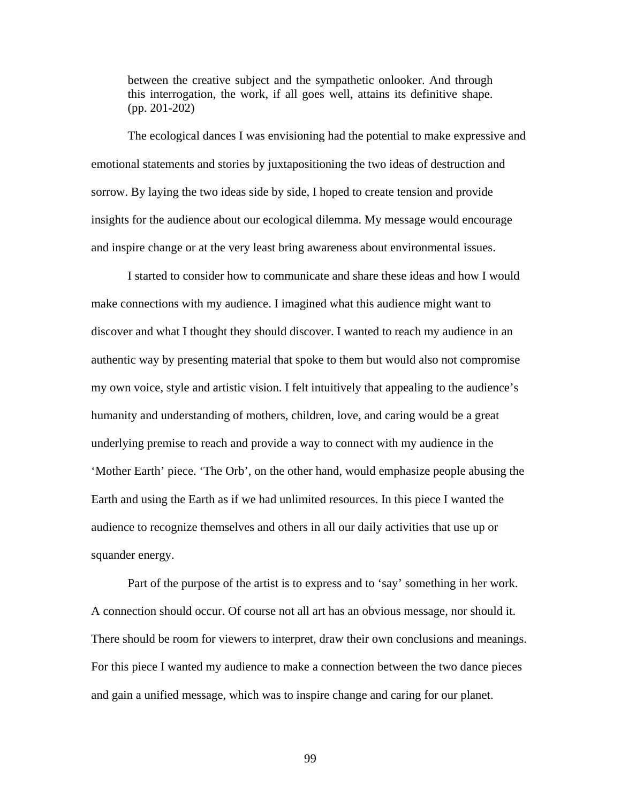between the creative subject and the sympathetic onlooker. And through this interrogation, the work, if all goes well, attains its definitive shape. (pp. 201-202)

The ecological dances I was envisioning had the potential to make expressive and emotional statements and stories by juxtapositioning the two ideas of destruction and sorrow. By laying the two ideas side by side, I hoped to create tension and provide insights for the audience about our ecological dilemma. My message would encourage and inspire change or at the very least bring awareness about environmental issues.

I started to consider how to communicate and share these ideas and how I would make connections with my audience. I imagined what this audience might want to discover and what I thought they should discover. I wanted to reach my audience in an authentic way by presenting material that spoke to them but would also not compromise my own voice, style and artistic vision. I felt intuitively that appealing to the audience's humanity and understanding of mothers, children, love, and caring would be a great underlying premise to reach and provide a way to connect with my audience in the 'Mother Earth' piece. 'The Orb', on the other hand, would emphasize people abusing the Earth and using the Earth as if we had unlimited resources. In this piece I wanted the audience to recognize themselves and others in all our daily activities that use up or squander energy.

 Part of the purpose of the artist is to express and to 'say' something in her work. A connection should occur. Of course not all art has an obvious message, nor should it. There should be room for viewers to interpret, draw their own conclusions and meanings. For this piece I wanted my audience to make a connection between the two dance pieces and gain a unified message, which was to inspire change and caring for our planet.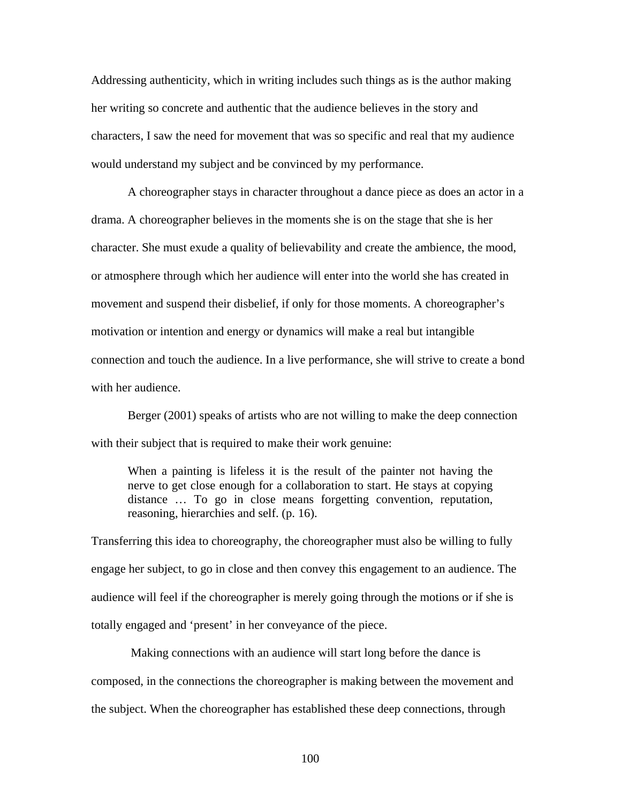Addressing authenticity, which in writing includes such things as is the author making her writing so concrete and authentic that the audience believes in the story and characters, I saw the need for movement that was so specific and real that my audience would understand my subject and be convinced by my performance.

A choreographer stays in character throughout a dance piece as does an actor in a drama. A choreographer believes in the moments she is on the stage that she is her character. She must exude a quality of believability and create the ambience, the mood, or atmosphere through which her audience will enter into the world she has created in movement and suspend their disbelief, if only for those moments. A choreographer's motivation or intention and energy or dynamics will make a real but intangible connection and touch the audience. In a live performance, she will strive to create a bond with her audience.

 Berger (2001) speaks of artists who are not willing to make the deep connection with their subject that is required to make their work genuine:

When a painting is lifeless it is the result of the painter not having the nerve to get close enough for a collaboration to start. He stays at copying distance … To go in close means forgetting convention, reputation, reasoning, hierarchies and self. (p. 16).

Transferring this idea to choreography, the choreographer must also be willing to fully engage her subject, to go in close and then convey this engagement to an audience. The audience will feel if the choreographer is merely going through the motions or if she is totally engaged and 'present' in her conveyance of the piece.

 Making connections with an audience will start long before the dance is composed, in the connections the choreographer is making between the movement and the subject. When the choreographer has established these deep connections, through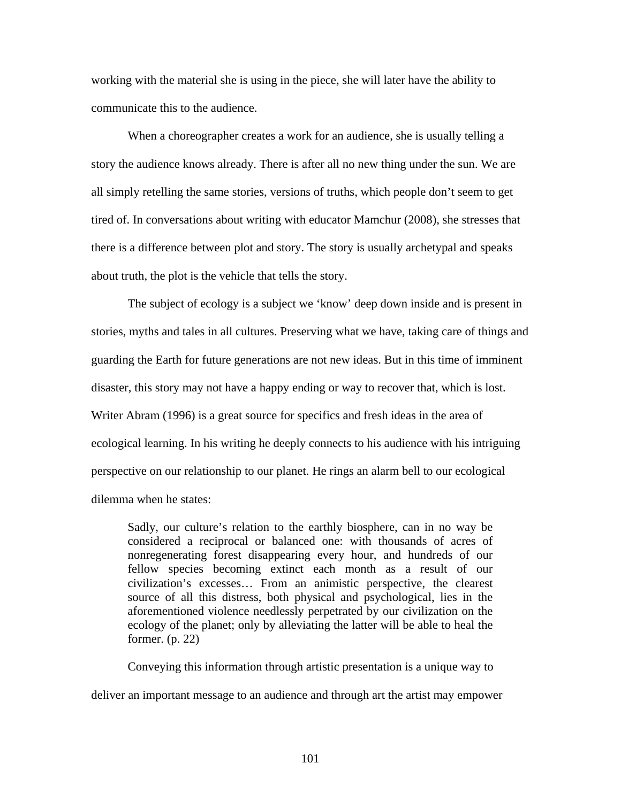working with the material she is using in the piece, she will later have the ability to communicate this to the audience.

 When a choreographer creates a work for an audience, she is usually telling a story the audience knows already. There is after all no new thing under the sun. We are all simply retelling the same stories, versions of truths, which people don't seem to get tired of. In conversations about writing with educator Mamchur (2008), she stresses that there is a difference between plot and story. The story is usually archetypal and speaks about truth, the plot is the vehicle that tells the story.

The subject of ecology is a subject we 'know' deep down inside and is present in stories, myths and tales in all cultures. Preserving what we have, taking care of things and guarding the Earth for future generations are not new ideas. But in this time of imminent disaster, this story may not have a happy ending or way to recover that, which is lost. Writer Abram (1996) is a great source for specifics and fresh ideas in the area of ecological learning. In his writing he deeply connects to his audience with his intriguing perspective on our relationship to our planet. He rings an alarm bell to our ecological dilemma when he states:

Sadly, our culture's relation to the earthly biosphere, can in no way be considered a reciprocal or balanced one: with thousands of acres of nonregenerating forest disappearing every hour, and hundreds of our fellow species becoming extinct each month as a result of our civilization's excesses… From an animistic perspective, the clearest source of all this distress, both physical and psychological, lies in the aforementioned violence needlessly perpetrated by our civilization on the ecology of the planet; only by alleviating the latter will be able to heal the former. (p. 22)

Conveying this information through artistic presentation is a unique way to

deliver an important message to an audience and through art the artist may empower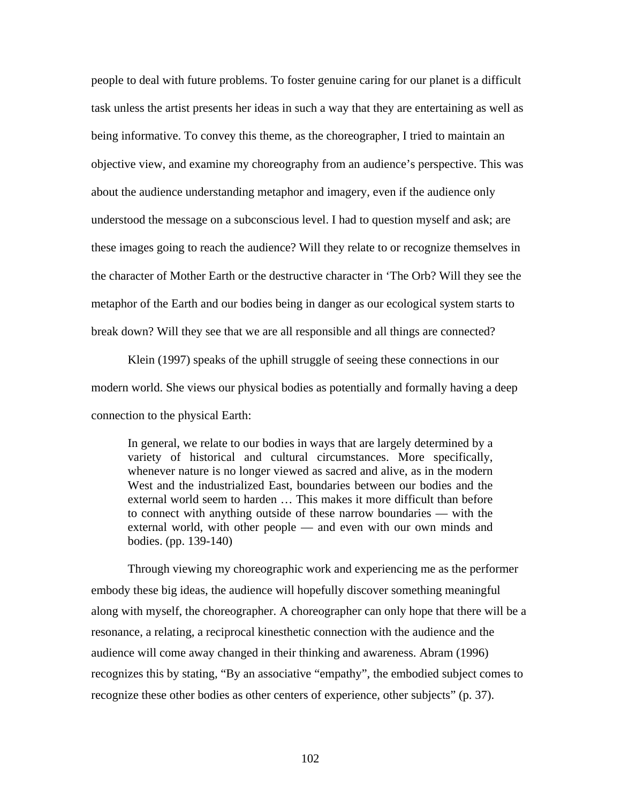people to deal with future problems. To foster genuine caring for our planet is a difficult task unless the artist presents her ideas in such a way that they are entertaining as well as being informative. To convey this theme, as the choreographer, I tried to maintain an objective view, and examine my choreography from an audience's perspective. This was about the audience understanding metaphor and imagery, even if the audience only understood the message on a subconscious level. I had to question myself and ask; are these images going to reach the audience? Will they relate to or recognize themselves in the character of Mother Earth or the destructive character in 'The Orb? Will they see the metaphor of the Earth and our bodies being in danger as our ecological system starts to break down? Will they see that we are all responsible and all things are connected?

 Klein (1997) speaks of the uphill struggle of seeing these connections in our modern world. She views our physical bodies as potentially and formally having a deep connection to the physical Earth:

In general, we relate to our bodies in ways that are largely determined by a variety of historical and cultural circumstances. More specifically, whenever nature is no longer viewed as sacred and alive, as in the modern West and the industrialized East, boundaries between our bodies and the external world seem to harden … This makes it more difficult than before to connect with anything outside of these narrow boundaries — with the external world, with other people — and even with our own minds and bodies. (pp. 139-140)

Through viewing my choreographic work and experiencing me as the performer embody these big ideas, the audience will hopefully discover something meaningful along with myself, the choreographer. A choreographer can only hope that there will be a resonance, a relating, a reciprocal kinesthetic connection with the audience and the audience will come away changed in their thinking and awareness. Abram (1996) recognizes this by stating, "By an associative "empathy", the embodied subject comes to recognize these other bodies as other centers of experience, other subjects" (p. 37).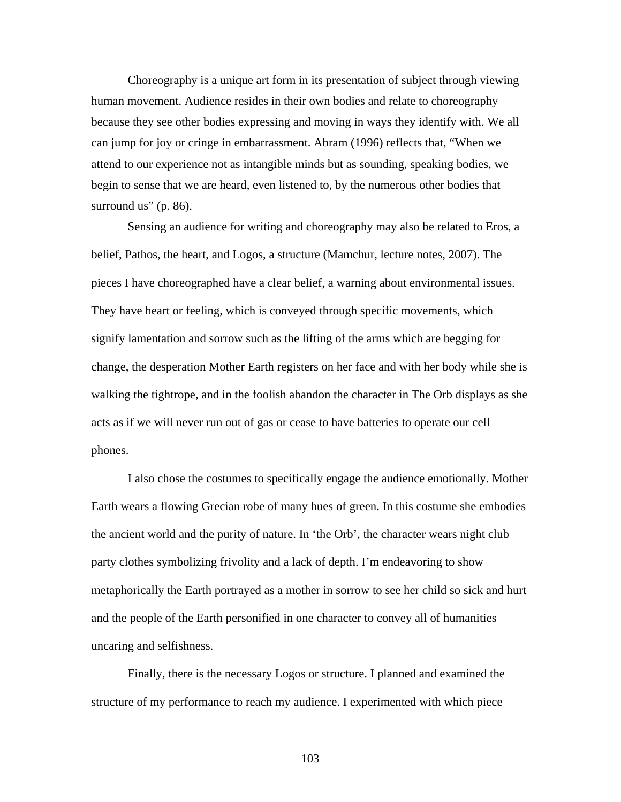Choreography is a unique art form in its presentation of subject through viewing human movement. Audience resides in their own bodies and relate to choreography because they see other bodies expressing and moving in ways they identify with. We all can jump for joy or cringe in embarrassment. Abram (1996) reflects that, "When we attend to our experience not as intangible minds but as sounding, speaking bodies, we begin to sense that we are heard, even listened to, by the numerous other bodies that surround us" (p. 86).

Sensing an audience for writing and choreography may also be related to Eros, a belief, Pathos, the heart, and Logos, a structure (Mamchur, lecture notes, 2007). The pieces I have choreographed have a clear belief, a warning about environmental issues. They have heart or feeling, which is conveyed through specific movements, which signify lamentation and sorrow such as the lifting of the arms which are begging for change, the desperation Mother Earth registers on her face and with her body while she is walking the tightrope, and in the foolish abandon the character in The Orb displays as she acts as if we will never run out of gas or cease to have batteries to operate our cell phones.

I also chose the costumes to specifically engage the audience emotionally. Mother Earth wears a flowing Grecian robe of many hues of green. In this costume she embodies the ancient world and the purity of nature. In 'the Orb', the character wears night club party clothes symbolizing frivolity and a lack of depth. I'm endeavoring to show metaphorically the Earth portrayed as a mother in sorrow to see her child so sick and hurt and the people of the Earth personified in one character to convey all of humanities uncaring and selfishness.

Finally, there is the necessary Logos or structure. I planned and examined the structure of my performance to reach my audience. I experimented with which piece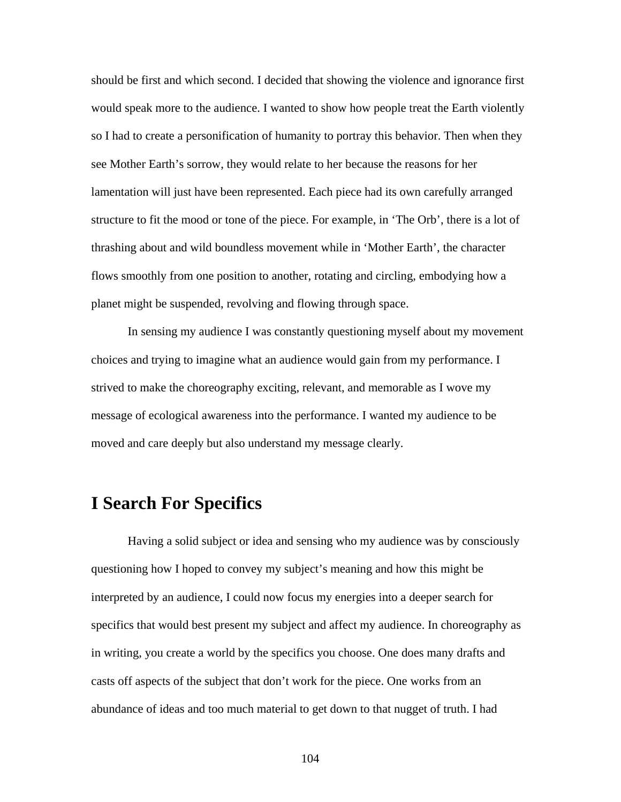should be first and which second. I decided that showing the violence and ignorance first would speak more to the audience. I wanted to show how people treat the Earth violently so I had to create a personification of humanity to portray this behavior. Then when they see Mother Earth's sorrow, they would relate to her because the reasons for her lamentation will just have been represented. Each piece had its own carefully arranged structure to fit the mood or tone of the piece. For example, in 'The Orb', there is a lot of thrashing about and wild boundless movement while in 'Mother Earth', the character flows smoothly from one position to another, rotating and circling, embodying how a planet might be suspended, revolving and flowing through space.

In sensing my audience I was constantly questioning myself about my movement choices and trying to imagine what an audience would gain from my performance. I strived to make the choreography exciting, relevant, and memorable as I wove my message of ecological awareness into the performance. I wanted my audience to be moved and care deeply but also understand my message clearly.

# **I Search For Specifics**

Having a solid subject or idea and sensing who my audience was by consciously questioning how I hoped to convey my subject's meaning and how this might be interpreted by an audience, I could now focus my energies into a deeper search for specifics that would best present my subject and affect my audience. In choreography as in writing, you create a world by the specifics you choose. One does many drafts and casts off aspects of the subject that don't work for the piece. One works from an abundance of ideas and too much material to get down to that nugget of truth. I had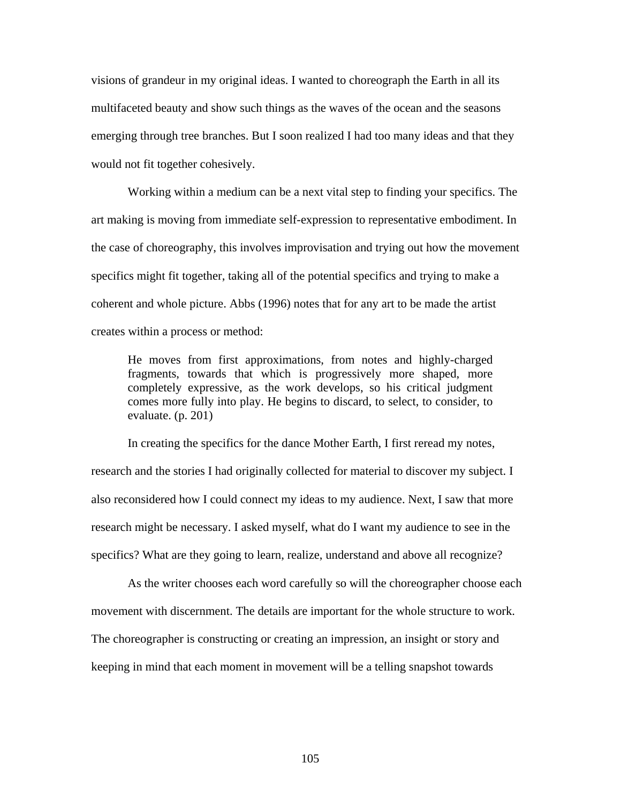visions of grandeur in my original ideas. I wanted to choreograph the Earth in all its multifaceted beauty and show such things as the waves of the ocean and the seasons emerging through tree branches. But I soon realized I had too many ideas and that they would not fit together cohesively.

Working within a medium can be a next vital step to finding your specifics. The art making is moving from immediate self-expression to representative embodiment. In the case of choreography, this involves improvisation and trying out how the movement specifics might fit together, taking all of the potential specifics and trying to make a coherent and whole picture. Abbs (1996) notes that for any art to be made the artist creates within a process or method:

He moves from first approximations, from notes and highly-charged fragments, towards that which is progressively more shaped, more completely expressive, as the work develops, so his critical judgment comes more fully into play. He begins to discard, to select, to consider, to evaluate. (p. 201)

In creating the specifics for the dance Mother Earth, I first reread my notes, research and the stories I had originally collected for material to discover my subject. I also reconsidered how I could connect my ideas to my audience. Next, I saw that more research might be necessary. I asked myself, what do I want my audience to see in the specifics? What are they going to learn, realize, understand and above all recognize?

 As the writer chooses each word carefully so will the choreographer choose each movement with discernment. The details are important for the whole structure to work. The choreographer is constructing or creating an impression, an insight or story and keeping in mind that each moment in movement will be a telling snapshot towards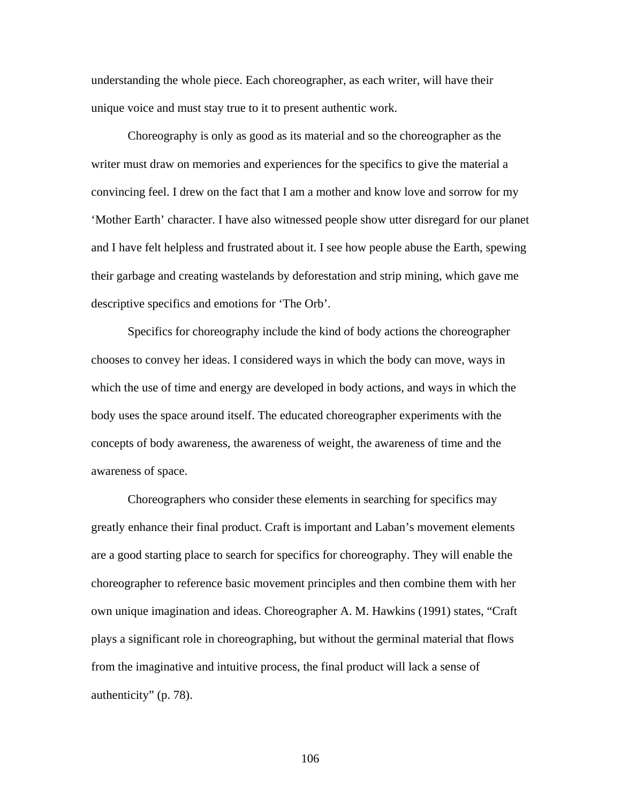understanding the whole piece. Each choreographer, as each writer, will have their unique voice and must stay true to it to present authentic work.

Choreography is only as good as its material and so the choreographer as the writer must draw on memories and experiences for the specifics to give the material a convincing feel. I drew on the fact that I am a mother and know love and sorrow for my 'Mother Earth' character. I have also witnessed people show utter disregard for our planet and I have felt helpless and frustrated about it. I see how people abuse the Earth, spewing their garbage and creating wastelands by deforestation and strip mining, which gave me descriptive specifics and emotions for 'The Orb'.

Specifics for choreography include the kind of body actions the choreographer chooses to convey her ideas. I considered ways in which the body can move, ways in which the use of time and energy are developed in body actions, and ways in which the body uses the space around itself. The educated choreographer experiments with the concepts of body awareness, the awareness of weight, the awareness of time and the awareness of space.

Choreographers who consider these elements in searching for specifics may greatly enhance their final product. Craft is important and Laban's movement elements are a good starting place to search for specifics for choreography. They will enable the choreographer to reference basic movement principles and then combine them with her own unique imagination and ideas. Choreographer A. M. Hawkins (1991) states, "Craft plays a significant role in choreographing, but without the germinal material that flows from the imaginative and intuitive process, the final product will lack a sense of authenticity" (p. 78).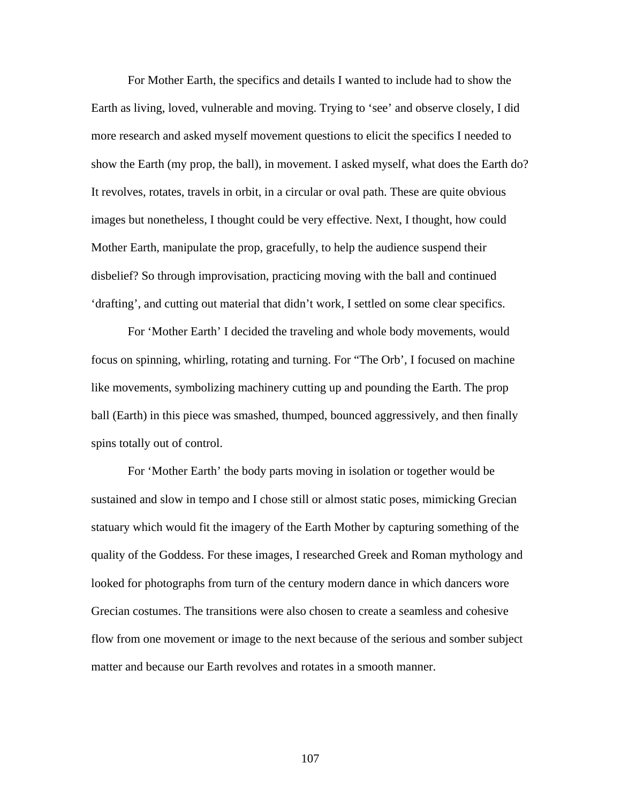For Mother Earth, the specifics and details I wanted to include had to show the Earth as living, loved, vulnerable and moving. Trying to 'see' and observe closely, I did more research and asked myself movement questions to elicit the specifics I needed to show the Earth (my prop, the ball), in movement. I asked myself, what does the Earth do? It revolves, rotates, travels in orbit, in a circular or oval path. These are quite obvious images but nonetheless, I thought could be very effective. Next, I thought, how could Mother Earth, manipulate the prop, gracefully, to help the audience suspend their disbelief? So through improvisation, practicing moving with the ball and continued 'drafting', and cutting out material that didn't work, I settled on some clear specifics.

For 'Mother Earth' I decided the traveling and whole body movements, would focus on spinning, whirling, rotating and turning. For "The Orb', I focused on machine like movements, symbolizing machinery cutting up and pounding the Earth. The prop ball (Earth) in this piece was smashed, thumped, bounced aggressively, and then finally spins totally out of control.

For 'Mother Earth' the body parts moving in isolation or together would be sustained and slow in tempo and I chose still or almost static poses, mimicking Grecian statuary which would fit the imagery of the Earth Mother by capturing something of the quality of the Goddess. For these images, I researched Greek and Roman mythology and looked for photographs from turn of the century modern dance in which dancers wore Grecian costumes. The transitions were also chosen to create a seamless and cohesive flow from one movement or image to the next because of the serious and somber subject matter and because our Earth revolves and rotates in a smooth manner.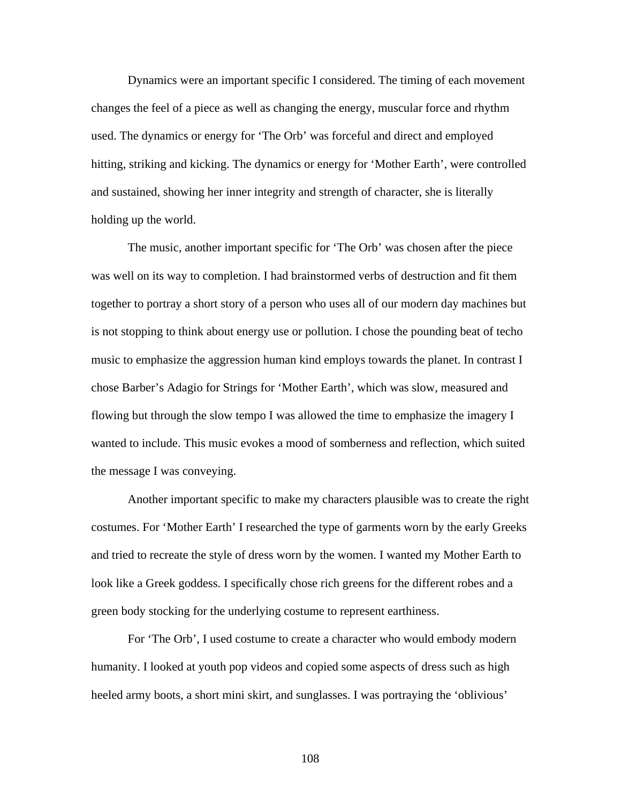Dynamics were an important specific I considered. The timing of each movement changes the feel of a piece as well as changing the energy, muscular force and rhythm used. The dynamics or energy for 'The Orb' was forceful and direct and employed hitting, striking and kicking. The dynamics or energy for 'Mother Earth', were controlled and sustained, showing her inner integrity and strength of character, she is literally holding up the world.

The music, another important specific for 'The Orb' was chosen after the piece was well on its way to completion. I had brainstormed verbs of destruction and fit them together to portray a short story of a person who uses all of our modern day machines but is not stopping to think about energy use or pollution. I chose the pounding beat of techo music to emphasize the aggression human kind employs towards the planet. In contrast I chose Barber's Adagio for Strings for 'Mother Earth', which was slow, measured and flowing but through the slow tempo I was allowed the time to emphasize the imagery I wanted to include. This music evokes a mood of somberness and reflection, which suited the message I was conveying.

Another important specific to make my characters plausible was to create the right costumes. For 'Mother Earth' I researched the type of garments worn by the early Greeks and tried to recreate the style of dress worn by the women. I wanted my Mother Earth to look like a Greek goddess. I specifically chose rich greens for the different robes and a green body stocking for the underlying costume to represent earthiness.

For 'The Orb', I used costume to create a character who would embody modern humanity. I looked at youth pop videos and copied some aspects of dress such as high heeled army boots, a short mini skirt, and sunglasses. I was portraying the 'oblivious'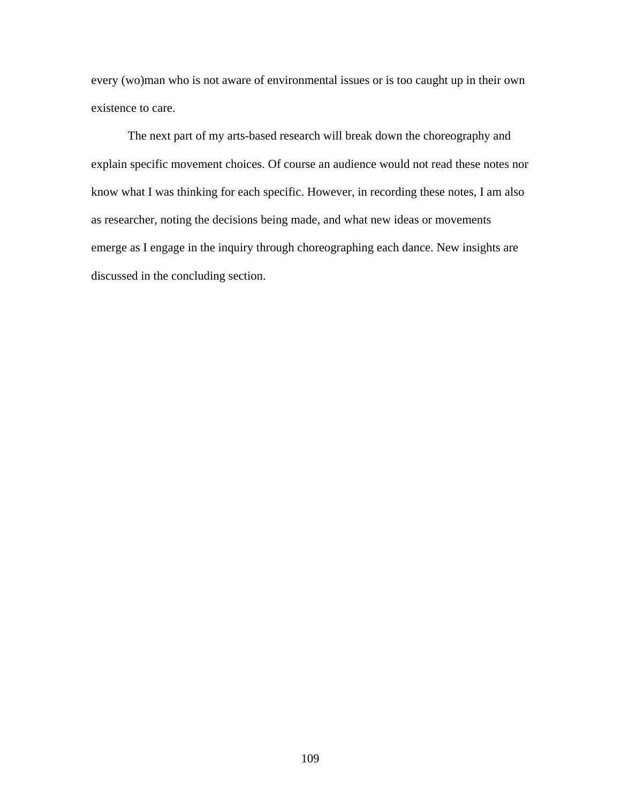every (wo)man who is not aware of environmental issues or is too caught up in their own existence to care.

The next part of my arts-based research will break down the choreography and explain specific movement choices. Of course an audience would not read these notes nor know what I was thinking for each specific. However, in recording these notes, I am also as researcher, noting the decisions being made, and what new ideas or movements emerge as I engage in the inquiry through choreographing each dance. New insights are discussed in the concluding section.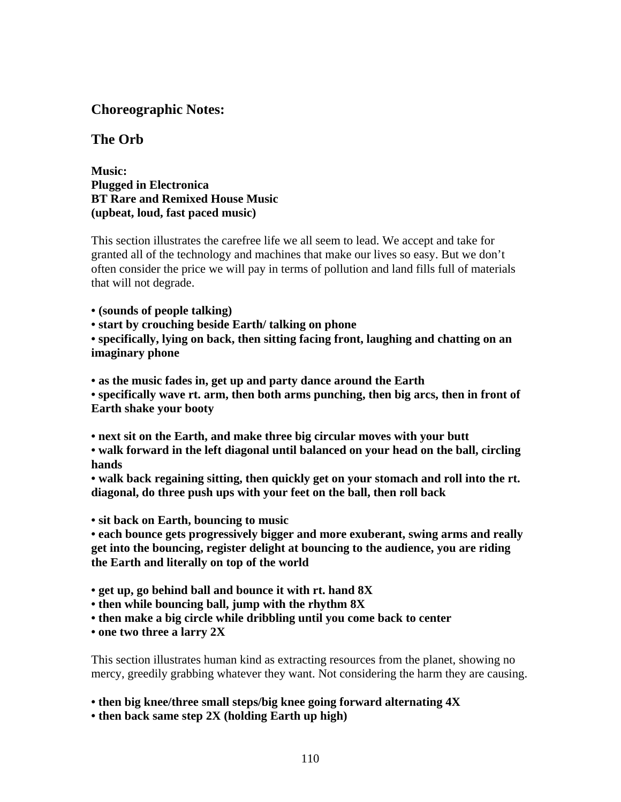### **Choreographic Notes:**

### **The Orb**

**Music: Plugged in Electronica BT Rare and Remixed House Music (upbeat, loud, fast paced music)** 

This section illustrates the carefree life we all seem to lead. We accept and take for granted all of the technology and machines that make our lives so easy. But we don't often consider the price we will pay in terms of pollution and land fills full of materials that will not degrade.

**• (sounds of people talking)** 

**• start by crouching beside Earth/ talking on phone** 

**• specifically, lying on back, then sitting facing front, laughing and chatting on an imaginary phone** 

**• as the music fades in, get up and party dance around the Earth** 

**• specifically wave rt. arm, then both arms punching, then big arcs, then in front of Earth shake your booty** 

**• next sit on the Earth, and make three big circular moves with your butt** 

**• walk forward in the left diagonal until balanced on your head on the ball, circling hands** 

**• walk back regaining sitting, then quickly get on your stomach and roll into the rt. diagonal, do three push ups with your feet on the ball, then roll back** 

**• sit back on Earth, bouncing to music** 

**• each bounce gets progressively bigger and more exuberant, swing arms and really get into the bouncing, register delight at bouncing to the audience, you are riding the Earth and literally on top of the world** 

**• get up, go behind ball and bounce it with rt. hand 8X** 

**• then while bouncing ball, jump with the rhythm 8X** 

**• then make a big circle while dribbling until you come back to center** 

**• one two three a larry 2X** 

This section illustrates human kind as extracting resources from the planet, showing no mercy, greedily grabbing whatever they want. Not considering the harm they are causing.

**• then big knee/three small steps/big knee going forward alternating 4X** 

**• then back same step 2X (holding Earth up high)**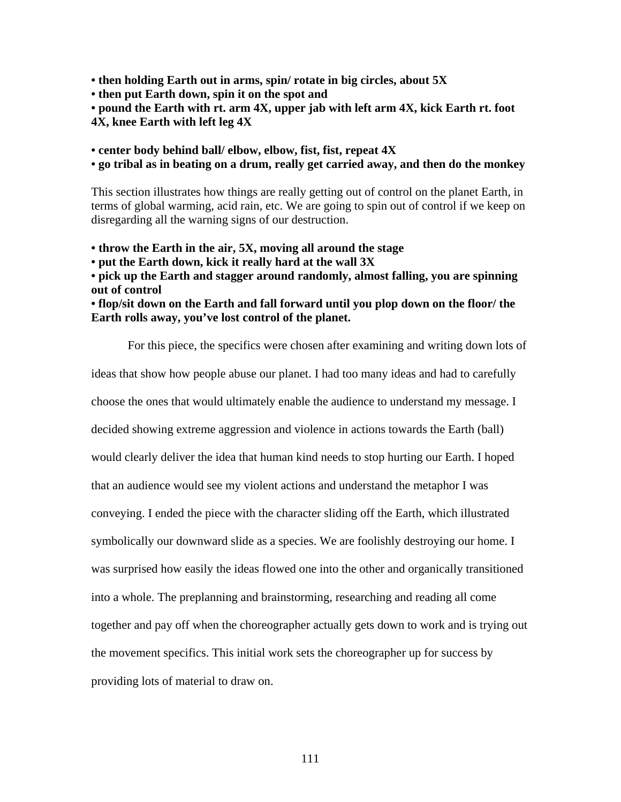**• then holding Earth out in arms, spin/ rotate in big circles, about 5X** 

**• then put Earth down, spin it on the spot and** 

**• pound the Earth with rt. arm 4X, upper jab with left arm 4X, kick Earth rt. foot 4X, knee Earth with left leg 4X** 

**• center body behind ball/ elbow, elbow, fist, fist, repeat 4X** 

**• go tribal as in beating on a drum, really get carried away, and then do the monkey** 

This section illustrates how things are really getting out of control on the planet Earth, in terms of global warming, acid rain, etc. We are going to spin out of control if we keep on disregarding all the warning signs of our destruction.

**• throw the Earth in the air, 5X, moving all around the stage** 

**• put the Earth down, kick it really hard at the wall 3X** 

**• pick up the Earth and stagger around randomly, almost falling, you are spinning out of control** 

**• flop/sit down on the Earth and fall forward until you plop down on the floor/ the Earth rolls away, you've lost control of the planet.** 

For this piece, the specifics were chosen after examining and writing down lots of

ideas that show how people abuse our planet. I had too many ideas and had to carefully

choose the ones that would ultimately enable the audience to understand my message. I

decided showing extreme aggression and violence in actions towards the Earth (ball)

would clearly deliver the idea that human kind needs to stop hurting our Earth. I hoped

that an audience would see my violent actions and understand the metaphor I was

conveying. I ended the piece with the character sliding off the Earth, which illustrated

symbolically our downward slide as a species. We are foolishly destroying our home. I

was surprised how easily the ideas flowed one into the other and organically transitioned

into a whole. The preplanning and brainstorming, researching and reading all come

together and pay off when the choreographer actually gets down to work and is trying out

the movement specifics. This initial work sets the choreographer up for success by

providing lots of material to draw on.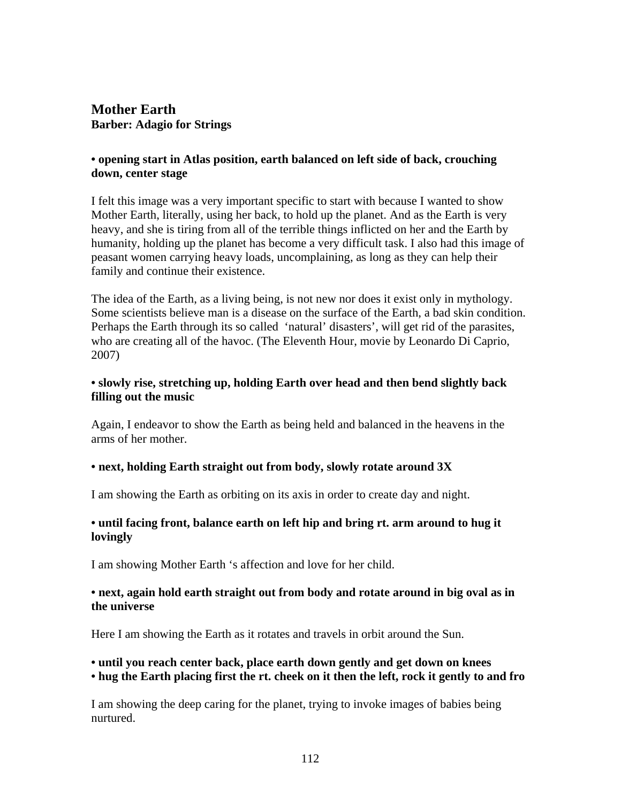### **Mother Earth Barber: Adagio for Strings**

#### **• opening start in Atlas position, earth balanced on left side of back, crouching down, center stage**

I felt this image was a very important specific to start with because I wanted to show Mother Earth, literally, using her back, to hold up the planet. And as the Earth is very heavy, and she is tiring from all of the terrible things inflicted on her and the Earth by humanity, holding up the planet has become a very difficult task. I also had this image of peasant women carrying heavy loads, uncomplaining, as long as they can help their family and continue their existence.

The idea of the Earth, as a living being, is not new nor does it exist only in mythology. Some scientists believe man is a disease on the surface of the Earth, a bad skin condition. Perhaps the Earth through its so called 'natural' disasters', will get rid of the parasites, who are creating all of the havoc. (The Eleventh Hour, movie by Leonardo Di Caprio, 2007)

#### **• slowly rise, stretching up, holding Earth over head and then bend slightly back filling out the music**

Again, I endeavor to show the Earth as being held and balanced in the heavens in the arms of her mother.

#### **• next, holding Earth straight out from body, slowly rotate around 3X**

I am showing the Earth as orbiting on its axis in order to create day and night.

#### **• until facing front, balance earth on left hip and bring rt. arm around to hug it lovingly**

I am showing Mother Earth 's affection and love for her child.

#### **• next, again hold earth straight out from body and rotate around in big oval as in the universe**

Here I am showing the Earth as it rotates and travels in orbit around the Sun.

#### **• until you reach center back, place earth down gently and get down on knees • hug the Earth placing first the rt. cheek on it then the left, rock it gently to and fro**

I am showing the deep caring for the planet, trying to invoke images of babies being nurtured.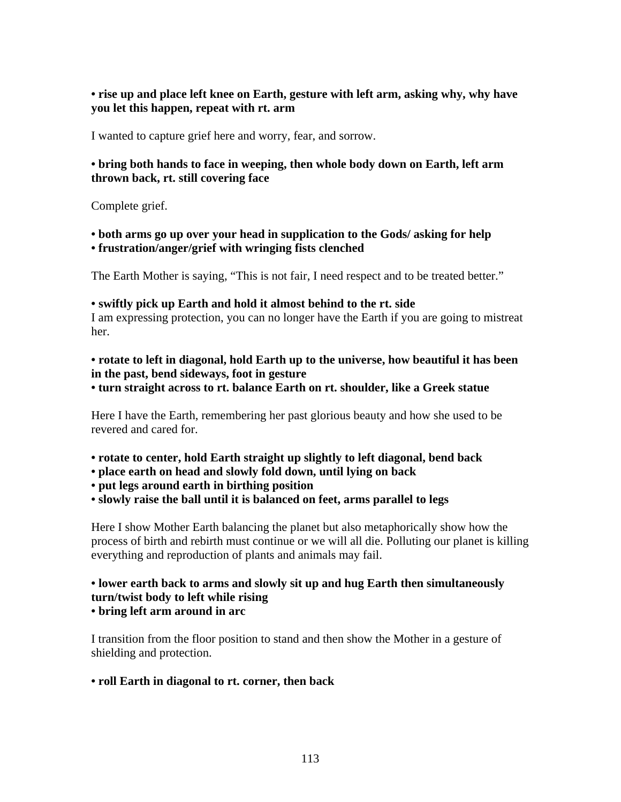**• rise up and place left knee on Earth, gesture with left arm, asking why, why have you let this happen, repeat with rt. arm** 

I wanted to capture grief here and worry, fear, and sorrow.

#### **• bring both hands to face in weeping, then whole body down on Earth, left arm thrown back, rt. still covering face**

Complete grief.

**• both arms go up over your head in supplication to the Gods/ asking for help** 

**• frustration/anger/grief with wringing fists clenched** 

The Earth Mother is saying, "This is not fair, I need respect and to be treated better."

#### **• swiftly pick up Earth and hold it almost behind to the rt. side**

I am expressing protection, you can no longer have the Earth if you are going to mistreat her.

**• rotate to left in diagonal, hold Earth up to the universe, how beautiful it has been in the past, bend sideways, foot in gesture** 

**• turn straight across to rt. balance Earth on rt. shoulder, like a Greek statue** 

Here I have the Earth, remembering her past glorious beauty and how she used to be revered and cared for.

- **rotate to center, hold Earth straight up slightly to left diagonal, bend back**
- **place earth on head and slowly fold down, until lying on back**

**• put legs around earth in birthing position** 

**• slowly raise the ball until it is balanced on feet, arms parallel to legs** 

Here I show Mother Earth balancing the planet but also metaphorically show how the process of birth and rebirth must continue or we will all die. Polluting our planet is killing everything and reproduction of plants and animals may fail.

### **• lower earth back to arms and slowly sit up and hug Earth then simultaneously turn/twist body to left while rising**

#### **• bring left arm around in arc**

I transition from the floor position to stand and then show the Mother in a gesture of shielding and protection.

#### **• roll Earth in diagonal to rt. corner, then back**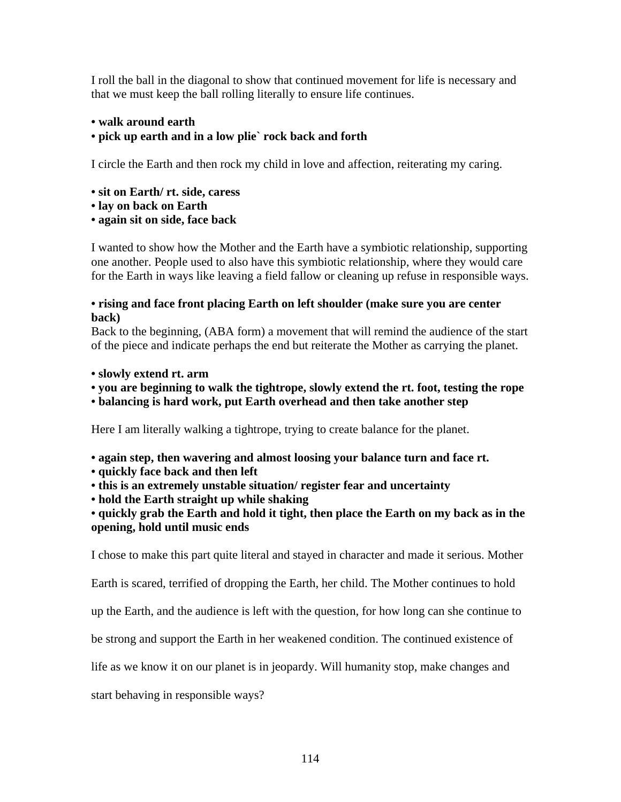I roll the ball in the diagonal to show that continued movement for life is necessary and that we must keep the ball rolling literally to ensure life continues.

#### **• walk around earth • pick up earth and in a low plie` rock back and forth**

I circle the Earth and then rock my child in love and affection, reiterating my caring.

- **sit on Earth/ rt. side, caress**
- **lay on back on Earth**
- **again sit on side, face back**

I wanted to show how the Mother and the Earth have a symbiotic relationship, supporting one another. People used to also have this symbiotic relationship, where they would care for the Earth in ways like leaving a field fallow or cleaning up refuse in responsible ways.

#### **• rising and face front placing Earth on left shoulder (make sure you are center back)**

Back to the beginning, (ABA form) a movement that will remind the audience of the start of the piece and indicate perhaps the end but reiterate the Mother as carrying the planet.

- **slowly extend rt. arm**
- **you are beginning to walk the tightrope, slowly extend the rt. foot, testing the rope**
- **balancing is hard work, put Earth overhead and then take another step**

Here I am literally walking a tightrope, trying to create balance for the planet.

- **again step, then wavering and almost loosing your balance turn and face rt.**
- **quickly face back and then left**
- **this is an extremely unstable situation/ register fear and uncertainty**

**• hold the Earth straight up while shaking** 

**• quickly grab the Earth and hold it tight, then place the Earth on my back as in the opening, hold until music ends** 

I chose to make this part quite literal and stayed in character and made it serious. Mother

Earth is scared, terrified of dropping the Earth, her child. The Mother continues to hold

up the Earth, and the audience is left with the question, for how long can she continue to

be strong and support the Earth in her weakened condition. The continued existence of

life as we know it on our planet is in jeopardy. Will humanity stop, make changes and

start behaving in responsible ways?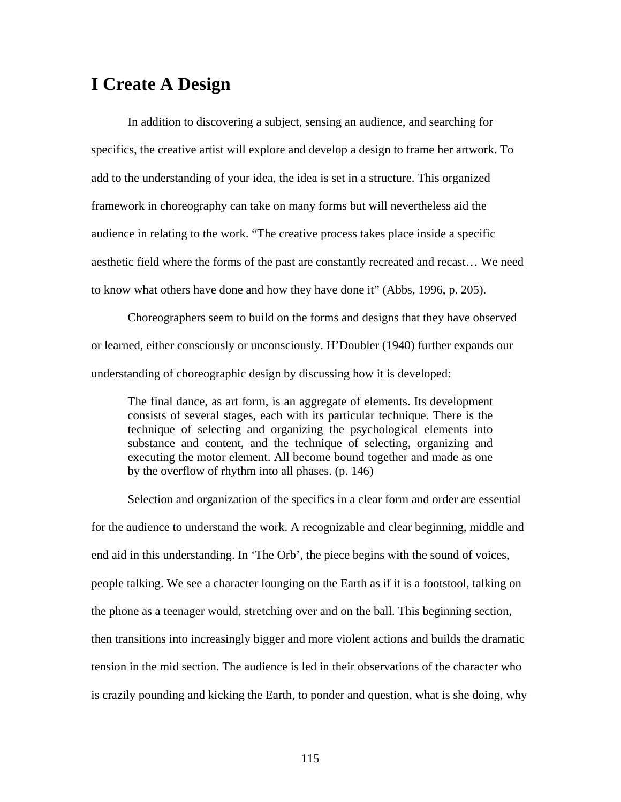# **I Create A Design**

In addition to discovering a subject, sensing an audience, and searching for specifics, the creative artist will explore and develop a design to frame her artwork. To add to the understanding of your idea, the idea is set in a structure. This organized framework in choreography can take on many forms but will nevertheless aid the audience in relating to the work. "The creative process takes place inside a specific aesthetic field where the forms of the past are constantly recreated and recast… We need to know what others have done and how they have done it" (Abbs, 1996, p. 205).

Choreographers seem to build on the forms and designs that they have observed or learned, either consciously or unconsciously. H'Doubler (1940) further expands our understanding of choreographic design by discussing how it is developed:

The final dance, as art form, is an aggregate of elements. Its development consists of several stages, each with its particular technique. There is the technique of selecting and organizing the psychological elements into substance and content, and the technique of selecting, organizing and executing the motor element. All become bound together and made as one by the overflow of rhythm into all phases. (p. 146)

Selection and organization of the specifics in a clear form and order are essential for the audience to understand the work. A recognizable and clear beginning, middle and end aid in this understanding. In 'The Orb', the piece begins with the sound of voices, people talking. We see a character lounging on the Earth as if it is a footstool, talking on the phone as a teenager would, stretching over and on the ball. This beginning section, then transitions into increasingly bigger and more violent actions and builds the dramatic tension in the mid section. The audience is led in their observations of the character who is crazily pounding and kicking the Earth, to ponder and question, what is she doing, why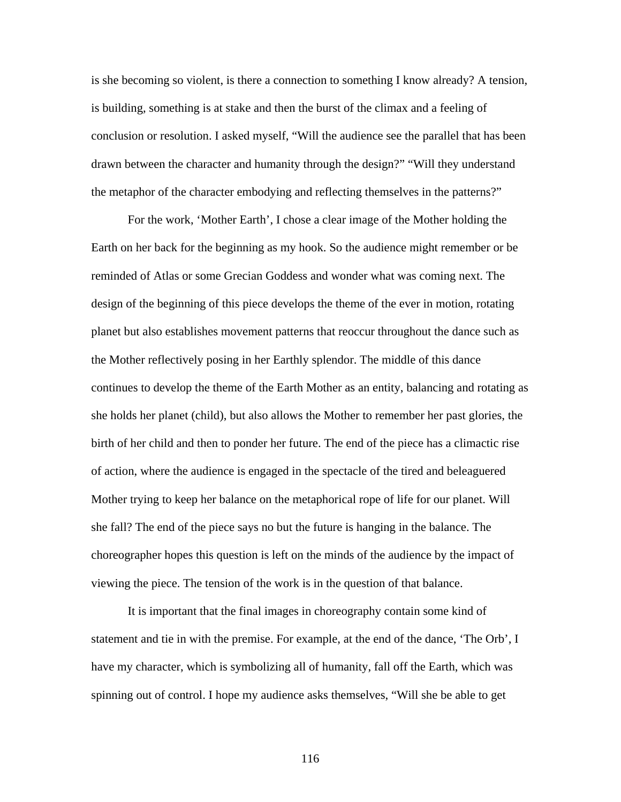is she becoming so violent, is there a connection to something I know already? A tension, is building, something is at stake and then the burst of the climax and a feeling of conclusion or resolution. I asked myself, "Will the audience see the parallel that has been drawn between the character and humanity through the design?" "Will they understand the metaphor of the character embodying and reflecting themselves in the patterns?"

For the work, 'Mother Earth', I chose a clear image of the Mother holding the Earth on her back for the beginning as my hook. So the audience might remember or be reminded of Atlas or some Grecian Goddess and wonder what was coming next. The design of the beginning of this piece develops the theme of the ever in motion, rotating planet but also establishes movement patterns that reoccur throughout the dance such as the Mother reflectively posing in her Earthly splendor. The middle of this dance continues to develop the theme of the Earth Mother as an entity, balancing and rotating as she holds her planet (child), but also allows the Mother to remember her past glories, the birth of her child and then to ponder her future. The end of the piece has a climactic rise of action, where the audience is engaged in the spectacle of the tired and beleaguered Mother trying to keep her balance on the metaphorical rope of life for our planet. Will she fall? The end of the piece says no but the future is hanging in the balance. The choreographer hopes this question is left on the minds of the audience by the impact of viewing the piece. The tension of the work is in the question of that balance.

It is important that the final images in choreography contain some kind of statement and tie in with the premise. For example, at the end of the dance, 'The Orb', I have my character, which is symbolizing all of humanity, fall off the Earth, which was spinning out of control. I hope my audience asks themselves, "Will she be able to get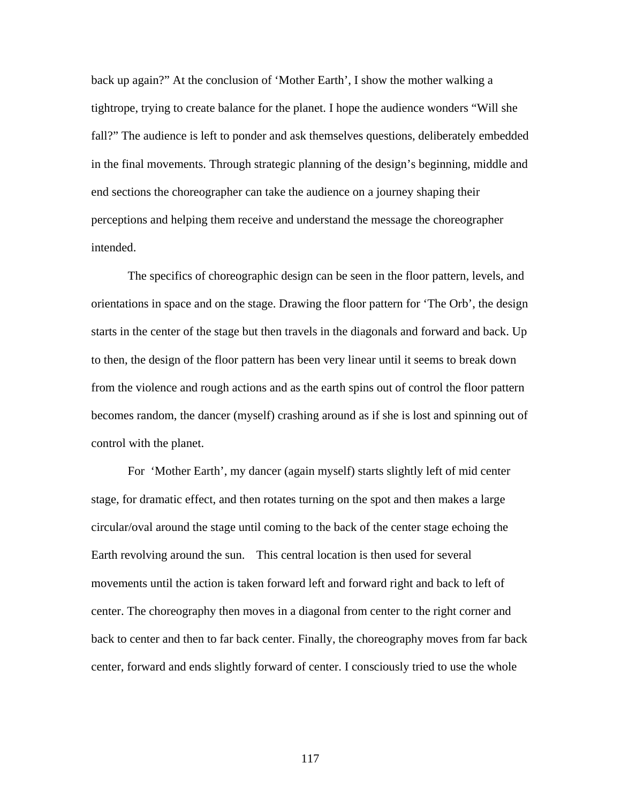back up again?" At the conclusion of 'Mother Earth', I show the mother walking a tightrope, trying to create balance for the planet. I hope the audience wonders "Will she fall?" The audience is left to ponder and ask themselves questions, deliberately embedded in the final movements. Through strategic planning of the design's beginning, middle and end sections the choreographer can take the audience on a journey shaping their perceptions and helping them receive and understand the message the choreographer intended.

The specifics of choreographic design can be seen in the floor pattern, levels, and orientations in space and on the stage. Drawing the floor pattern for 'The Orb', the design starts in the center of the stage but then travels in the diagonals and forward and back. Up to then, the design of the floor pattern has been very linear until it seems to break down from the violence and rough actions and as the earth spins out of control the floor pattern becomes random, the dancer (myself) crashing around as if she is lost and spinning out of control with the planet.

For 'Mother Earth', my dancer (again myself) starts slightly left of mid center stage, for dramatic effect, and then rotates turning on the spot and then makes a large circular/oval around the stage until coming to the back of the center stage echoing the Earth revolving around the sun. This central location is then used for several movements until the action is taken forward left and forward right and back to left of center. The choreography then moves in a diagonal from center to the right corner and back to center and then to far back center. Finally, the choreography moves from far back center, forward and ends slightly forward of center. I consciously tried to use the whole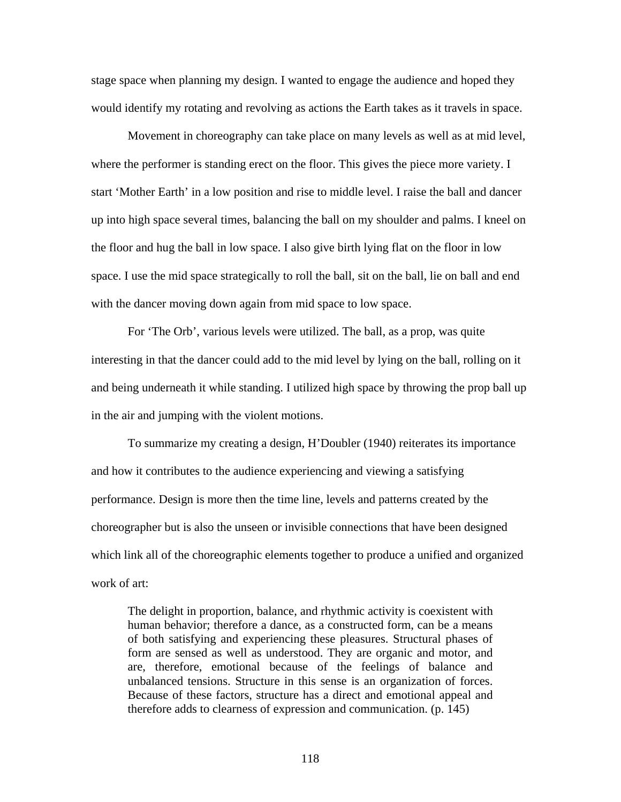stage space when planning my design. I wanted to engage the audience and hoped they would identify my rotating and revolving as actions the Earth takes as it travels in space.

Movement in choreography can take place on many levels as well as at mid level, where the performer is standing erect on the floor. This gives the piece more variety. I start 'Mother Earth' in a low position and rise to middle level. I raise the ball and dancer up into high space several times, balancing the ball on my shoulder and palms. I kneel on the floor and hug the ball in low space. I also give birth lying flat on the floor in low space. I use the mid space strategically to roll the ball, sit on the ball, lie on ball and end with the dancer moving down again from mid space to low space.

For 'The Orb', various levels were utilized. The ball, as a prop, was quite interesting in that the dancer could add to the mid level by lying on the ball, rolling on it and being underneath it while standing. I utilized high space by throwing the prop ball up in the air and jumping with the violent motions.

To summarize my creating a design, H'Doubler (1940) reiterates its importance and how it contributes to the audience experiencing and viewing a satisfying performance. Design is more then the time line, levels and patterns created by the choreographer but is also the unseen or invisible connections that have been designed which link all of the choreographic elements together to produce a unified and organized work of art:

The delight in proportion, balance, and rhythmic activity is coexistent with human behavior; therefore a dance, as a constructed form, can be a means of both satisfying and experiencing these pleasures. Structural phases of form are sensed as well as understood. They are organic and motor, and are, therefore, emotional because of the feelings of balance and unbalanced tensions. Structure in this sense is an organization of forces. Because of these factors, structure has a direct and emotional appeal and therefore adds to clearness of expression and communication. (p. 145)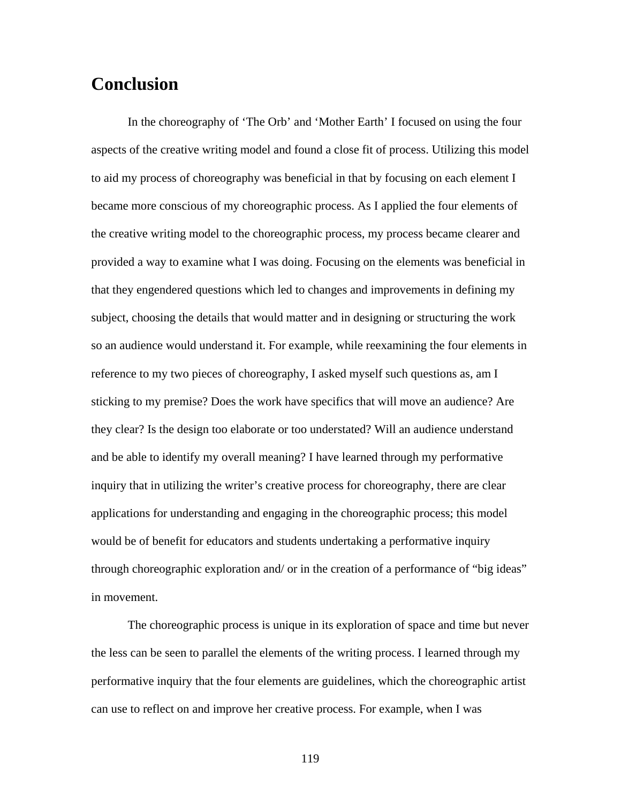# **Conclusion**

In the choreography of 'The Orb' and 'Mother Earth' I focused on using the four aspects of the creative writing model and found a close fit of process. Utilizing this model to aid my process of choreography was beneficial in that by focusing on each element I became more conscious of my choreographic process. As I applied the four elements of the creative writing model to the choreographic process, my process became clearer and provided a way to examine what I was doing. Focusing on the elements was beneficial in that they engendered questions which led to changes and improvements in defining my subject, choosing the details that would matter and in designing or structuring the work so an audience would understand it. For example, while reexamining the four elements in reference to my two pieces of choreography, I asked myself such questions as, am I sticking to my premise? Does the work have specifics that will move an audience? Are they clear? Is the design too elaborate or too understated? Will an audience understand and be able to identify my overall meaning? I have learned through my performative inquiry that in utilizing the writer's creative process for choreography, there are clear applications for understanding and engaging in the choreographic process; this model would be of benefit for educators and students undertaking a performative inquiry through choreographic exploration and/ or in the creation of a performance of "big ideas" in movement.

The choreographic process is unique in its exploration of space and time but never the less can be seen to parallel the elements of the writing process. I learned through my performative inquiry that the four elements are guidelines, which the choreographic artist can use to reflect on and improve her creative process. For example, when I was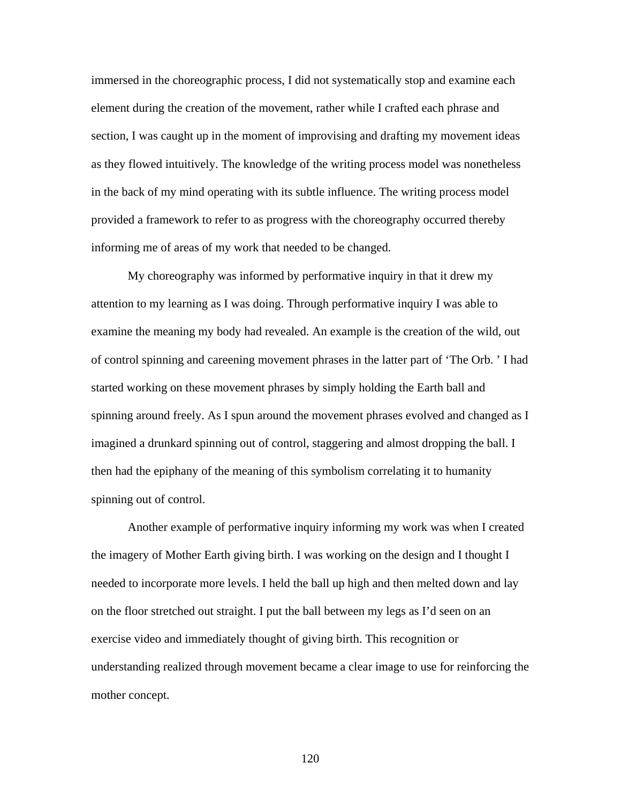immersed in the choreographic process, I did not systematically stop and examine each element during the creation of the movement, rather while I crafted each phrase and section, I was caught up in the moment of improvising and drafting my movement ideas as they flowed intuitively. The knowledge of the writing process model was nonetheless in the back of my mind operating with its subtle influence. The writing process model provided a framework to refer to as progress with the choreography occurred thereby informing me of areas of my work that needed to be changed.

My choreography was informed by performative inquiry in that it drew my attention to my learning as I was doing. Through performative inquiry I was able to examine the meaning my body had revealed. An example is the creation of the wild, out of control spinning and careening movement phrases in the latter part of 'The Orb. ' I had started working on these movement phrases by simply holding the Earth ball and spinning around freely. As I spun around the movement phrases evolved and changed as I imagined a drunkard spinning out of control, staggering and almost dropping the ball. I then had the epiphany of the meaning of this symbolism correlating it to humanity spinning out of control.

Another example of performative inquiry informing my work was when I created the imagery of Mother Earth giving birth. I was working on the design and I thought I needed to incorporate more levels. I held the ball up high and then melted down and lay on the floor stretched out straight. I put the ball between my legs as I'd seen on an exercise video and immediately thought of giving birth. This recognition or understanding realized through movement became a clear image to use for reinforcing the mother concept.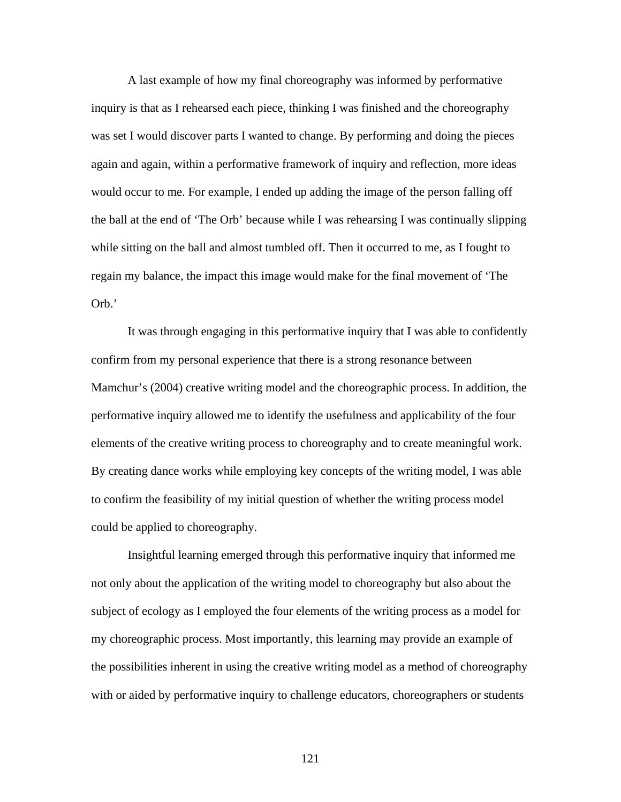A last example of how my final choreography was informed by performative inquiry is that as I rehearsed each piece, thinking I was finished and the choreography was set I would discover parts I wanted to change. By performing and doing the pieces again and again, within a performative framework of inquiry and reflection, more ideas would occur to me. For example, I ended up adding the image of the person falling off the ball at the end of 'The Orb' because while I was rehearsing I was continually slipping while sitting on the ball and almost tumbled off. Then it occurred to me, as I fought to regain my balance, the impact this image would make for the final movement of 'The Orb.'

It was through engaging in this performative inquiry that I was able to confidently confirm from my personal experience that there is a strong resonance between Mamchur's (2004) creative writing model and the choreographic process. In addition, the performative inquiry allowed me to identify the usefulness and applicability of the four elements of the creative writing process to choreography and to create meaningful work. By creating dance works while employing key concepts of the writing model, I was able to confirm the feasibility of my initial question of whether the writing process model could be applied to choreography.

Insightful learning emerged through this performative inquiry that informed me not only about the application of the writing model to choreography but also about the subject of ecology as I employed the four elements of the writing process as a model for my choreographic process. Most importantly, this learning may provide an example of the possibilities inherent in using the creative writing model as a method of choreography with or aided by performative inquiry to challenge educators, choreographers or students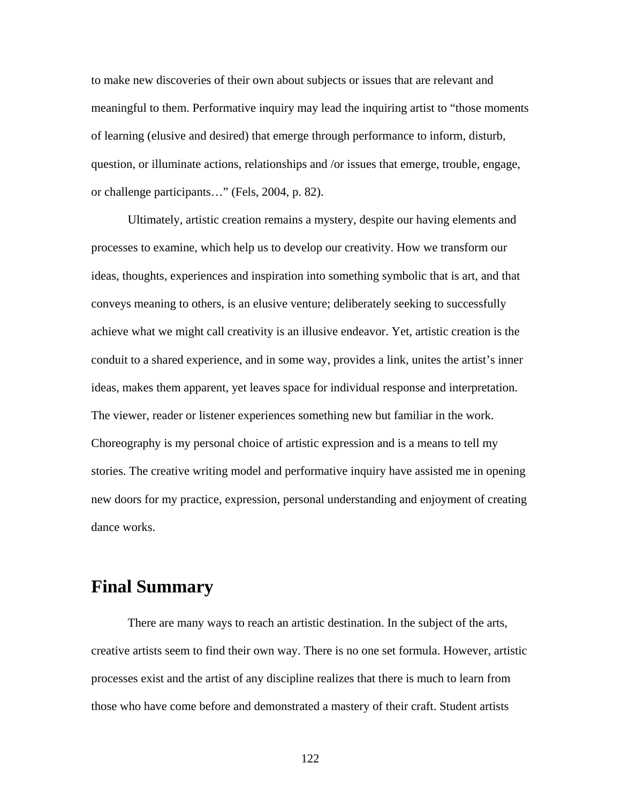to make new discoveries of their own about subjects or issues that are relevant and meaningful to them. Performative inquiry may lead the inquiring artist to "those moments of learning (elusive and desired) that emerge through performance to inform, disturb, question, or illuminate actions, relationships and /or issues that emerge, trouble, engage, or challenge participants…" (Fels, 2004, p. 82).

 Ultimately, artistic creation remains a mystery, despite our having elements and processes to examine, which help us to develop our creativity. How we transform our ideas, thoughts, experiences and inspiration into something symbolic that is art, and that conveys meaning to others, is an elusive venture; deliberately seeking to successfully achieve what we might call creativity is an illusive endeavor. Yet, artistic creation is the conduit to a shared experience, and in some way, provides a link, unites the artist's inner ideas, makes them apparent, yet leaves space for individual response and interpretation. The viewer, reader or listener experiences something new but familiar in the work. Choreography is my personal choice of artistic expression and is a means to tell my stories. The creative writing model and performative inquiry have assisted me in opening new doors for my practice, expression, personal understanding and enjoyment of creating dance works.

### **Final Summary**

There are many ways to reach an artistic destination. In the subject of the arts, creative artists seem to find their own way. There is no one set formula. However, artistic processes exist and the artist of any discipline realizes that there is much to learn from those who have come before and demonstrated a mastery of their craft. Student artists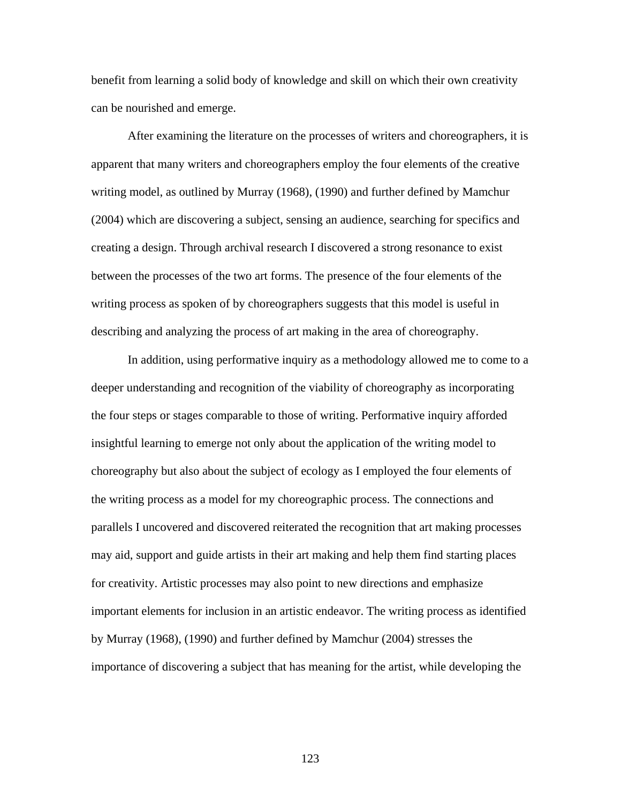benefit from learning a solid body of knowledge and skill on which their own creativity can be nourished and emerge.

After examining the literature on the processes of writers and choreographers, it is apparent that many writers and choreographers employ the four elements of the creative writing model, as outlined by Murray (1968), (1990) and further defined by Mamchur (2004) which are discovering a subject, sensing an audience, searching for specifics and creating a design. Through archival research I discovered a strong resonance to exist between the processes of the two art forms. The presence of the four elements of the writing process as spoken of by choreographers suggests that this model is useful in describing and analyzing the process of art making in the area of choreography.

In addition, using performative inquiry as a methodology allowed me to come to a deeper understanding and recognition of the viability of choreography as incorporating the four steps or stages comparable to those of writing. Performative inquiry afforded insightful learning to emerge not only about the application of the writing model to choreography but also about the subject of ecology as I employed the four elements of the writing process as a model for my choreographic process. The connections and parallels I uncovered and discovered reiterated the recognition that art making processes may aid, support and guide artists in their art making and help them find starting places for creativity. Artistic processes may also point to new directions and emphasize important elements for inclusion in an artistic endeavor. The writing process as identified by Murray (1968), (1990) and further defined by Mamchur (2004) stresses the importance of discovering a subject that has meaning for the artist, while developing the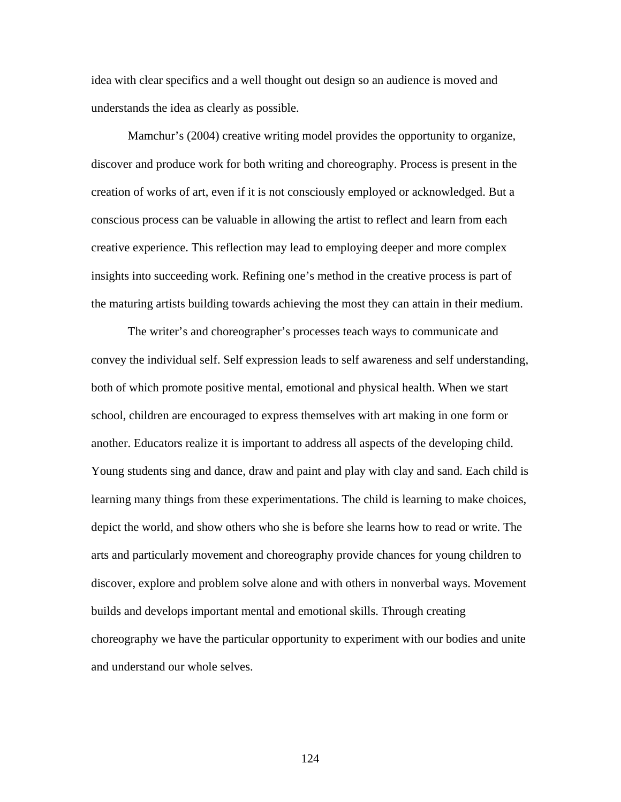idea with clear specifics and a well thought out design so an audience is moved and understands the idea as clearly as possible.

Mamchur's (2004) creative writing model provides the opportunity to organize, discover and produce work for both writing and choreography. Process is present in the creation of works of art, even if it is not consciously employed or acknowledged. But a conscious process can be valuable in allowing the artist to reflect and learn from each creative experience. This reflection may lead to employing deeper and more complex insights into succeeding work. Refining one's method in the creative process is part of the maturing artists building towards achieving the most they can attain in their medium.

The writer's and choreographer's processes teach ways to communicate and convey the individual self. Self expression leads to self awareness and self understanding, both of which promote positive mental, emotional and physical health. When we start school, children are encouraged to express themselves with art making in one form or another. Educators realize it is important to address all aspects of the developing child. Young students sing and dance, draw and paint and play with clay and sand. Each child is learning many things from these experimentations. The child is learning to make choices, depict the world, and show others who she is before she learns how to read or write. The arts and particularly movement and choreography provide chances for young children to discover, explore and problem solve alone and with others in nonverbal ways. Movement builds and develops important mental and emotional skills. Through creating choreography we have the particular opportunity to experiment with our bodies and unite and understand our whole selves.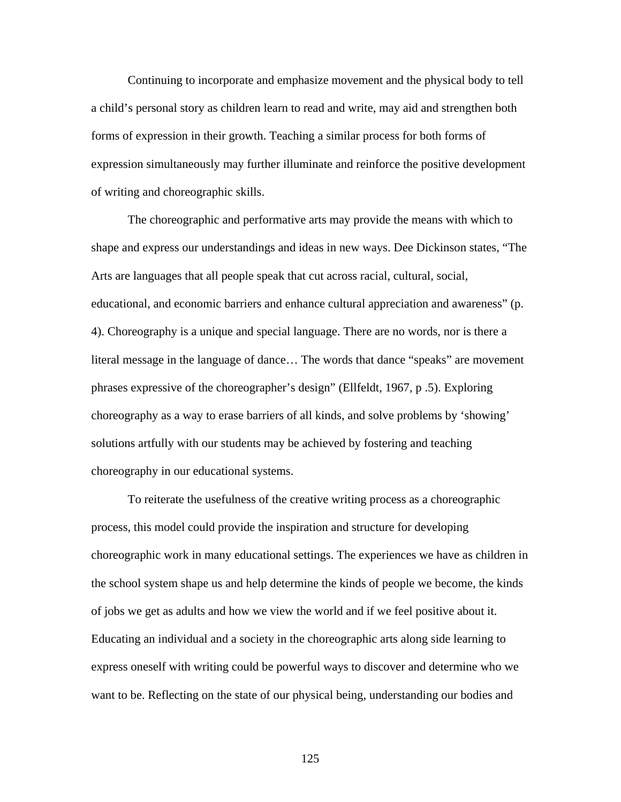Continuing to incorporate and emphasize movement and the physical body to tell a child's personal story as children learn to read and write, may aid and strengthen both forms of expression in their growth. Teaching a similar process for both forms of expression simultaneously may further illuminate and reinforce the positive development of writing and choreographic skills.

The choreographic and performative arts may provide the means with which to shape and express our understandings and ideas in new ways. Dee Dickinson states, "The Arts are languages that all people speak that cut across racial, cultural, social, educational, and economic barriers and enhance cultural appreciation and awareness" (p. 4). Choreography is a unique and special language. There are no words, nor is there a literal message in the language of dance… The words that dance "speaks" are movement phrases expressive of the choreographer's design" (Ellfeldt, 1967, p .5). Exploring choreography as a way to erase barriers of all kinds, and solve problems by 'showing' solutions artfully with our students may be achieved by fostering and teaching choreography in our educational systems.

To reiterate the usefulness of the creative writing process as a choreographic process, this model could provide the inspiration and structure for developing choreographic work in many educational settings. The experiences we have as children in the school system shape us and help determine the kinds of people we become, the kinds of jobs we get as adults and how we view the world and if we feel positive about it. Educating an individual and a society in the choreographic arts along side learning to express oneself with writing could be powerful ways to discover and determine who we want to be. Reflecting on the state of our physical being, understanding our bodies and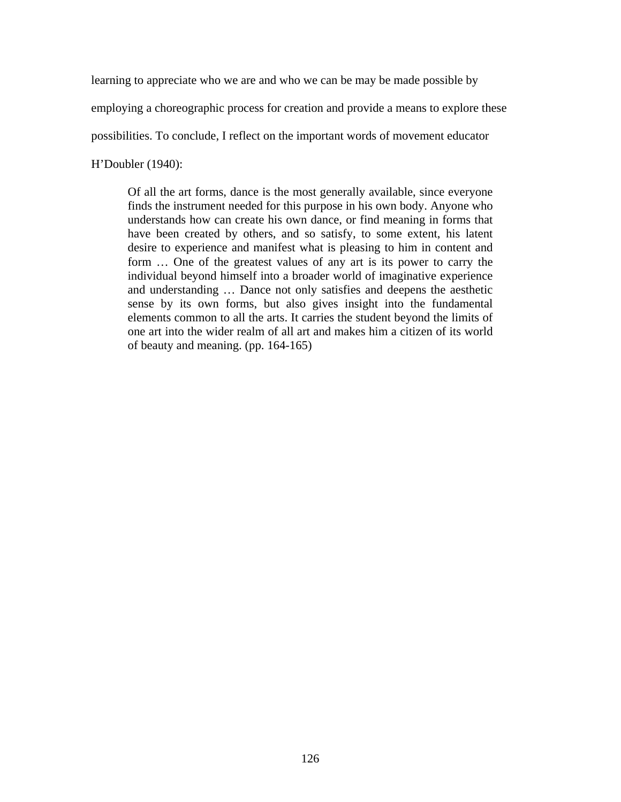learning to appreciate who we are and who we can be may be made possible by

employing a choreographic process for creation and provide a means to explore these

possibilities. To conclude, I reflect on the important words of movement educator

H'Doubler (1940):

Of all the art forms, dance is the most generally available, since everyone finds the instrument needed for this purpose in his own body. Anyone who understands how can create his own dance, or find meaning in forms that have been created by others, and so satisfy, to some extent, his latent desire to experience and manifest what is pleasing to him in content and form … One of the greatest values of any art is its power to carry the individual beyond himself into a broader world of imaginative experience and understanding … Dance not only satisfies and deepens the aesthetic sense by its own forms, but also gives insight into the fundamental elements common to all the arts. It carries the student beyond the limits of one art into the wider realm of all art and makes him a citizen of its world of beauty and meaning. (pp. 164-165)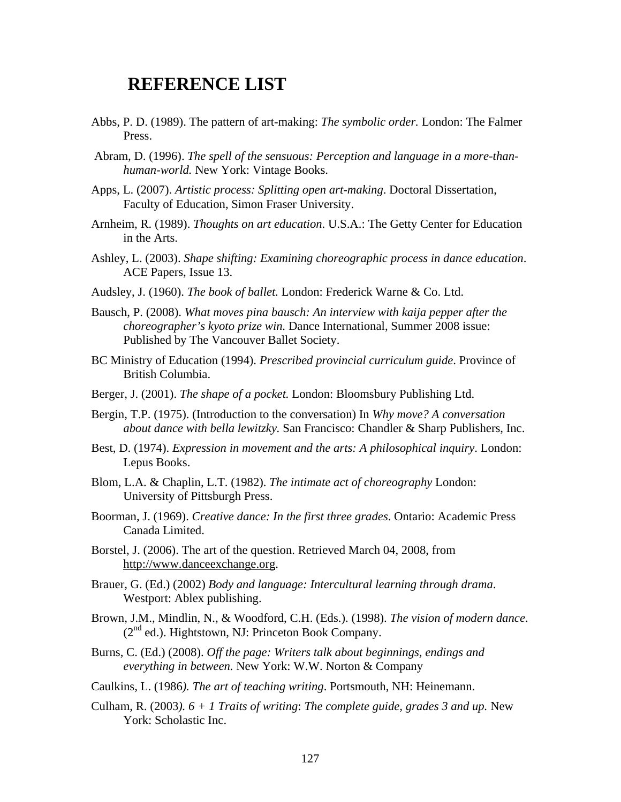### **REFERENCE LIST**

- Abbs, P. D. (1989). The pattern of art-making: *The symbolic order.* London: The Falmer Press.
- Abram, D. (1996). *The spell of the sensuous: Perception and language in a more-thanhuman-world.* New York: Vintage Books.
- Apps, L. (2007). *Artistic process: Splitting open art-making*. Doctoral Dissertation, Faculty of Education, Simon Fraser University.
- Arnheim, R. (1989). *Thoughts on art education*. U.S.A.: The Getty Center for Education in the Arts.
- Ashley, L. (2003). *Shape shifting: Examining choreographic process in dance education*. ACE Papers, Issue 13.
- Audsley, J. (1960). *The book of ballet.* London: Frederick Warne & Co. Ltd.
- Bausch, P. (2008). *What moves pina bausch: An interview with kaija pepper after the choreographer's kyoto prize win.* Dance International, Summer 2008 issue: Published by The Vancouver Ballet Society.
- BC Ministry of Education (1994). *Prescribed provincial curriculum guide*. Province of British Columbia.
- Berger, J. (2001). *The shape of a pocket.* London: Bloomsbury Publishing Ltd.
- Bergin, T.P. (1975). (Introduction to the conversation) In *Why move? A conversation about dance with bella lewitzky.* San Francisco: Chandler & Sharp Publishers, Inc.
- Best, D. (1974). *Expression in movement and the arts: A philosophical inquiry*. London: Lepus Books.
- Blom, L.A. & Chaplin, L.T. (1982). *The intimate act of choreography* London: University of Pittsburgh Press.
- Boorman, J. (1969). *Creative dance: In the first three grades*. Ontario: Academic Press Canada Limited.
- Borstel, J. (2006). The art of the question. Retrieved March 04, 2008, from http:/[/www.danceexchange.org.](http://www.danceexchange.org/)
- Brauer, G. (Ed.) (2002) *Body and language: Intercultural learning through drama*. Westport: Ablex publishing.
- Brown, J.M., Mindlin, N., & Woodford, C.H. (Eds.). (1998). *The vision of modern dance*.  $(2^{nd}$  ed.). Hightstown, NJ: Princeton Book Company.
- Burns, C. (Ed.) (2008). *Off the page: Writers talk about beginnings, endings and everything in between.* New York: W.W. Norton & Company
- Caulkins, L. (1986*). The art of teaching writing*. Portsmouth, NH: Heinemann.
- Culham, R. (2003*). 6 + 1 Traits of writing*: *The complete guide, grades 3 and up.* New York: Scholastic Inc.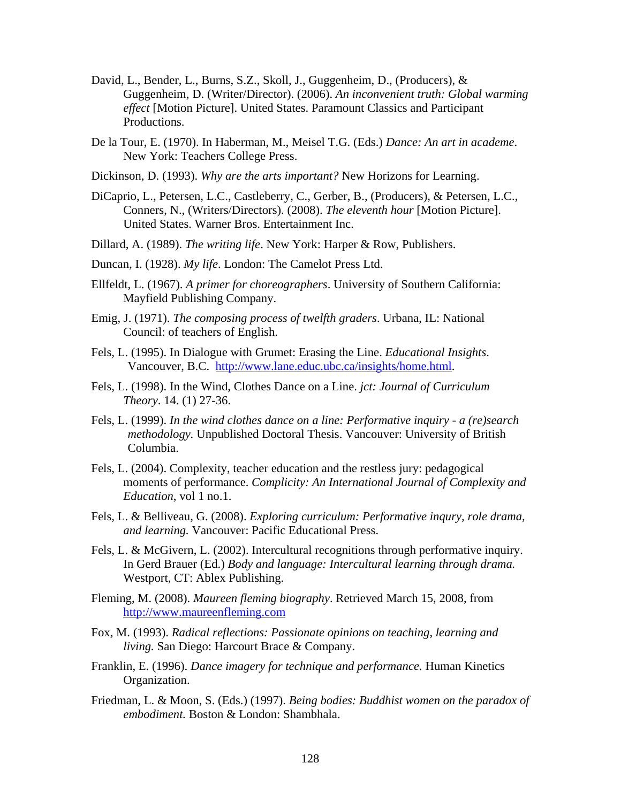- David, L., Bender, L., Burns, S.Z., Skoll, J., Guggenheim, D., (Producers), & Guggenheim, D. (Writer/Director). (2006). *An inconvenient truth: Global warming effect* [Motion Picture]. United States. Paramount Classics and Participant Productions.
- De la Tour, E. (1970). In Haberman, M., Meisel T.G. (Eds.) *Dance: An art in academe*. New York: Teachers College Press.
- Dickinson, D. (1993). *Why are the arts important?* New Horizons for Learning.
- DiCaprio, L., Petersen, L.C., Castleberry, C., Gerber, B., (Producers), & Petersen, L.C., Conners, N., (Writers/Directors). (2008). *The eleventh hour* [Motion Picture]. United States. Warner Bros. Entertainment Inc.
- Dillard, A. (1989). *The writing life*. New York: Harper & Row, Publishers.
- Duncan, I. (1928). *My life*. London: The Camelot Press Ltd.
- Ellfeldt, L. (1967). *A primer for choreographers*. University of Southern California: Mayfield Publishing Company.
- Emig, J. (1971). *The composing process of twelfth graders*. Urbana, IL: National Council: of teachers of English.
- Fels, L. (1995). In Dialogue with Grumet: Erasing the Line. *Educational Insights*. Vancouver, B.C. [http://www.lane.educ.ubc.ca/insights/home.html.](http://www.lane.educ.ubc.ca/insights/home.html)
- Fels, L. (1998). In the Wind, Clothes Dance on a Line. *jct: Journal of Curriculum Theory*. 14. (1) 27-36.
- Fels, L. (1999). *In the wind clothes dance on a line: Performative inquiry a (re)search methodology.* Unpublished Doctoral Thesis. Vancouver: University of British Columbia.
- Fels, L. (2004). Complexity, teacher education and the restless jury: pedagogical moments of performance. *Complicity: An International Journal of Complexity and Education*, vol 1 no.1.
- Fels, L. & Belliveau, G. (2008). *Exploring curriculum: Performative inqury, role drama, and learning.* Vancouver: Pacific Educational Press.
- Fels, L. & McGivern, L. (2002). Intercultural recognitions through performative inquiry. In Gerd Brauer (Ed.) *Body and language: Intercultural learning through drama.*  Westport, CT: Ablex Publishing.
- Fleming, M. (2008). *Maureen fleming biography*. Retrieved March 15, 2008, from [http://www.maureenfleming.com](http://www.maureenfleming.com/)
- Fox, M. (1993). *Radical reflections: Passionate opinions on teaching, learning and living.* San Diego: Harcourt Brace & Company.
- Franklin, E. (1996). *Dance imagery for technique and performance.* Human Kinetics Organization.
- Friedman, L. & Moon, S. (Eds.) (1997). *Being bodies: Buddhist women on the paradox of embodiment.* Boston & London: Shambhala.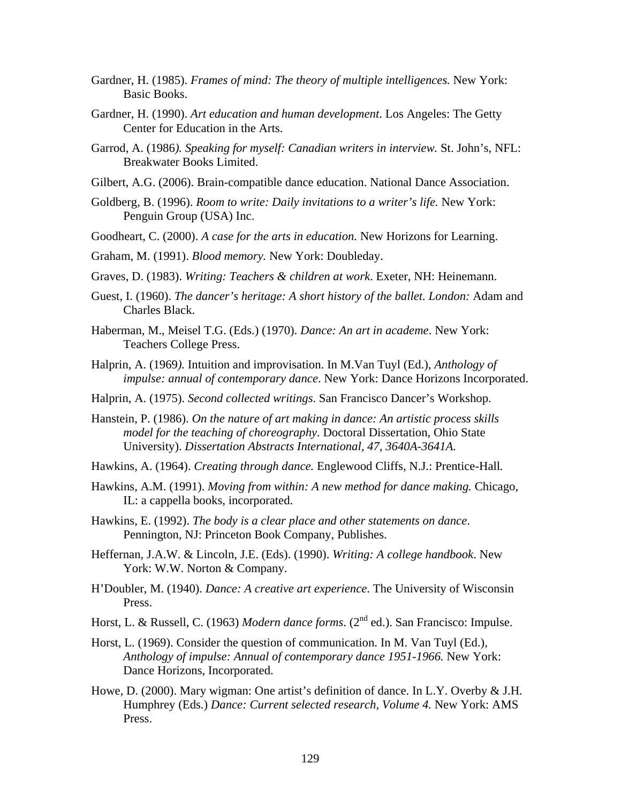- Gardner, H. (1985). *Frames of mind: The theory of multiple intelligences.* New York: Basic Books.
- Gardner, H. (1990). *Art education and human development*. Los Angeles: The Getty Center for Education in the Arts.
- Garrod, A. (1986*). Speaking for myself: Canadian writers in interview.* St. John's, NFL: Breakwater Books Limited.
- Gilbert, A.G. (2006). Brain-compatible dance education. National Dance Association.
- Goldberg, B. (1996). *Room to write: Daily invitations to a writer's life.* New York: Penguin Group (USA) Inc.
- Goodheart, C. (2000). *A case for the arts in education.* New Horizons for Learning.
- Graham, M. (1991). *Blood memory.* New York: Doubleday.
- Graves, D. (1983). *Writing: Teachers & children at work*. Exeter, NH: Heinemann.
- Guest, I. (1960). *The dancer's heritage: A short history of the ballet. London:* Adam and Charles Black.
- Haberman, M., Meisel T.G. (Eds.) (1970). *Dance: An art in academe*. New York: Teachers College Press.
- Halprin, A. (1969*).* Intuition and improvisation. In M.Van Tuyl (Ed.), *Anthology of impulse: annual of contemporary dance*. New York: Dance Horizons Incorporated.
- Halprin, A. (1975). *Second collected writings*. San Francisco Dancer's Workshop.
- Hanstein, P. (1986). *On the nature of art making in dance: An artistic process skills model for the teaching of choreography.* Doctoral Dissertation, Ohio State University). *Dissertation Abstracts International, 47, 3640A-3641A.*
- Hawkins, A. (1964). *Creating through dance.* Englewood Cliffs, N.J.: Prentice-Hall*.*
- Hawkins, A.M. (1991). *Moving from within: A new method for dance making.* Chicago, IL: a cappella books, incorporated.
- Hawkins, E. (1992). *The body is a clear place and other statements on dance*. Pennington, NJ: Princeton Book Company, Publishes.
- Heffernan, J.A.W. & Lincoln, J.E. (Eds). (1990). *Writing: A college handbook*. New York: W.W. Norton & Company.
- H'Doubler, M. (1940). *Dance: A creative art experience*. The University of Wisconsin Press.
- Horst, L. & Russell, C. (1963) *Modern dance forms*. (2<sup>nd</sup> ed.). San Francisco: Impulse.
- Horst, L. (1969). Consider the question of communication. In M. Van Tuyl (Ed.), *Anthology of impulse: Annual of contemporary dance 1951-1966.* New York: Dance Horizons, Incorporated.
- Howe, D. (2000). Mary wigman: One artist's definition of dance. In L.Y. Overby & J.H. Humphrey (Eds.) *Dance: Current selected research, Volume 4.* New York: AMS Press.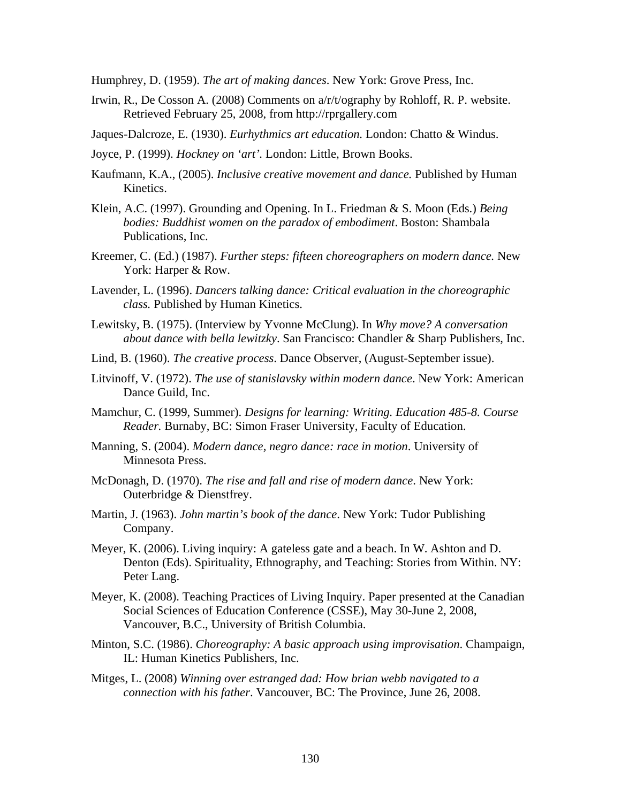Humphrey, D. (1959). *The art of making dances*. New York: Grove Press, Inc.

- Irwin, R., De Cosson A. (2008) Comments on a/r/t/ography by Rohloff, R. P. website. Retrieved February 25, 2008, from http://rprgallery.com
- Jaques-Dalcroze, E. (1930). *Eurhythmics art education.* London: Chatto & Windus.
- Joyce, P. (1999). *Hockney on 'art'.* London: Little, Brown Books.
- Kaufmann, K.A., (2005). *Inclusive creative movement and dance.* Published by Human Kinetics.
- Klein, A.C. (1997). Grounding and Opening. In L. Friedman & S. Moon (Eds.) *Being bodies: Buddhist women on the paradox of embodiment*. Boston: Shambala Publications, Inc.
- Kreemer, C. (Ed.) (1987). *Further steps: fifteen choreographers on modern dance.* New York: Harper & Row.
- Lavender, L. (1996). *Dancers talking dance: Critical evaluation in the choreographic class.* Published by Human Kinetics.
- Lewitsky, B. (1975). (Interview by Yvonne McClung). In *Why move? A conversation about dance with bella lewitzky*. San Francisco: Chandler & Sharp Publishers, Inc.
- Lind, B. (1960). *The creative process*. Dance Observer, (August-September issue).
- Litvinoff, V. (1972). *The use of stanislavsky within modern dance*. New York: American Dance Guild, Inc.
- Mamchur, C. (1999, Summer). *Designs for learning: Writing. Education 485-8. Course Reader.* Burnaby, BC: Simon Fraser University, Faculty of Education.
- Manning, S. (2004). *Modern dance, negro dance: race in motion*. University of Minnesota Press.
- McDonagh, D. (1970). *The rise and fall and rise of modern dance*. New York: Outerbridge & Dienstfrey.
- Martin, J. (1963). *John martin's book of the dance*. New York: Tudor Publishing Company.
- Meyer, K. (2006). Living inquiry: A gateless gate and a beach. In W. Ashton and D. Denton (Eds). Spirituality, Ethnography, and Teaching: Stories from Within. NY: Peter Lang.
- Meyer, K. (2008). Teaching Practices of Living Inquiry. Paper presented at the Canadian Social Sciences of Education Conference (CSSE), May 30-June 2, 2008, Vancouver, B.C., University of British Columbia.
- Minton, S.C. (1986). *Choreography: A basic approach using improvisation*. Champaign, IL: Human Kinetics Publishers, Inc.
- Mitges, L. (2008) *Winning over estranged dad: How brian webb navigated to a connection with his father*. Vancouver, BC: The Province, June 26, 2008.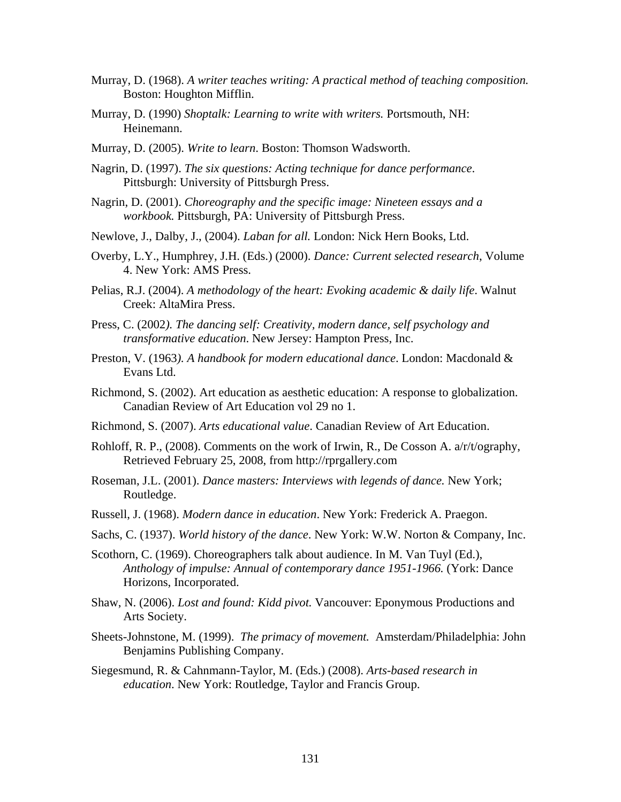- Murray, D. (1968). *A writer teaches writing: A practical method of teaching composition.*  Boston: Houghton Mifflin.
- Murray, D. (1990) *Shoptalk: Learning to write with writers.* Portsmouth, NH: Heinemann.
- Murray, D. (2005). *Write to learn*. Boston: Thomson Wadsworth.
- Nagrin, D. (1997). *The six questions: Acting technique for dance performance*. Pittsburgh: University of Pittsburgh Press.
- Nagrin, D. (2001). *Choreography and the specific image: Nineteen essays and a workbook.* Pittsburgh, PA: University of Pittsburgh Press.
- Newlove, J., Dalby, J., (2004). *Laban for all.* London: Nick Hern Books, Ltd.
- Overby, L.Y., Humphrey, J.H. (Eds.) (2000). *Dance: Current selected research*, Volume 4. New York: AMS Press.
- Pelias, R.J. (2004). *A methodology of the heart: Evoking academic & daily life*. Walnut Creek: AltaMira Press.
- Press, C. (2002*). The dancing self: Creativity, modern dance, self psychology and transformative education*. New Jersey: Hampton Press, Inc.
- Preston, V. (1963*). A handbook for modern educational dance*. London: Macdonald & Evans Ltd.
- Richmond, S. (2002). Art education as aesthetic education: A response to globalization. Canadian Review of Art Education vol 29 no 1.
- Richmond, S. (2007). *Arts educational value*. Canadian Review of Art Education.
- Rohloff, R. P., (2008). Comments on the work of Irwin, R., De Cosson A. a/r/t/ography, Retrieved February 25, 2008, from http://rprgallery.com
- Roseman, J.L. (2001). *Dance masters: Interviews with legends of dance.* New York; Routledge.
- Russell, J. (1968). *Modern dance in education*. New York: Frederick A. Praegon.
- Sachs, C. (1937). *World history of the dance*. New York: W.W. Norton & Company, Inc.
- Scothorn, C. (1969). Choreographers talk about audience. In M. Van Tuyl (Ed.), *Anthology of impulse: Annual of contemporary dance 1951-1966.* (York: Dance Horizons, Incorporated.
- Shaw, N. (2006). *Lost and found: Kidd pivot.* Vancouver: Eponymous Productions and Arts Society.
- Sheets-Johnstone, M. (1999). *The primacy of movement.* Amsterdam/Philadelphia: John Benjamins Publishing Company.
- Siegesmund, R. & Cahnmann-Taylor, M. (Eds.) (2008). *Arts-based research in education*. New York: Routledge, Taylor and Francis Group.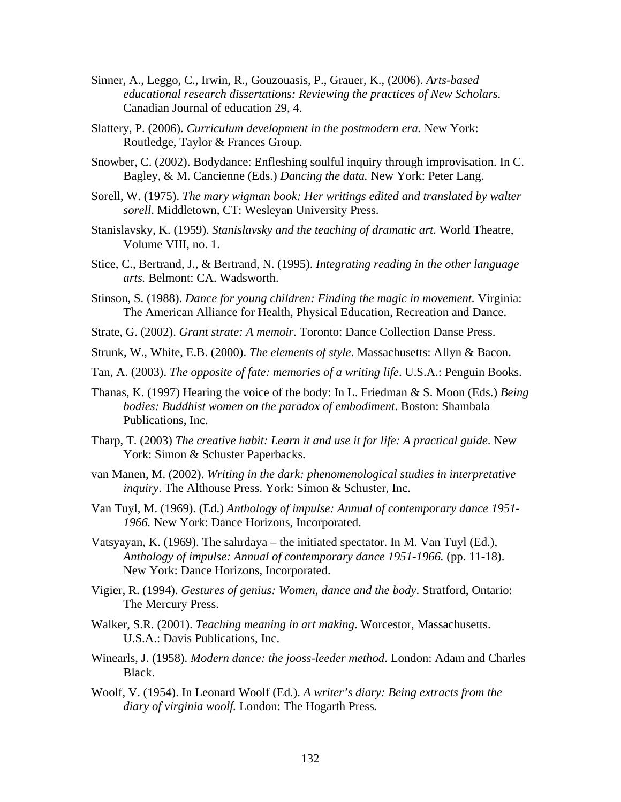- Sinner, A., Leggo, C., Irwin, R., Gouzouasis, P., Grauer, K., (2006). *Arts-based educational research dissertations: Reviewing the practices of New Scholars.* Canadian Journal of education 29, 4.
- Slattery, P. (2006). *Curriculum development in the postmodern era.* New York: Routledge, Taylor & Frances Group.
- Snowber, C. (2002). Bodydance: Enfleshing soulful inquiry through improvisation. In C. Bagley, & M. Cancienne (Eds.) *Dancing the data.* New York: Peter Lang.
- Sorell, W. (1975). *The mary wigman book: Her writings edited and translated by walter sorell*. Middletown, CT: Wesleyan University Press.
- Stanislavsky, K. (1959). *Stanislavsky and the teaching of dramatic art.* World Theatre, Volume VIII, no. 1.
- Stice, C., Bertrand, J., & Bertrand, N. (1995). *Integrating reading in the other language arts.* Belmont: CA. Wadsworth.
- Stinson, S. (1988). *Dance for young children: Finding the magic in movement.* Virginia: The American Alliance for Health, Physical Education, Recreation and Dance.
- Strate, G. (2002). *Grant strate: A memoir.* Toronto: Dance Collection Danse Press.
- Strunk, W., White, E.B. (2000). *The elements of style*. Massachusetts: Allyn & Bacon.
- Tan, A. (2003). *The opposite of fate: memories of a writing life*. U.S.A.: Penguin Books.
- Thanas, K. (1997) Hearing the voice of the body: In L. Friedman & S. Moon (Eds.) *Being bodies: Buddhist women on the paradox of embodiment*. Boston: Shambala Publications, Inc.
- Tharp, T. (2003) *The creative habit: Learn it and use it for life: A practical guide*. New York: Simon & Schuster Paperbacks.
- van Manen, M. (2002). *Writing in the dark: phenomenological studies in interpretative inquiry*. The Althouse Press. York: Simon & Schuster, Inc.
- Van Tuyl, M. (1969). (Ed.) *Anthology of impulse: Annual of contemporary dance 1951- 1966.* New York: Dance Horizons, Incorporated.
- Vatsyayan, K. (1969). The sahrdaya the initiated spectator. In M. Van Tuyl (Ed.), *Anthology of impulse: Annual of contemporary dance 1951-1966.* (pp. 11-18). New York: Dance Horizons, Incorporated.
- Vigier, R. (1994). *Gestures of genius: Women, dance and the body*. Stratford, Ontario: The Mercury Press.
- Walker, S.R. (2001). *Teaching meaning in art making*. Worcestor, Massachusetts. U.S.A.: Davis Publications, Inc.
- Winearls, J. (1958). *Modern dance: the jooss-leeder method*. London: Adam and Charles Black.
- Woolf, V. (1954). In Leonard Woolf (Ed.). *A writer's diary: Being extracts from the diary of virginia woolf.* London: The Hogarth Press*.*